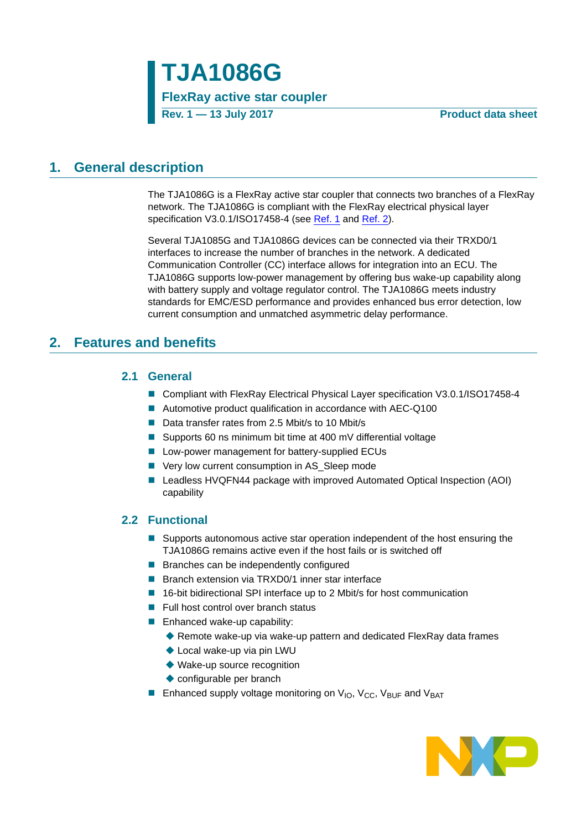## **1. General description**

The TJA1086G is a FlexRay active star coupler that connects two branches of a FlexRay network. The TJA1086G is compliant with the FlexRay electrical physical layer specification V3.0.1/ISO17458-4 (see [Ref. 1](#page-60-0) and [Ref. 2\)](#page-60-1).

Several TJA1085G and TJA1086G devices can be connected via their TRXD0/1 interfaces to increase the number of branches in the network. A dedicated Communication Controller (CC) interface allows for integration into an ECU. The TJA1086G supports low-power management by offering bus wake-up capability along with battery supply and voltage regulator control. The TJA1086G meets industry standards for EMC/ESD performance and provides enhanced bus error detection, low current consumption and unmatched asymmetric delay performance.

### <span id="page-0-1"></span><span id="page-0-0"></span>**2. Features and benefits**

### **2.1 General**

- Compliant with FlexRay Electrical Physical Layer specification V3.0.1/ISO17458-4
- Automotive product qualification in accordance with AEC-Q100
- Data transfer rates from 2.5 Mbit/s to 10 Mbit/s
- Supports 60 ns minimum bit time at 400 mV differential voltage
- **Low-power management for battery-supplied ECUs**
- Very low current consumption in AS\_Sleep mode
- Leadless HVQFN44 package with improved Automated Optical Inspection (AOI) capability

### <span id="page-0-2"></span>**2.2 Functional**

- **Supports autonomous active star operation independent of the host ensuring the** TJA1086G remains active even if the host fails or is switched off
- **Branches can be independently configured**
- Branch extension via TRXD0/1 inner star interface
- 16-bit bidirectional SPI interface up to 2 Mbit/s for host communication
- $\blacksquare$  Full host control over branch status
- **Enhanced wake-up capability:** 
	- ◆ Remote wake-up via wake-up pattern and dedicated FlexRay data frames
	- ◆ Local wake-up via pin LWU
	- ◆ Wake-up source recognition
	- ◆ configurable per branch
- **Enhanced supply voltage monitoring on**  $V_{IO}$ **,**  $V_{CC}$ **,**  $V_{BUF}$  **and**  $V_{BAT}$

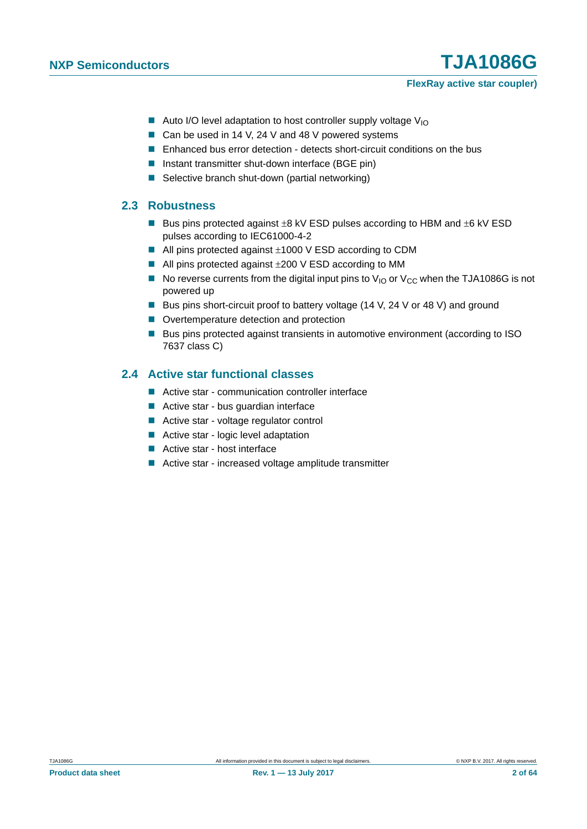#### **FlexRay active star coupler)**

- Auto I/O level adaptation to host controller supply voltage  $V_{10}$
- Can be used in 14 V, 24 V and 48 V powered systems
- **E** Enhanced bus error detection detects short-circuit conditions on the bus
- Instant transmitter shut-down interface (BGE pin)
- Selective branch shut-down (partial networking)

#### <span id="page-1-1"></span>**2.3 Robustness**

- Bus pins protected against  $\pm 8$  kV ESD pulses according to HBM and  $\pm 6$  kV ESD pulses according to IEC61000-4-2
- $\blacksquare$  All pins protected against  $\pm 1000$  V ESD according to CDM
- $\blacksquare$  All pins protected against  $\pm 200 \,$ V ESD according to MM
- No reverse currents from the digital input pins to  $V_{\text{IO}}$  or  $V_{\text{CC}}$  when the TJA1086G is not powered up
- Bus pins short-circuit proof to battery voltage (14 V, 24 V or 48 V) and ground
- Overtemperature detection and protection
- Bus pins protected against transients in automotive environment (according to ISO 7637 class C)

### <span id="page-1-0"></span>**2.4 Active star functional classes**

- Active star communication controller interface
- Active star bus quardian interface
- Active star voltage regulator control
- Active star logic level adaptation
- Active star host interface
- Active star increased voltage amplitude transmitter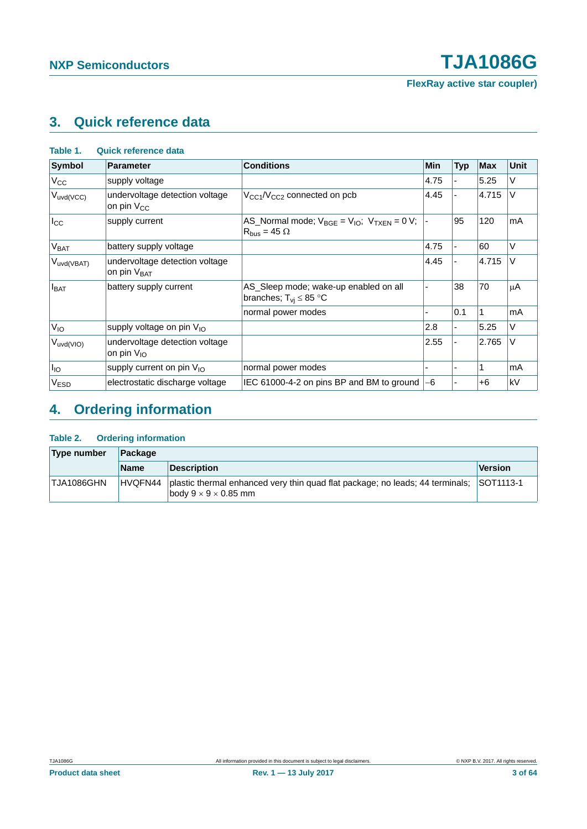**FlexRay active star coupler)**

# <span id="page-2-0"></span>**3. Quick reference data**

| <b>Symbol</b>    | <b>Parameter</b>                                          | <b>Conditions</b>                                                                | Min  | <b>Typ</b> | <b>Max</b> | Unit |
|------------------|-----------------------------------------------------------|----------------------------------------------------------------------------------|------|------------|------------|------|
| $V_{CC}$         | supply voltage                                            |                                                                                  | 4.75 |            | 5.25       | V    |
| $V_{uvd(VCC)}$   | undervoltage detection voltage<br>on pin V <sub>CC</sub>  | $V_{CG1}/V_{CG2}$ connected on pcb                                               | 4.45 |            | 4.715      | V    |
| $I_{\rm CC}$     | supply current                                            | AS_Normal mode; $V_{BGE} = V_{IO}$ ; $V_{TXEN} = 0 V$ ;<br>$R_{bus} = 45 \Omega$ |      | 95         | 120        | mA   |
| V <sub>BAT</sub> | battery supply voltage                                    |                                                                                  | 4.75 |            | 60         | V    |
| $V_{uvd(VBAT)}$  | undervoltage detection voltage<br>on pin V <sub>BAT</sub> |                                                                                  | 4.45 |            | 4.715      | V    |
| $I_{BAT}$        | battery supply current                                    | AS_Sleep mode; wake-up enabled on all<br>branches; $T_{vi} \leq 85$ °C           |      | 38         | 70         | μA   |
|                  |                                                           | normal power modes                                                               |      | 0.1        |            | mA   |
| $V_{10}$         | supply voltage on pin V <sub>IO</sub>                     |                                                                                  | 2.8  |            | 5.25       | V    |
| $V_{uvd(VIO)}$   | undervoltage detection voltage<br>on pin $V_{10}$         |                                                                                  | 2.55 |            | 2.765      | V    |
| $I_{IO}$         | supply current on pin $V_{1O}$                            | normal power modes                                                               |      |            |            | mA   |
| V <sub>ESD</sub> | electrostatic discharge voltage                           | IEC 61000-4-2 on pins BP and BM to ground                                        | -6   |            | $+6$       | kV   |

# <span id="page-2-1"></span>**4. Ordering information**

#### **Table 2. Ordering information**

| Type number | ∣Packaαe    |                                                                                                                           |                  |  |  |  |
|-------------|-------------|---------------------------------------------------------------------------------------------------------------------------|------------------|--|--|--|
|             | <b>Name</b> | <b>Description</b>                                                                                                        | Version          |  |  |  |
| TJA1086GHN  |             | HVQFN44 plastic thermal enhanced very thin quad flat package; no leads; 44 terminals;<br>body $9 \times 9 \times 0.85$ mm | <b>SOT1113-1</b> |  |  |  |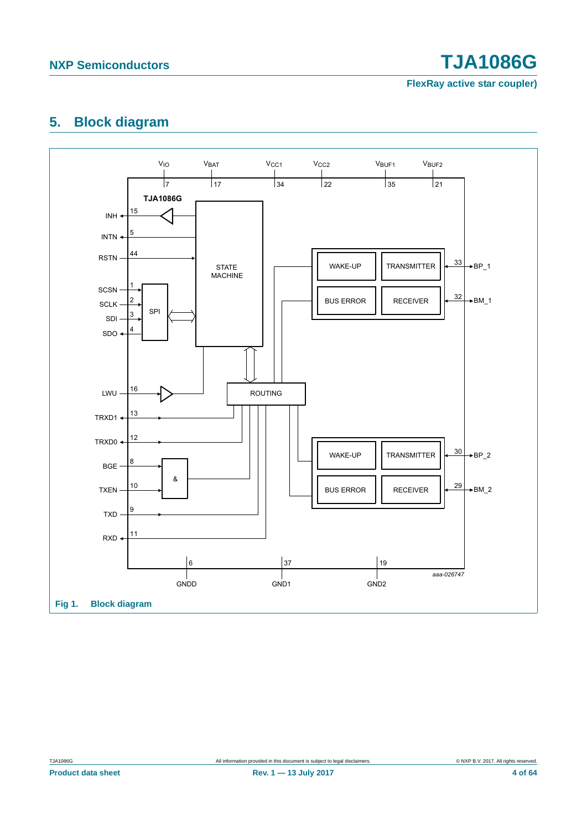**FlexRay active star coupler)**

## <span id="page-3-0"></span>**5. Block diagram**

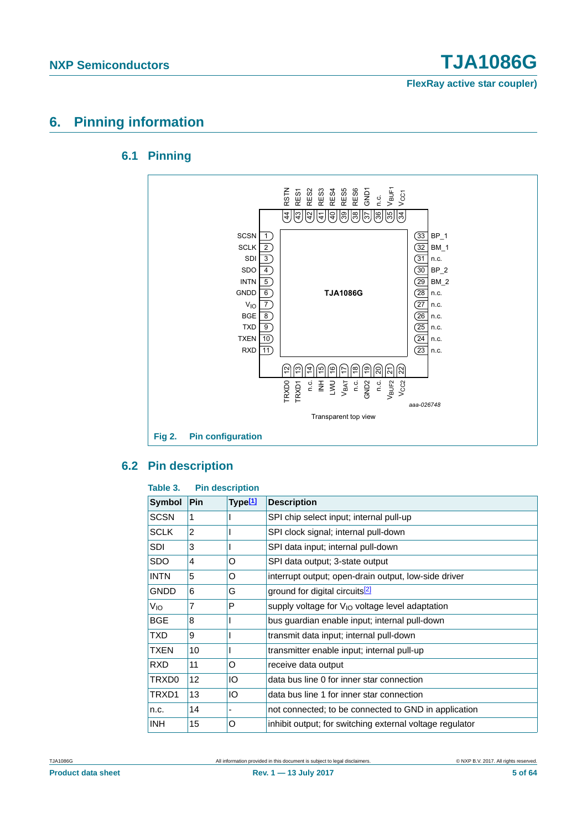**FlexRay active star coupler)**

## <span id="page-4-1"></span><span id="page-4-0"></span>**6. Pinning information**

### **6.1 Pinning**



## <span id="page-4-2"></span>**6.2 Pin description**

#### **Table 3. Pin description**

| <b>Symbol</b>   | Pin | Type <sup>[1]</sup>      | <b>Description</b>                                       |
|-----------------|-----|--------------------------|----------------------------------------------------------|
| <b>SCSN</b>     | 1   |                          | SPI chip select input; internal pull-up                  |
| <b>SCLK</b>     | 2   |                          | SPI clock signal; internal pull-down                     |
| SDI             | 3   |                          | SPI data input; internal pull-down                       |
| SDO             | 4   | O                        | SPI data output; 3-state output                          |
| <b>INTN</b>     | 5   | O                        | interrupt output; open-drain output, low-side driver     |
| <b>GNDD</b>     | 6   | G                        | ground for digital circuits <sup>[2]</sup>               |
| V <sub>IO</sub> | 7   | P                        | supply voltage for $V_{1O}$ voltage level adaptation     |
| <b>BGE</b>      | 8   |                          | bus guardian enable input; internal pull-down            |
| TXD.            | 9   |                          | transmit data input; internal pull-down                  |
| TXEN            | 10  |                          | transmitter enable input; internal pull-up               |
| <b>RXD</b>      | 11  | O                        | receive data output                                      |
| TRXD0           | 12  | IO                       | data bus line 0 for inner star connection                |
| TRXD1           | 13  | IO                       | data bus line 1 for inner star connection                |
| n.c.            | 14  | $\overline{\phantom{0}}$ | not connected; to be connected to GND in application     |
| INH.            | 15  | O                        | inhibit output; for switching external voltage regulator |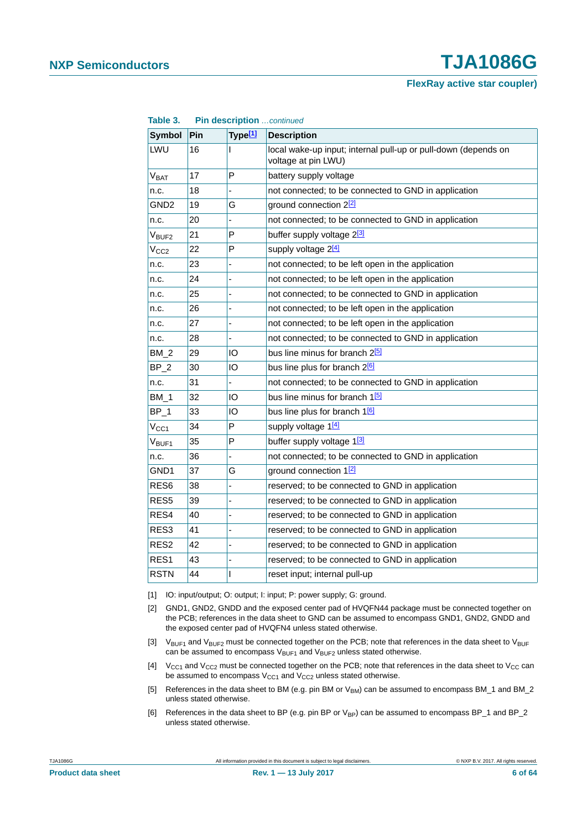**FlexRay active star coupler)**

| Table 3.            |     |                     | Pin description continued                                                             |  |  |  |
|---------------------|-----|---------------------|---------------------------------------------------------------------------------------|--|--|--|
| <b>Symbol</b>       | Pin | Type <sup>[1]</sup> | <b>Description</b>                                                                    |  |  |  |
| LWU                 | 16  | ı                   | local wake-up input; internal pull-up or pull-down (depends on<br>voltage at pin LWU) |  |  |  |
| V <sub>BAT</sub>    | 17  | P                   | battery supply voltage                                                                |  |  |  |
| n.c.                | 18  |                     | not connected; to be connected to GND in application                                  |  |  |  |
| GND <sub>2</sub>    | 19  | G                   | ground connection 22                                                                  |  |  |  |
| n.c.                | 20  | $\overline{a}$      | not connected; to be connected to GND in application                                  |  |  |  |
| $V_{\mathsf{BUF2}}$ | 21  | P                   | buffer supply voltage 2 <sup>[3]</sup>                                                |  |  |  |
| V <sub>CC2</sub>    | 22  | P                   | supply voltage 2 <sup>[4]</sup>                                                       |  |  |  |
| n.c.                | 23  |                     | not connected; to be left open in the application                                     |  |  |  |
| n.c.                | 24  | L,                  | not connected; to be left open in the application                                     |  |  |  |
| n.c.                | 25  |                     | not connected; to be connected to GND in application                                  |  |  |  |
| n.c.                | 26  |                     | not connected; to be left open in the application                                     |  |  |  |
| n.c.                | 27  | ÷,                  | not connected; to be left open in the application                                     |  |  |  |
| n.c.                | 28  |                     | not connected; to be connected to GND in application                                  |  |  |  |
| $BM_2$              | 29  | IO                  | bus line minus for branch 2 <mark>b</mark>                                            |  |  |  |
| $BP_2$              | 30  | IО                  | bus line plus for branch 2 <sup>[6]</sup>                                             |  |  |  |
| n.c.                | 31  |                     | not connected; to be connected to GND in application                                  |  |  |  |
| BM 1                | 32  | IO                  | bus line minus for branch 1 <mark>5</mark>                                            |  |  |  |
| $BP_1$              | 33  | IO                  | bus line plus for branch 1 <sup>6</sup>                                               |  |  |  |
| $V_{CC1}$           | 34  | P                   | supply voltage 1[4]                                                                   |  |  |  |
| $V_{\mathsf{BUF1}}$ | 35  | P                   | buffer supply voltage 1 <sup>3</sup>                                                  |  |  |  |
| n.c.                | 36  |                     | not connected; to be connected to GND in application                                  |  |  |  |
| GND1                | 37  | G                   | ground connection 12                                                                  |  |  |  |
| RES <sub>6</sub>    | 38  | ÷,                  | reserved; to be connected to GND in application                                       |  |  |  |
| RES <sub>5</sub>    | 39  |                     | reserved; to be connected to GND in application                                       |  |  |  |
| RES4                | 40  |                     | reserved; to be connected to GND in application                                       |  |  |  |
| RES3                | 41  | Ĭ.                  | reserved; to be connected to GND in application                                       |  |  |  |
| RES2                | 42  | L,                  | reserved; to be connected to GND in application                                       |  |  |  |
| RES1                | 43  | ä,                  | reserved; to be connected to GND in application                                       |  |  |  |
| <b>RSTN</b>         | 44  | I                   | reset input; internal pull-up                                                         |  |  |  |

<span id="page-5-0"></span>[1] IO: input/output; O: output; I: input; P: power supply; G: ground.

- <span id="page-5-1"></span>[2] GND1, GND2, GNDD and the exposed center pad of HVQFN44 package must be connected together on the PCB; references in the data sheet to GND can be assumed to encompass GND1, GND2, GNDD and the exposed center pad of HVQFN4 unless stated otherwise.
- <span id="page-5-2"></span>[3]  $V_{BUF1}$  and  $V_{BUF2}$  must be connected together on the PCB; note that references in the data sheet to  $V_{BUF1}$ can be assumed to encompass  $V_{\text{BUF1}}$  and  $V_{\text{BUF2}}$  unless stated otherwise.
- <span id="page-5-3"></span>[4]  $V_{CG1}$  and  $V_{CG2}$  must be connected together on the PCB; note that references in the data sheet to  $V_{CG}$  can be assumed to encompass  $V_{CC1}$  and  $V_{CC2}$  unless stated otherwise.
- <span id="page-5-4"></span>[5] References in the data sheet to BM (e.g. pin BM or V<sub>BM</sub>) can be assumed to encompass BM\_1 and BM\_2 unless stated otherwise.
- <span id="page-5-5"></span>[6] References in the data sheet to BP (e.g. pin BP or  $V_{BP}$ ) can be assumed to encompass BP\_1 and BP\_2 unless stated otherwise.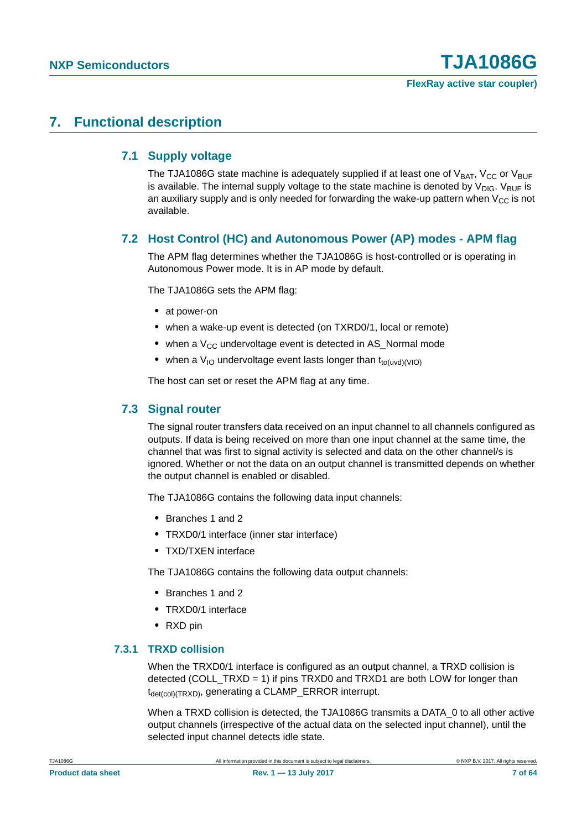### <span id="page-6-1"></span><span id="page-6-0"></span>**7. Functional description**

### **7.1 Supply voltage**

The TJA1086G state machine is adequately supplied if at least one of  $V_{BAT}$ ,  $V_{CC}$  or  $V_{BUF}$ is available. The internal supply voltage to the state machine is denoted by  $V_{\text{DIG}}$ .  $V_{\text{BUF}}$  is an auxiliary supply and is only needed for forwarding the wake-up pattern when  $V_{CC}$  is not available.

### <span id="page-6-2"></span>**7.2 Host Control (HC) and Autonomous Power (AP) modes - APM flag**

The APM flag determines whether the TJA1086G is host-controlled or is operating in Autonomous Power mode. It is in AP mode by default.

The TJA1086G sets the APM flag:

- **•** at power-on
- **•** when a wake-up event is detected (on TXRD0/1, local or remote)
- when a V<sub>CC</sub> undervoltage event is detected in AS\_Normal mode
- when a V<sub>IO</sub> undervoltage event lasts longer than t<sub>to(uvd)</sub>(VIO)

The host can set or reset the APM flag at any time.

#### <span id="page-6-3"></span>**7.3 Signal router**

The signal router transfers data received on an input channel to all channels configured as outputs. If data is being received on more than one input channel at the same time, the channel that was first to signal activity is selected and data on the other channel/s is ignored. Whether or not the data on an output channel is transmitted depends on whether the output channel is enabled or disabled.

The TJA1086G contains the following data input channels:

- **•** Branches 1 and 2
- **•** TRXD0/1 interface (inner star interface)
- **•** TXD/TXEN interface

The TJA1086G contains the following data output channels:

- **•** Branches 1 and 2
- **•** TRXD0/1 interface
- **•** RXD pin

#### <span id="page-6-4"></span>**7.3.1 TRXD collision**

When the TRXD0/1 interface is configured as an output channel, a TRXD collision is detected (COLL\_TRXD = 1) if pins TRXD0 and TRXD1 are both LOW for longer than  $t_{\text{det(col)}(TRXD)}$ , generating a CLAMP\_ERROR interrupt.

When a TRXD collision is detected, the TJA1086G transmits a DATA\_0 to all other active output channels (irrespective of the actual data on the selected input channel), until the selected input channel detects idle state.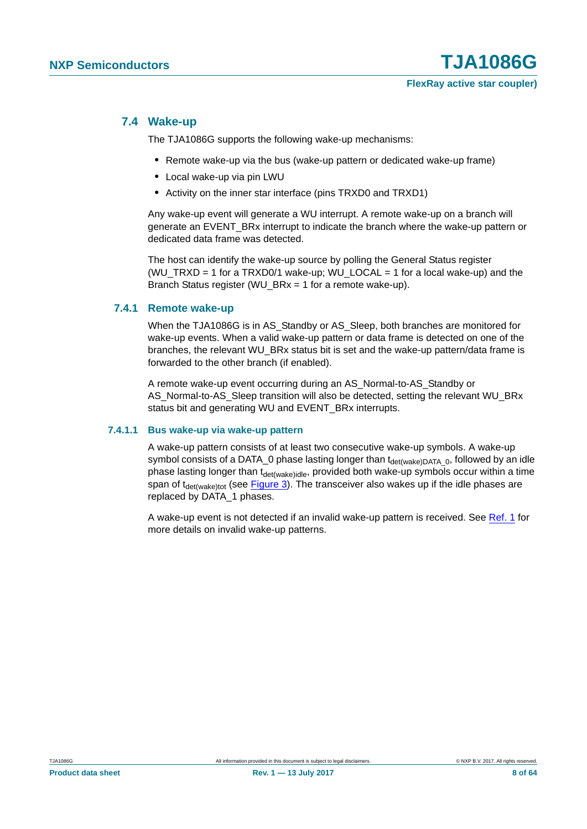#### <span id="page-7-1"></span>**7.4 Wake-up**

The TJA1086G supports the following wake-up mechanisms:

- **•** Remote wake-up via the bus (wake-up pattern or dedicated wake-up frame)
- **•** Local wake-up via pin LWU
- **•** Activity on the inner star interface (pins TRXD0 and TRXD1)

Any wake-up event will generate a WU interrupt. A remote wake-up on a branch will generate an EVENT\_BRx interrupt to indicate the branch where the wake-up pattern or dedicated data frame was detected.

The host can identify the wake-up source by polling the General Status register (WU\_TRXD = 1 for a TRXD0/1 wake-up; WU\_LOCAL = 1 for a local wake-up) and the Branch Status register (WU\_BRx = 1 for a remote wake-up).

#### <span id="page-7-2"></span>**7.4.1 Remote wake-up**

When the TJA1086G is in AS\_Standby or AS\_Sleep, both branches are monitored for wake-up events. When a valid wake-up pattern or data frame is detected on one of the branches, the relevant WU\_BRx status bit is set and the wake-up pattern/data frame is forwarded to the other branch (if enabled).

A remote wake-up event occurring during an AS\_Normal-to-AS\_Standby or AS\_Normal-to-AS\_Sleep transition will also be detected, setting the relevant WU\_BRx status bit and generating WU and EVENT\_BRx interrupts.

#### <span id="page-7-0"></span>**7.4.1.1 Bus wake-up via wake-up pattern**

A wake-up pattern consists of at least two consecutive wake-up symbols. A wake-up symbol consists of a DATA\_0 phase lasting longer than  $t_{\text{det(wake)DATA}}$  o, followed by an idle phase lasting longer than t<sub>det(wake)idle</sub>, provided both wake-up symbols occur within a time span of  $t_{\text{det(wake)}\text{tot}}$  (see [Figure 3](#page-8-0)). The transceiver also wakes up if the idle phases are replaced by DATA\_1 phases.

A wake-up event is not detected if an invalid wake-up pattern is received. See [Ref. 1](#page-60-0) for more details on invalid wake-up patterns.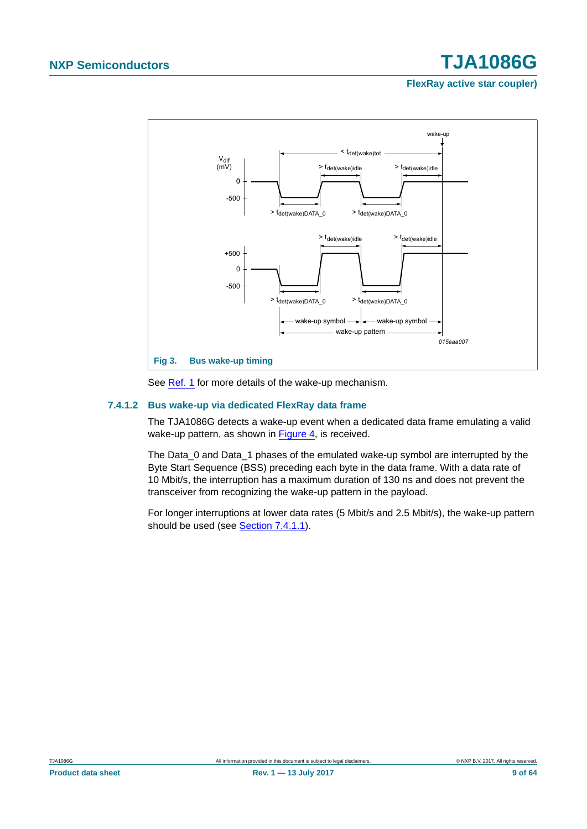**FlexRay active star coupler)**



<span id="page-8-0"></span>See [Ref. 1](#page-60-0) for more details of the wake-up mechanism.

#### <span id="page-8-1"></span>**7.4.1.2 Bus wake-up via dedicated FlexRay data frame**

The TJA1086G detects a wake-up event when a dedicated data frame emulating a valid wake-up pattern, as shown in [Figure 4](#page-9-0), is received.

The Data 0 and Data 1 phases of the emulated wake-up symbol are interrupted by the Byte Start Sequence (BSS) preceding each byte in the data frame. With a data rate of 10 Mbit/s, the interruption has a maximum duration of 130 ns and does not prevent the transceiver from recognizing the wake-up pattern in the payload.

For longer interruptions at lower data rates (5 Mbit/s and 2.5 Mbit/s), the wake-up pattern should be used (see [Section 7.4.1.1\)](#page-7-0).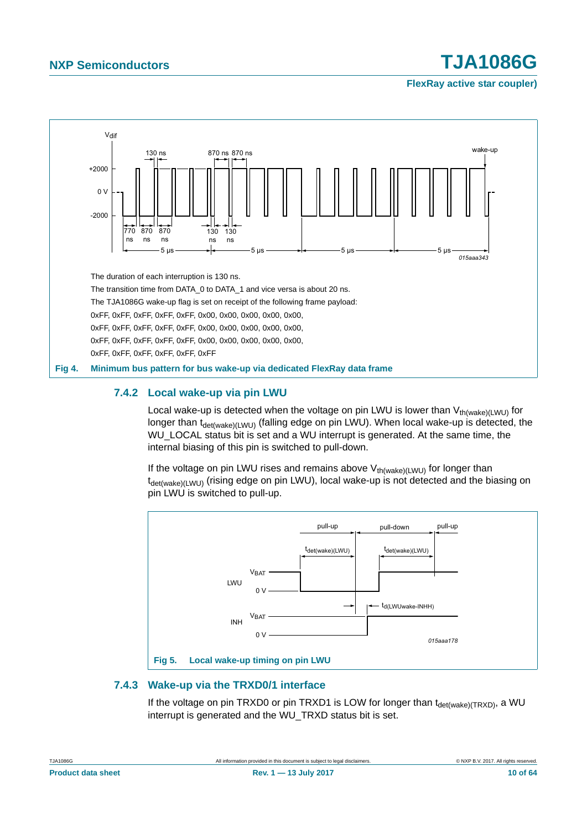**FlexRay active star coupler)**



#### <span id="page-9-1"></span><span id="page-9-0"></span>**7.4.2 Local wake-up via pin LWU**

Local wake-up is detected when the voltage on pin LWU is lower than  $V_{th(wake)(LWU)}$  for longer than  $t_{\text{det(wake)(LWU)}}$  (falling edge on pin LWU). When local wake-up is detected, the WU\_LOCAL status bit is set and a WU interrupt is generated. At the same time, the internal biasing of this pin is switched to pull-down.

If the voltage on pin LWU rises and remains above  $V_{th(wake)(LWU)}$  for longer than t<sub>det(wake)(LWU)</sub> (rising edge on pin LWU), local wake-up is not detected and the biasing on pin LWU is switched to pull-up.



### <span id="page-9-2"></span>**7.4.3 Wake-up via the TRXD0/1 interface**

If the voltage on pin TRXD0 or pin TRXD1 is LOW for longer than  $t_{\text{det(wake)(TRXD)}}$ , a WU interrupt is generated and the WU\_TRXD status bit is set.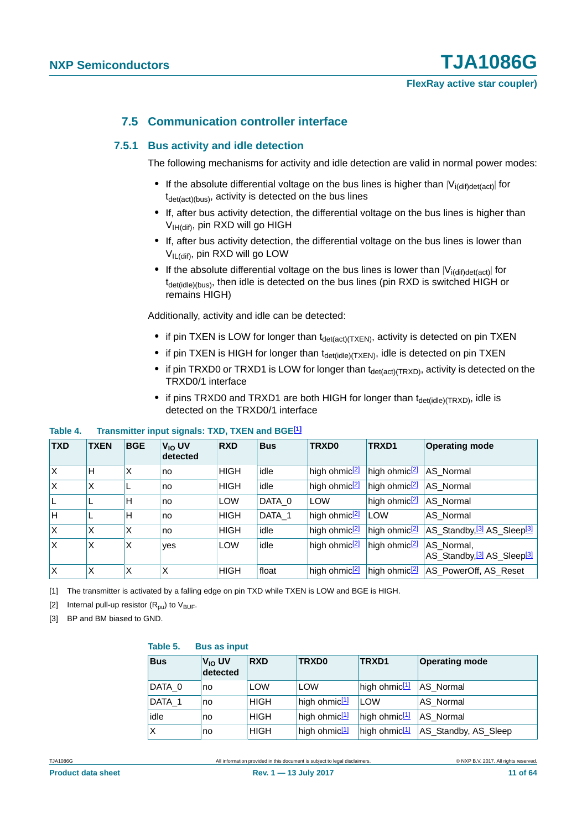### **7.5 Communication controller interface**

#### <span id="page-10-4"></span><span id="page-10-3"></span>**7.5.1 Bus activity and idle detection**

The following mechanisms for activity and idle detection are valid in normal power modes:

- If the absolute differential voltage on the bus lines is higher than  $|V_{\text{if-def(act)}}|$  for  $t_{\text{det}(\text{act})(bus)}$ , activity is detected on the bus lines
- **•** If, after bus activity detection, the differential voltage on the bus lines is higher than V<sub>IH(dif)</sub>, pin RXD will go HIGH
- **•** If, after bus activity detection, the differential voltage on the bus lines is lower than VIL(dif), pin RXD will go LOW
- If the absolute differential voltage on the bus lines is lower than  $|V_{\text{if-dift}}|$  for  $t_{\text{det}(idle)(bus)}$ , then idle is detected on the bus lines (pin RXD is switched HIGH or remains HIGH)

Additionally, activity and idle can be detected:

- if pin TXEN is LOW for longer than t<sub>det(act)</sub>(TXEN), activity is detected on pin TXEN
- if pin TXEN is HIGH for longer than t<sub>det(idle)(TXEN)</sub>, idle is detected on pin TXEN
- if pin TRXD0 or TRXD1 is LOW for longer than t<sub>det(act)</sub>(TRXD), activity is detected on the TRXD0/1 interface
- if pins TRXD0 and TRXD1 are both HIGH for longer than t<sub>det(idle)</sub>(TRXD), idle is detected on the TRXD0/1 interface

#### **Table 4. Transmitter input signals: TXD, TXEN and BGE[\[1\]](#page-10-0)**

| <b>TXD</b> | <b>TXEN</b> | <b>BGE</b> | $V_{10}$ UV<br>detected | <b>RXD</b>  | <b>Bus</b> | TRXD0                     | TRXD1                           | <b>Operating mode</b>                                            |
|------------|-------------|------------|-------------------------|-------------|------------|---------------------------|---------------------------------|------------------------------------------------------------------|
| Ιx         | H           | X          | no                      | HIGH        | idle       | high ohmic <sup>[2]</sup> | high ohmic $\sqrt{2}$ AS Normal |                                                                  |
| ΙX         | X           |            | no                      | <b>HIGH</b> | idle       | high ohmic <sup>[2]</sup> | high ohmic $\sqrt{2}$ AS Normal |                                                                  |
| IL         | L           | H          | no                      | <b>LOW</b>  | DATA 0     | <b>LOW</b>                | high ohmic <sup>[2]</sup>       | AS_Normal                                                        |
| H          | L           | H          | no                      | <b>HIGH</b> | DATA_1     | high ohmic <sup>[2]</sup> | LOW                             | AS Normal                                                        |
| ΙX         | X           | X          | no                      | <b>HIGH</b> | idle       | high ohmic <sup>[2]</sup> | high ohmic <sup>[2]</sup>       | AS_Standby, <sup>[3]</sup> AS_Sleep <sup>[3]</sup>               |
| ΙX         | Χ           | Χ          | ves                     | <b>LOW</b>  | idle       | high ohmic <sup>[2]</sup> | high ohmic <sup>[2]</sup>       | AS_Normal,<br>AS_Standby, <sup>[3]</sup> AS_Sleep <sup>[3]</sup> |
| ΙX         | X           | X          | X                       | <b>HIGH</b> | float      | high ohmic <sup>[2]</sup> | high ohmic <sup>[2]</sup>       | AS_PowerOff, AS_Reset                                            |

<span id="page-10-0"></span>[1] The transmitter is activated by a falling edge on pin TXD while TXEN is LOW and BGE is HIGH.

<span id="page-10-1"></span>[2] Internal pull-up resistor  $(R_{\text{nu}})$  to  $V_{\text{BUE}}$ .

<span id="page-10-2"></span>[3] BP and BM biased to GND.

#### **Table 5. Bus as input**

| <b>Bus</b> | V <sub>IO</sub> UV<br>detected | <b>RXD</b>  | <b>TRXD0</b>              | TRXD1                     | <b>Operating mode</b> |
|------------|--------------------------------|-------------|---------------------------|---------------------------|-----------------------|
| DATA 0     | no                             | <b>LOW</b>  | <b>LOW</b>                | high ohmic <sup>[1]</sup> | AS Normal             |
| DATA 1     | no                             | <b>HIGH</b> | high ohmic <sup>[1]</sup> | <b>LOW</b>                | AS Normal             |
| idle       | no                             | <b>HIGH</b> | high ohmic <sup>[1]</sup> | high ohmic <sup>[1]</sup> | AS Normal             |
| X          | no                             | <b>HIGH</b> | high ohmic <sup>[1]</sup> | high ohmic $11$           | AS_Standby, AS_Sleep  |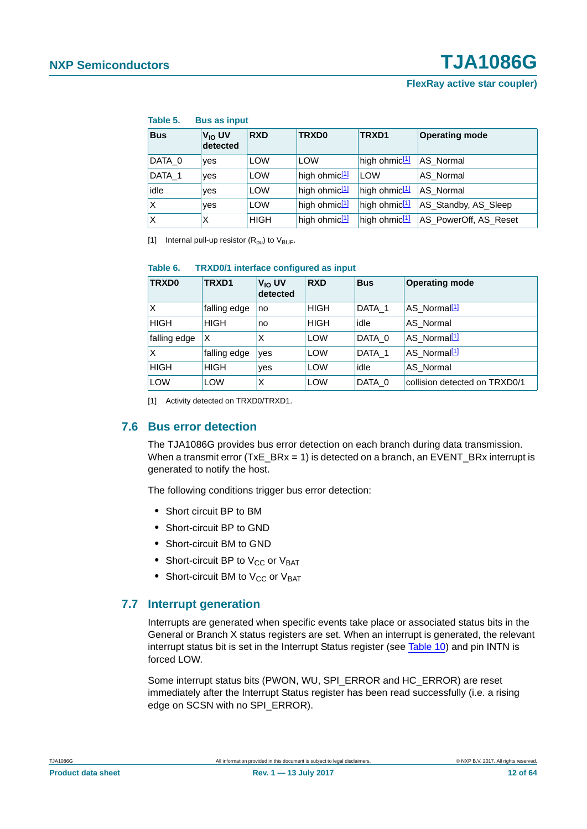| iaule J.<br><b>DUS AS ILIDUL</b> |                                |             |                           |                           |                       |
|----------------------------------|--------------------------------|-------------|---------------------------|---------------------------|-----------------------|
| <b>Bus</b>                       | V <sub>IO</sub> UV<br>detected | <b>RXD</b>  | TRXD0                     | TRXD1                     | <b>Operating mode</b> |
| DATA 0                           | yes                            | <b>LOW</b>  | <b>LOW</b>                | high ohmic <sup>[1]</sup> | AS Normal             |
| DATA_1                           | ves                            | <b>LOW</b>  | high ohmic <sup>[1]</sup> | LOW                       | AS Normal             |
| idle                             | ves                            | <b>LOW</b>  | high ohmic <sup>[1]</sup> | high ohmic <sup>[1]</sup> | AS Normal             |
| X                                | yes                            | <b>LOW</b>  | high ohmic <sup>[1]</sup> | high ohmic <sup>[1]</sup> | AS Standby, AS Sleep  |
| X                                | X                              | <b>HIGH</b> | high ohmic <sup>[1]</sup> | high ohmic <sup>[1]</sup> | AS PowerOff, AS Reset |

#### **Table 5. Bus as input**

<span id="page-11-0"></span>[1] Internal pull-up resistor  $(R_{\text{pu}})$  to  $V_{\text{BUF}}$ .

#### **Table 6. TRXD0/1 interface configured as input**

| TRXD0        | TRXD1        | V <sub>IO</sub> UV<br>detected | <b>RXD</b>  | <b>Bus</b> | <b>Operating mode</b>         |
|--------------|--------------|--------------------------------|-------------|------------|-------------------------------|
| X            | falling edge | no                             | <b>HIGH</b> | DATA 1     | AS Normal <sup>[1]</sup>      |
| <b>HIGH</b>  | <b>HIGH</b>  | no                             | <b>HIGH</b> | idle       | AS Normal                     |
| falling edge | X            | X                              | LOW         | DATA 0     | AS Normal <sup>[1]</sup>      |
| X            | falling edge | yes                            | LOW         | DATA 1     | AS_Normal[1]                  |
| <b>HIGH</b>  | <b>HIGH</b>  | yes                            | <b>LOW</b>  | idle       | AS Normal                     |
| <b>LOW</b>   | <b>LOW</b>   | X                              | <b>LOW</b>  | DATA 0     | collision detected on TRXD0/1 |

<span id="page-11-1"></span>[1] Activity detected on TRXD0/TRXD1.

#### <span id="page-11-3"></span>**7.6 Bus error detection**

The TJA1086G provides bus error detection on each branch during data transmission. When a transmit error (TxE\_BRx = 1) is detected on a branch, an EVENT\_BRx interrupt is generated to notify the host.

The following conditions trigger bus error detection:

- **•** Short circuit BP to BM
- **•** Short-circuit BP to GND
- **•** Short-circuit BM to GND
- Short-circuit BP to V<sub>CC</sub> or V<sub>BAT</sub>
- Short-circuit BM to V<sub>CC</sub> or V<sub>BAT</sub>

#### <span id="page-11-2"></span>**7.7 Interrupt generation**

Interrupts are generated when specific events take place or associated status bits in the General or Branch X status registers are set. When an interrupt is generated, the relevant interrupt status bit is set in the Interrupt Status register (see [Table 10](#page-25-0)) and pin INTN is forced LOW.

Some interrupt status bits (PWON, WU, SPI\_ERROR and HC\_ERROR) are reset immediately after the Interrupt Status register has been read successfully (i.e. a rising edge on SCSN with no SPI\_ERROR).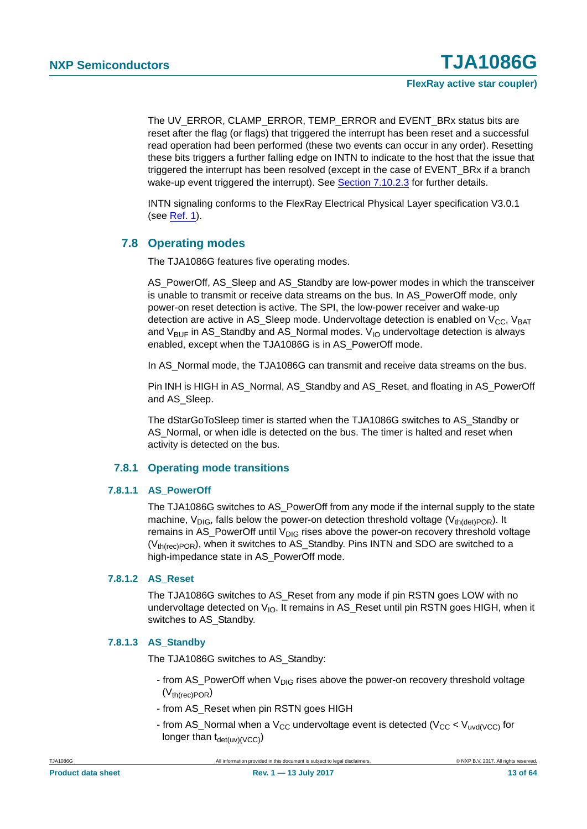The UV\_ERROR, CLAMP\_ERROR, TEMP\_ERROR and EVENT\_BRx status bits are reset after the flag (or flags) that triggered the interrupt has been reset and a successful read operation had been performed (these two events can occur in any order). Resetting these bits triggers a further falling edge on INTN to indicate to the host that the issue that triggered the interrupt has been resolved (except in the case of EVENT\_BRx if a branch wake-up event triggered the interrupt). See [Section 7.10.2.3](#page-25-1) for further details.

INTN signaling conforms to the FlexRay Electrical Physical Layer specification V3.0.1 (see [Ref. 1\)](#page-60-0).

#### <span id="page-12-1"></span>**7.8 Operating modes**

The TJA1086G features five operating modes.

AS\_PowerOff, AS\_Sleep and AS\_Standby are low-power modes in which the transceiver is unable to transmit or receive data streams on the bus. In AS\_PowerOff mode, only power-on reset detection is active. The SPI, the low-power receiver and wake-up detection are active in AS Sleep mode. Undervoltage detection is enabled on  $V_{CC}$ , V<sub>BAT</sub> and  $V_{\text{BUF}}$  in AS\_Standby and AS\_Normal modes.  $V_{10}$  undervoltage detection is always enabled, except when the TJA1086G is in AS\_PowerOff mode.

In AS Normal mode, the TJA1086G can transmit and receive data streams on the bus.

Pin INH is HIGH in AS\_Normal, AS\_Standby and AS\_Reset, and floating in AS\_PowerOff and AS\_Sleep.

The dStarGoToSleep timer is started when the TJA1086G switches to AS\_Standby or AS Normal, or when idle is detected on the bus. The timer is halted and reset when activity is detected on the bus.

#### **7.8.1 Operating mode transitions**

#### <span id="page-12-2"></span><span id="page-12-0"></span>**7.8.1.1 AS\_PowerOff**

The TJA1086G switches to AS\_PowerOff from any mode if the internal supply to the state machine,  $V_{DIG}$ , falls below the power-on detection threshold voltage ( $V_{th(det)POR}$ ). It remains in AS\_PowerOff until  $V_{DIG}$  rises above the power-on recovery threshold voltage  $(V<sub>th(rec)POR</sub>)$ , when it switches to AS\_Standby. Pins INTN and SDO are switched to a high-impedance state in AS\_PowerOff mode.

#### <span id="page-12-3"></span>**7.8.1.2 AS\_Reset**

The TJA1086G switches to AS\_Reset from any mode if pin RSTN goes LOW with no undervoltage detected on  $V_{10}$ . It remains in AS Reset until pin RSTN goes HIGH, when it switches to AS\_Standby.

#### <span id="page-12-4"></span>**7.8.1.3 AS\_Standby**

The TJA1086G switches to AS\_Standby:

- from AS\_PowerOff when  $V_{\text{DIG}}$  rises above the power-on recovery threshold voltage  $(V_{th(rec)POR})$
- from AS\_Reset when pin RSTN goes HIGH
- from AS\_Normal when a  $V_{CC}$  undervoltage event is detected ( $V_{CC}$  <  $V_{uvd/VCC}$ ) for longer than  $t_{\text{det}(uv)(\text{VCC})}$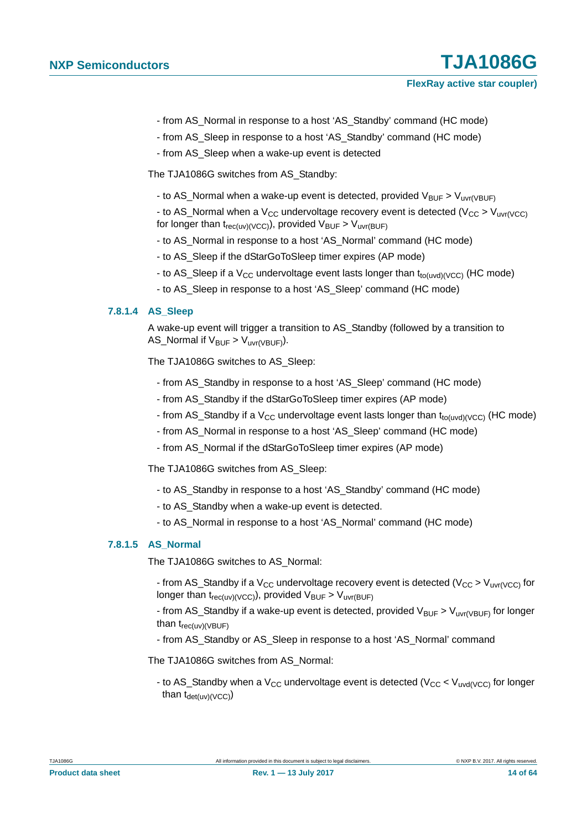- from AS\_Normal in response to a host 'AS\_Standby' command (HC mode)
- from AS Sleep in response to a host 'AS Standby' command (HC mode)
- from AS\_Sleep when a wake-up event is detected

The TJA1086G switches from AS\_Standby:

- to AS\_Normal when a wake-up event is detected, provided  $V_{\text{BUF}} > V_{\text{uvr(VBUF)}}$ 

- to AS Normal when a V<sub>CC</sub> undervoltage recovery event is detected (V<sub>CC</sub> > V<sub>uvr(VCC</sub>) for longer than  $t_{rec(uv)(VCC)}$ , provided  $V_{BUF} > V_{uvr(BUF)}$ 

- to AS\_Normal in response to a host 'AS\_Normal' command (HC mode)
- to AS\_Sleep if the dStarGoToSleep timer expires (AP mode)
- to AS\_Sleep if a  $V_{CC}$  undervoltage event lasts longer than  $t_{to(uvd)(VCC)}$  (HC mode)
- to AS\_Sleep in response to a host 'AS\_Sleep' command (HC mode)

#### <span id="page-13-0"></span>**7.8.1.4 AS\_Sleep**

A wake-up event will trigger a transition to AS\_Standby (followed by a transition to AS\_Normal if  $V_{\text{BUF}} > V_{\text{uvr(VBUF)}}$ ).

The TJA1086G switches to AS\_Sleep:

- from AS\_Standby in response to a host 'AS\_Sleep' command (HC mode)
- from AS\_Standby if the dStarGoToSleep timer expires (AP mode)
- from AS\_Standby if a  $V_{CC}$  undervoltage event lasts longer than  $t_{to(uvd)(VCC)}$  (HC mode)
- from AS\_Normal in response to a host 'AS\_Sleep' command (HC mode)
- from AS\_Normal if the dStarGoToSleep timer expires (AP mode)

The TJA1086G switches from AS\_Sleep:

- to AS\_Standby in response to a host 'AS\_Standby' command (HC mode)
- to AS\_Standby when a wake-up event is detected.
- to AS\_Normal in response to a host 'AS\_Normal' command (HC mode)

#### <span id="page-13-1"></span>**7.8.1.5 AS\_Normal**

The TJA1086G switches to AS\_Normal:

- from AS\_Standby if a  $V_{CC}$  undervoltage recovery event is detected ( $V_{CC} > V_{UVr(VCC)}$  for longer than  $t_{rec(uv)(VCC)}$ , provided  $V_{BUF} > V_{uvr(BUF)}$
- from AS\_Standby if a wake-up event is detected, provided  $V_{BUF} > V_{UVI(VBUF)}$  for longer than  $t_{rec(uv)(VBUF)}$
- from AS\_Standby or AS\_Sleep in response to a host 'AS\_Normal' command

The TJA1086G switches from AS\_Normal:

- to AS\_Standby when a  $V_{CC}$  undervoltage event is detected ( $V_{CC}$  <  $V_{uvd(VCC)}$  for longer than  $t_{\text{det}(uv)(VCC)}$ )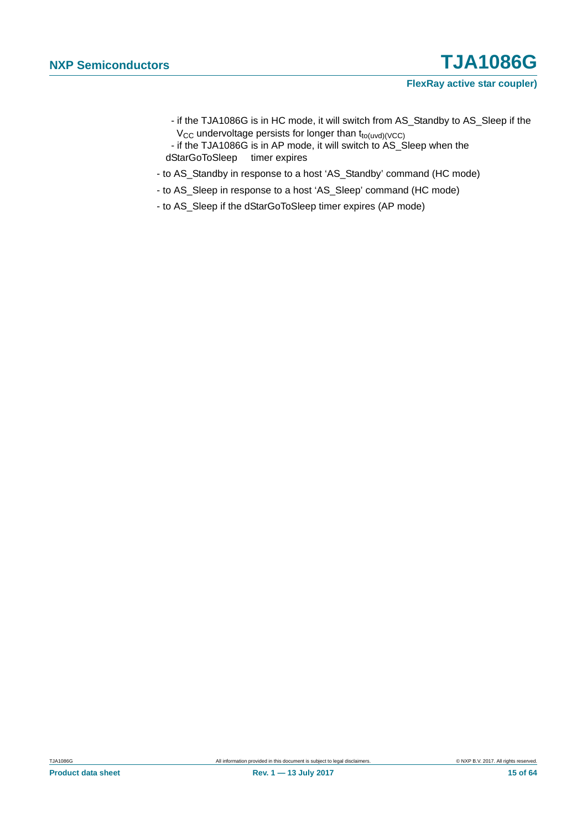- if the TJA1086G is in HC mode, it will switch from AS\_Standby to AS\_Sleep if the  $V_{CC}$  undervoltage persists for longer than  $t_{to(uvd)(VCC)}$
- if the TJA1086G is in AP mode, it will switch to AS\_Sleep when the dStarGoToSleep timer expires
- to AS\_Standby in response to a host 'AS\_Standby' command (HC mode)
- to AS\_Sleep in response to a host 'AS\_Sleep' command (HC mode)
- to AS\_Sleep if the dStarGoToSleep timer expires (AP mode)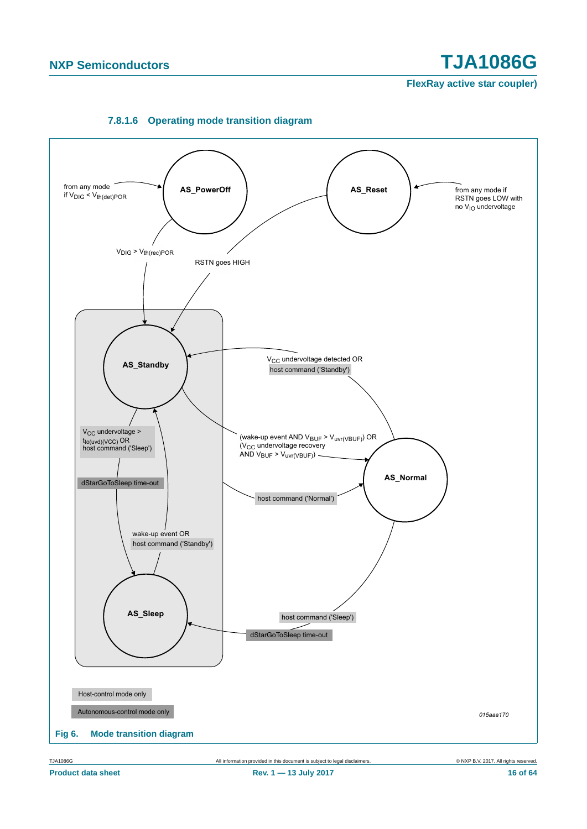<span id="page-15-0"></span>

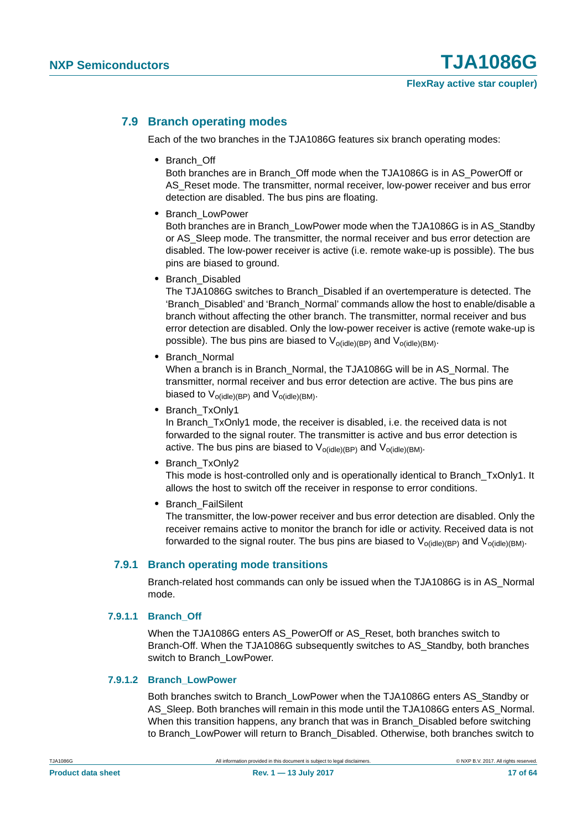#### <span id="page-16-1"></span>**7.9 Branch operating modes**

Each of the two branches in the TJA1086G features six branch operating modes:

**•** Branch\_Off

Both branches are in Branch\_Off mode when the TJA1086G is in AS\_PowerOff or AS Reset mode. The transmitter, normal receiver, low-power receiver and bus error detection are disabled. The bus pins are floating.

**•** Branch\_LowPower

Both branches are in Branch\_LowPower mode when the TJA1086G is in AS\_Standby or AS\_Sleep mode. The transmitter, the normal receiver and bus error detection are disabled. The low-power receiver is active (i.e. remote wake-up is possible). The bus pins are biased to ground.

**•** Branch\_Disabled

The TJA1086G switches to Branch\_Disabled if an overtemperature is detected. The 'Branch\_Disabled' and 'Branch\_Normal' commands allow the host to enable/disable a branch without affecting the other branch. The transmitter, normal receiver and bus error detection are disabled. Only the low-power receiver is active (remote wake-up is possible). The bus pins are biased to  $V_{o(id|e)(BP)}$  and  $V_{o(id|e)(BM)}$ .

**•** Branch\_Normal

When a branch is in Branch\_Normal, the TJA1086G will be in AS\_Normal. The transmitter, normal receiver and bus error detection are active. The bus pins are biased to  $V_{ofidle)(BP)}$  and  $V_{ofidle)(BM)}$ .

**•** Branch\_TxOnly1

In Branch TxOnly1 mode, the receiver is disabled, i.e. the received data is not forwarded to the signal router. The transmitter is active and bus error detection is active. The bus pins are biased to  $V_{o(id|e)(BP)}$  and  $V_{o(id|e)(BM)}$ .

**•** Branch\_TxOnly2

This mode is host-controlled only and is operationally identical to Branch\_TxOnly1. It allows the host to switch off the receiver in response to error conditions.

**•** Branch\_FailSilent

The transmitter, the low-power receiver and bus error detection are disabled. Only the receiver remains active to monitor the branch for idle or activity. Received data is not forwarded to the signal router. The bus pins are biased to  $V_{\text{o}(idle)(BP)}$  and  $V_{\text{o}(idle)(BM)}$ .

#### <span id="page-16-0"></span>**7.9.1 Branch operating mode transitions**

Branch-related host commands can only be issued when the TJA1086G is in AS\_Normal mode.

#### <span id="page-16-2"></span>**7.9.1.1 Branch\_Off**

When the TJA1086G enters AS\_PowerOff or AS\_Reset, both branches switch to Branch-Off. When the TJA1086G subsequently switches to AS\_Standby, both branches switch to Branch\_LowPower.

#### <span id="page-16-3"></span>**7.9.1.2 Branch\_LowPower**

Both branches switch to Branch\_LowPower when the TJA1086G enters AS\_Standby or AS\_Sleep. Both branches will remain in this mode until the TJA1086G enters AS\_Normal. When this transition happens, any branch that was in Branch Disabled before switching to Branch\_LowPower will return to Branch\_Disabled. Otherwise, both branches switch to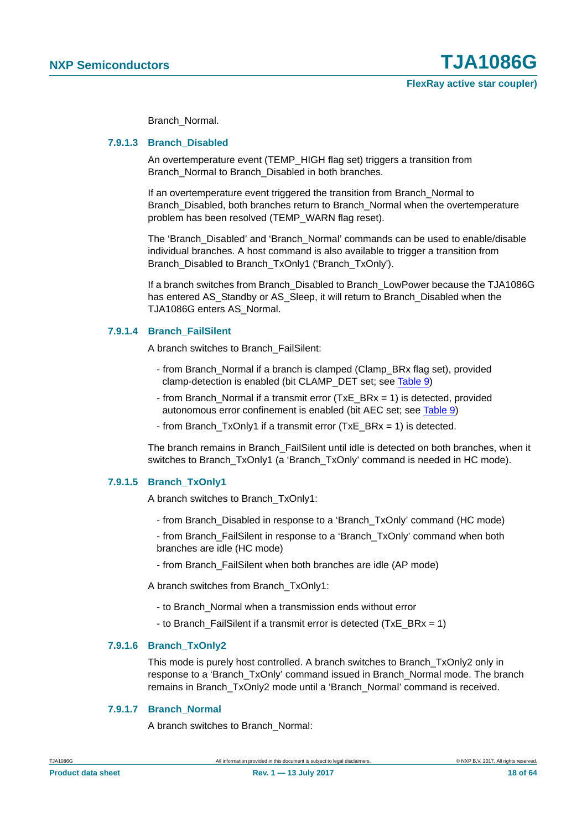**FlexRay active star coupler)**

Branch\_Normal.

#### <span id="page-17-0"></span>**7.9.1.3 Branch\_Disabled**

An overtemperature event (TEMP\_HIGH flag set) triggers a transition from Branch Normal to Branch Disabled in both branches.

If an overtemperature event triggered the transition from Branch\_Normal to Branch\_Disabled, both branches return to Branch\_Normal when the overtemperature problem has been resolved (TEMP\_WARN flag reset).

The 'Branch\_Disabled' and 'Branch\_Normal' commands can be used to enable/disable individual branches. A host command is also available to trigger a transition from Branch\_Disabled to Branch\_TxOnly1 ('Branch\_TxOnly').

If a branch switches from Branch\_Disabled to Branch\_LowPower because the TJA1086G has entered AS\_Standby or AS\_Sleep, it will return to Branch\_Disabled when the TJA1086G enters AS\_Normal.

#### <span id="page-17-1"></span>**7.9.1.4 Branch\_FailSilent**

A branch switches to Branch\_FailSilent:

- from Branch\_Normal if a branch is clamped (Clamp\_BRx flag set), provided clamp-detection is enabled (bit CLAMP\_DET set; see [Table 9\)](#page-23-0)
- from Branch\_Normal if a transmit error (TxE\_BRx = 1) is detected, provided autonomous error confinement is enabled (bit AEC set; see [Table 9\)](#page-23-0)
- from Branch\_TxOnly1 if a transmit error (TxE\_BRx = 1) is detected.

The branch remains in Branch\_FailSilent until idle is detected on both branches, when it switches to Branch\_TxOnly1 (a 'Branch\_TxOnly' command is needed in HC mode).

#### <span id="page-17-2"></span>**7.9.1.5 Branch\_TxOnly1**

A branch switches to Branch\_TxOnly1:

- from Branch\_Disabled in response to a 'Branch\_TxOnly' command (HC mode)

- from Branch\_FailSilent in response to a 'Branch\_TxOnly' command when both branches are idle (HC mode)

- from Branch\_FailSilent when both branches are idle (AP mode)

A branch switches from Branch\_TxOnly1:

- to Branch\_Normal when a transmission ends without error
- to Branch FailSilent if a transmit error is detected (TxE BRx = 1)

#### <span id="page-17-3"></span>**7.9.1.6 Branch\_TxOnly2**

This mode is purely host controlled. A branch switches to Branch\_TxOnly2 only in response to a 'Branch\_TxOnly' command issued in Branch\_Normal mode. The branch remains in Branch\_TxOnly2 mode until a 'Branch\_Normal' command is received.

#### <span id="page-17-4"></span>**7.9.1.7 Branch\_Normal**

A branch switches to Branch\_Normal: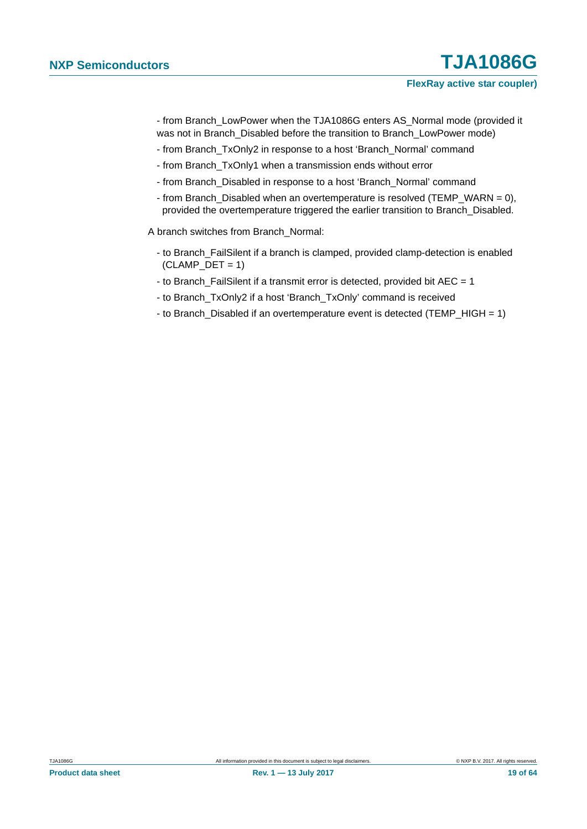- from Branch\_LowPower when the TJA1086G enters AS\_Normal mode (provided it was not in Branch\_Disabled before the transition to Branch\_LowPower mode)

- from Branch\_TxOnly2 in response to a host 'Branch\_Normal' command
- from Branch\_TxOnly1 when a transmission ends without error
- from Branch\_Disabled in response to a host 'Branch\_Normal' command
- from Branch\_Disabled when an overtemperature is resolved (TEMP\_WARN = 0), provided the overtemperature triggered the earlier transition to Branch\_Disabled.

A branch switches from Branch\_Normal:

- to Branch\_FailSilent if a branch is clamped, provided clamp-detection is enabled  $(CLAMP_DET = 1)$
- to Branch\_FailSilent if a transmit error is detected, provided bit AEC = 1
- to Branch\_TxOnly2 if a host 'Branch\_TxOnly' command is received
- to Branch\_Disabled if an overtemperature event is detected (TEMP\_HIGH = 1)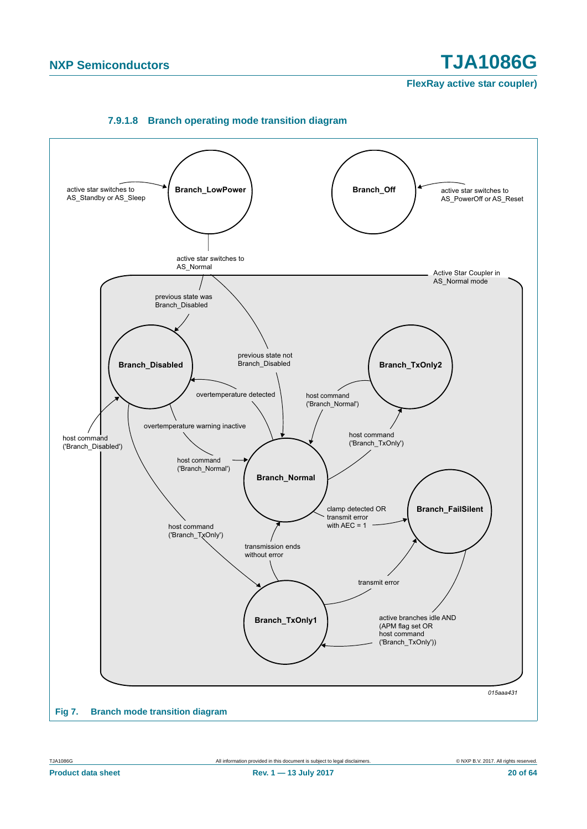**FlexRay active star coupler)**

<span id="page-19-0"></span>

#### **7.9.1.8 Branch operating mode transition diagram**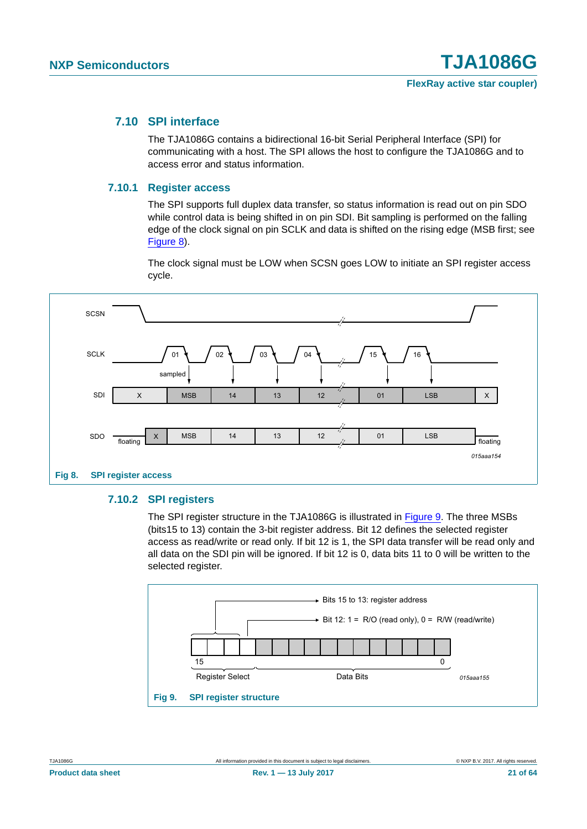#### <span id="page-20-2"></span>**7.10 SPI interface**

The TJA1086G contains a bidirectional 16-bit Serial Peripheral Interface (SPI) for communicating with a host. The SPI allows the host to configure the TJA1086G and to access error and status information.

#### <span id="page-20-3"></span>**7.10.1 Register access**

The SPI supports full duplex data transfer, so status information is read out on pin SDO while control data is being shifted in on pin SDI. Bit sampling is performed on the falling edge of the clock signal on pin SCLK and data is shifted on the rising edge (MSB first; see [Figure 8\)](#page-20-0).

The clock signal must be LOW when SCSN goes LOW to initiate an SPI register access cycle.



#### <span id="page-20-4"></span><span id="page-20-0"></span>**7.10.2 SPI registers**

The SPI register structure in the TJA1086G is illustrated in [Figure 9](#page-20-1). The three MSBs (bits15 to 13) contain the 3-bit register address. Bit 12 defines the selected register access as read/write or read only. If bit 12 is 1, the SPI data transfer will be read only and all data on the SDI pin will be ignored. If bit 12 is 0, data bits 11 to 0 will be written to the selected register.

<span id="page-20-1"></span>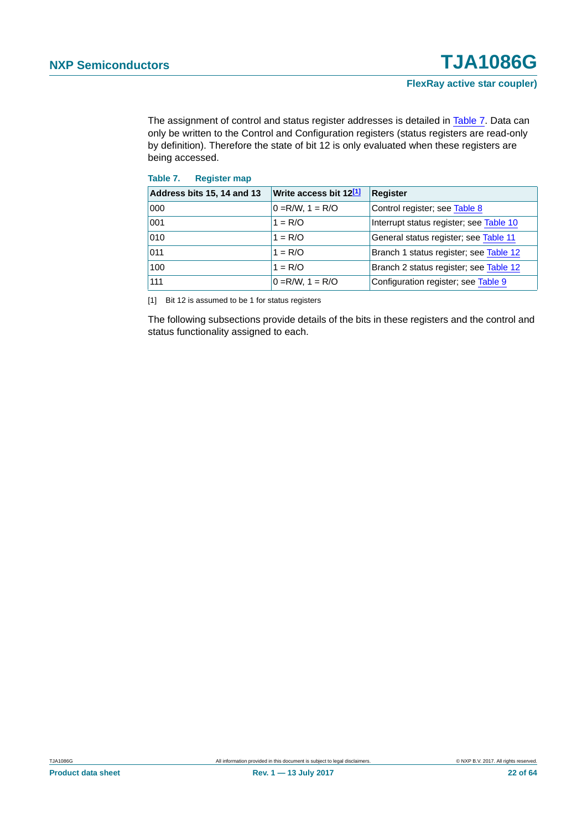The assignment of control and status register addresses is detailed in [Table 7.](#page-21-0) Data can only be written to the Control and Configuration registers (status registers are read-only by definition). Therefore the state of bit 12 is only evaluated when these registers are being accessed.

<span id="page-21-0"></span>

| Table 7. | <b>Register map</b> |  |
|----------|---------------------|--|
|          |                     |  |

| Address bits 15, 14 and 13 | Write access bit 12[1] | <b>Register</b>                         |  |  |
|----------------------------|------------------------|-----------------------------------------|--|--|
| 000                        | $ 0 = R/W$ , $1 = R/O$ | Control register; see Table 8           |  |  |
| 001                        | $1 = R/O$              | Interrupt status register; see Table 10 |  |  |
| 010                        | $1 = R/O$              | General status register; see Table 11   |  |  |
| 011                        | $1 = R/O$              | Branch 1 status register; see Table 12  |  |  |
| 100                        | $1 = R/O$              | Branch 2 status register; see Table 12  |  |  |
| 111                        | $0 = R/W$ , $1 = R/O$  | Configuration register; see Table 9     |  |  |

<span id="page-21-1"></span>[1] Bit 12 is assumed to be 1 for status registers

The following subsections provide details of the bits in these registers and the control and status functionality assigned to each.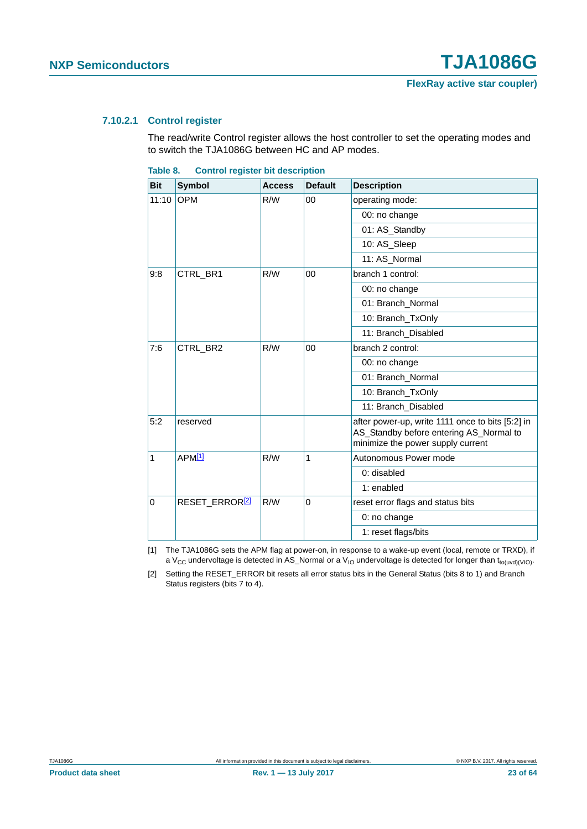#### <span id="page-22-3"></span>**7.10.2.1 Control register**

The read/write Control register allows the host controller to set the operating modes and to switch the TJA1086G between HC and AP modes.

<span id="page-22-0"></span>

|  | Table 8. |  |  |  | <b>Control register bit description</b> |
|--|----------|--|--|--|-----------------------------------------|
|--|----------|--|--|--|-----------------------------------------|

| <b>Bit</b>   | <b>Symbol</b>              | <b>Access</b> | <b>Default</b> | <b>Description</b>                                                                                                               |
|--------------|----------------------------|---------------|----------------|----------------------------------------------------------------------------------------------------------------------------------|
| 11:10        | <b>OPM</b>                 | R/W           | 00             | operating mode:                                                                                                                  |
|              |                            |               |                | 00: no change                                                                                                                    |
|              |                            |               |                | 01: AS_Standby                                                                                                                   |
|              |                            |               |                | 10: AS_Sleep                                                                                                                     |
|              |                            |               |                | 11: AS_Normal                                                                                                                    |
| 9:8          | CTRL_BR1                   | R/W           | 00             | branch 1 control:                                                                                                                |
|              |                            |               |                | 00: no change                                                                                                                    |
|              |                            |               |                | 01: Branch_Normal                                                                                                                |
|              |                            |               |                | 10: Branch_TxOnly                                                                                                                |
|              |                            |               |                | 11: Branch_Disabled                                                                                                              |
| 7:6          | CTRL BR2<br>R/W            |               | 00             | branch 2 control:                                                                                                                |
|              |                            |               |                | 00: no change                                                                                                                    |
|              |                            |               |                | 01: Branch_Normal                                                                                                                |
|              |                            |               |                | 10: Branch_TxOnly                                                                                                                |
|              |                            |               |                | 11: Branch_Disabled                                                                                                              |
| 5:2          | reserved                   |               |                | after power-up, write 1111 once to bits [5:2] in<br>AS_Standby before entering AS_Normal to<br>minimize the power supply current |
| $\mathbf{1}$ | APM <sup>[1]</sup>         | R/W           | 1              | Autonomous Power mode                                                                                                            |
|              |                            |               |                | 0: disabled                                                                                                                      |
|              |                            |               |                | 1: enabled                                                                                                                       |
| 0            | RESET_ERROR <sup>[2]</sup> | R/W           | $\Omega$       | reset error flags and status bits                                                                                                |
|              |                            |               |                | 0: no change                                                                                                                     |
|              |                            |               |                | 1: reset flags/bits                                                                                                              |

<span id="page-22-1"></span>[1] The TJA1086G sets the APM flag at power-on, in response to a wake-up event (local, remote or TRXD), if a V<sub>CC</sub> undervoltage is detected in AS\_Normal or a V<sub>IO</sub> undervoltage is detected for longer than t<sub>to(uvd)(VIO)</sub>.

<span id="page-22-2"></span>[2] Setting the RESET\_ERROR bit resets all error status bits in the General Status (bits 8 to 1) and Branch Status registers (bits 7 to 4).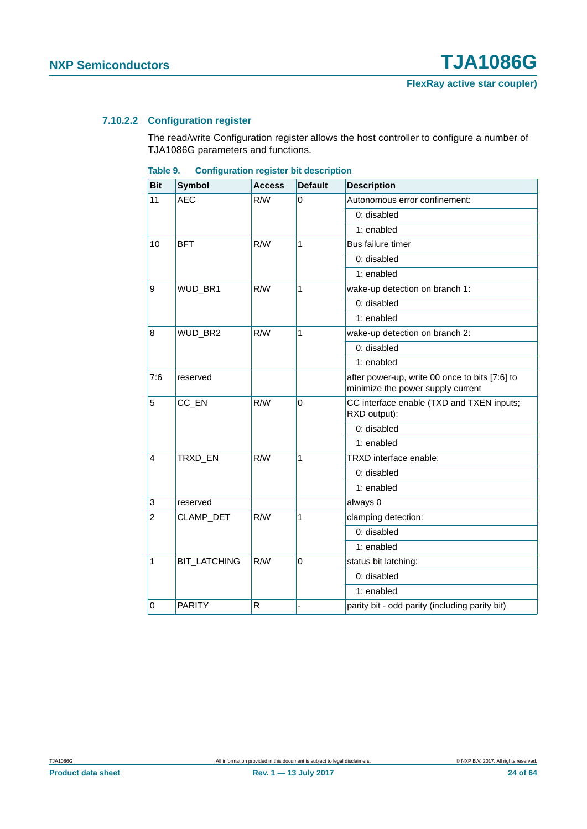#### <span id="page-23-1"></span>**7.10.2.2 Configuration register**

The read/write Configuration register allows the host controller to configure a number of TJA1086G parameters and functions.

<span id="page-23-0"></span>

| Table 9. | <b>Configuration register bit description</b> |  |  |
|----------|-----------------------------------------------|--|--|
|          |                                               |  |  |

| <b>Bit</b>     | <b>Symbol</b>       | <b>Access</b> | <b>Default</b> | <b>Description</b>                                                                  |
|----------------|---------------------|---------------|----------------|-------------------------------------------------------------------------------------|
| 11             | <b>AEC</b>          | R/W           | 0              | Autonomous error confinement:                                                       |
|                |                     |               |                | 0: disabled                                                                         |
|                |                     |               |                | 1: enabled                                                                          |
| 10             | <b>BFT</b>          | R/W           | 1              | Bus failure timer                                                                   |
|                |                     |               |                | 0: disabled                                                                         |
|                |                     |               |                | 1: enabled                                                                          |
| 9              | WUD_BR1             | R/W           | 1              | wake-up detection on branch 1:                                                      |
|                |                     |               |                | 0: disabled                                                                         |
|                |                     |               |                | 1: enabled                                                                          |
| 8              | WUD_BR2             | R/W           | 1              | wake-up detection on branch 2:                                                      |
|                |                     |               |                | 0: disabled                                                                         |
|                |                     |               |                | 1: enabled                                                                          |
| 7:6            | reserved            |               |                | after power-up, write 00 once to bits [7:6] to<br>minimize the power supply current |
| 5              | CC_EN               | R/W           | $\mathbf 0$    | CC interface enable (TXD and TXEN inputs;<br>RXD output):                           |
|                |                     |               |                | 0: disabled                                                                         |
|                |                     |               |                | 1: enabled                                                                          |
| $\overline{4}$ | TRXD_EN             | R/W           | 1              | TRXD interface enable:                                                              |
|                |                     |               |                | 0: disabled                                                                         |
|                |                     |               |                | 1: enabled                                                                          |
| $\vert$ 3      | reserved            |               |                | always 0                                                                            |
| $ 2\rangle$    | CLAMP_DET           | R/W           | 1              | clamping detection:                                                                 |
|                |                     |               |                | 0: disabled                                                                         |
|                |                     |               |                | 1: enabled                                                                          |
| $\vert$ 1      | <b>BIT LATCHING</b> | R/W           | $\Omega$       | status bit latching:                                                                |
|                |                     |               |                | 0: disabled                                                                         |
|                |                     |               |                | 1: enabled                                                                          |
| $\overline{0}$ | <b>PARITY</b>       | $\mathsf R$   |                | parity bit - odd parity (including parity bit)                                      |

**Product data sheet Rev. 1 — 13 July 2017 24 of 64**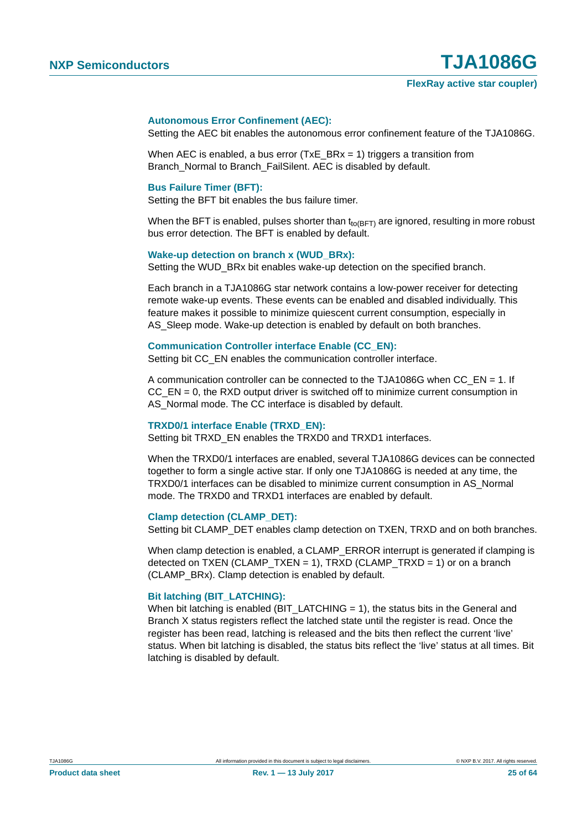#### **Autonomous Error Confinement (AEC):**

Setting the AEC bit enables the autonomous error confinement feature of the TJA1086G.

When AEC is enabled, a bus error (TxE  $BRx = 1$ ) triggers a transition from Branch Normal to Branch FailSilent. AEC is disabled by default.

#### **Bus Failure Timer (BFT):**

Setting the BFT bit enables the bus failure timer.

When the BFT is enabled, pulses shorter than  $t_{to(BFT)}$  are ignored, resulting in more robust bus error detection. The BFT is enabled by default.

#### Wake-up detection on branch x (WUD\_BRx):

Setting the WUD\_BRx bit enables wake-up detection on the specified branch.

Each branch in a TJA1086G star network contains a low-power receiver for detecting remote wake-up events. These events can be enabled and disabled individually. This feature makes it possible to minimize quiescent current consumption, especially in AS Sleep mode. Wake-up detection is enabled by default on both branches.

#### **Communication Controller interface Enable (CC\_EN):**

Setting bit CC\_EN enables the communication controller interface.

A communication controller can be connected to the TJA1086G when CC\_EN = 1. If  $CC$   $EN = 0$ , the RXD output driver is switched off to minimize current consumption in AS Normal mode. The CC interface is disabled by default.

#### **TRXD0/1 interface Enable (TRXD\_EN):**

Setting bit TRXD\_EN enables the TRXD0 and TRXD1 interfaces.

When the TRXD0/1 interfaces are enabled, several TJA1086G devices can be connected together to form a single active star. If only one TJA1086G is needed at any time, the TRXD0/1 interfaces can be disabled to minimize current consumption in AS\_Normal mode. The TRXD0 and TRXD1 interfaces are enabled by default.

#### **Clamp detection (CLAMP\_DET):**

Setting bit CLAMP\_DET enables clamp detection on TXEN, TRXD and on both branches.

When clamp detection is enabled, a CLAMP\_ERROR interrupt is generated if clamping is detected on TXEN (CLAMP\_TXEN = 1), TRXD (CLAMP\_TRXD = 1) or on a branch (CLAMP\_BRx). Clamp detection is enabled by default.

#### **Bit latching (BIT\_LATCHING):**

When bit latching is enabled (BIT\_LATCHING  $= 1$ ), the status bits in the General and Branch X status registers reflect the latched state until the register is read. Once the register has been read, latching is released and the bits then reflect the current 'live' status. When bit latching is disabled, the status bits reflect the 'live' status at all times. Bit latching is disabled by default.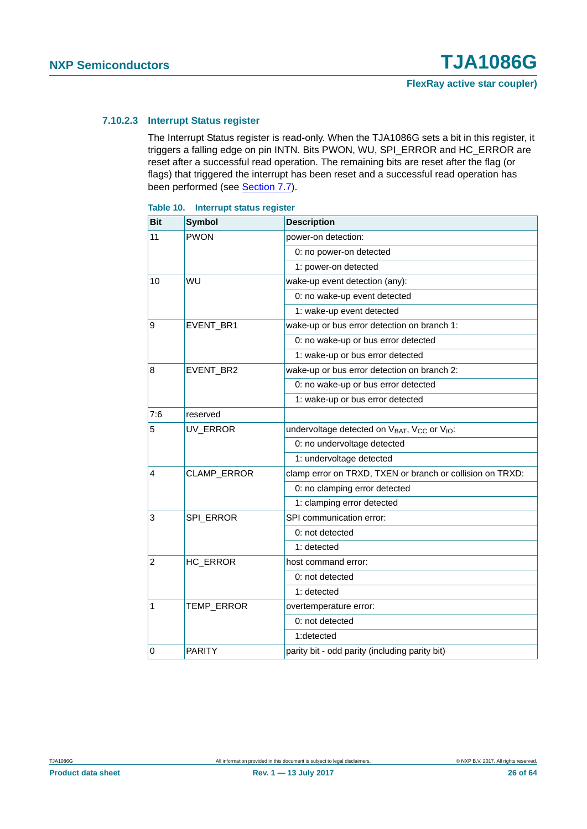#### <span id="page-25-1"></span>**7.10.2.3 Interrupt Status register**

The Interrupt Status register is read-only. When the TJA1086G sets a bit in this register, it triggers a falling edge on pin INTN. Bits PWON, WU, SPI\_ERROR and HC\_ERROR are reset after a successful read operation. The remaining bits are reset after the flag (or flags) that triggered the interrupt has been reset and a successful read operation has been performed (see [Section 7.7\)](#page-11-2).

| <b>Bit</b>     | <b>Symbol</b>    | <b>Description</b>                                                               |
|----------------|------------------|----------------------------------------------------------------------------------|
| 11             | <b>PWON</b>      | power-on detection:                                                              |
|                |                  | 0: no power-on detected                                                          |
|                |                  | 1: power-on detected                                                             |
| 10             | WU               | wake-up event detection (any):                                                   |
|                |                  | 0: no wake-up event detected                                                     |
|                |                  | 1: wake-up event detected                                                        |
| 9              | EVENT_BR1        | wake-up or bus error detection on branch 1:                                      |
|                |                  | 0: no wake-up or bus error detected                                              |
|                |                  | 1: wake-up or bus error detected                                                 |
| 8              | EVENT_BR2        | wake-up or bus error detection on branch 2:                                      |
|                |                  | 0: no wake-up or bus error detected                                              |
|                |                  | 1: wake-up or bus error detected                                                 |
| 7:6            | reserved         |                                                                                  |
| 5              | UV_ERROR         | undervoltage detected on V <sub>BAT</sub> , V <sub>CC</sub> or V <sub>IO</sub> : |
|                |                  | 0: no undervoltage detected                                                      |
|                |                  | 1: undervoltage detected                                                         |
| 4              | CLAMP_ERROR      | clamp error on TRXD, TXEN or branch or collision on TRXD:                        |
|                |                  | 0: no clamping error detected                                                    |
|                |                  | 1: clamping error detected                                                       |
| 3              | <b>SPI_ERROR</b> | SPI communication error:                                                         |
|                |                  | 0: not detected                                                                  |
|                |                  | 1: detected                                                                      |
| $\overline{2}$ | HC_ERROR         | host command error:                                                              |
|                |                  | 0: not detected                                                                  |
|                |                  | 1: detected                                                                      |
| $\mathbf{1}$   | TEMP_ERROR       | overtemperature error:                                                           |
|                |                  | 0: not detected                                                                  |
|                |                  | 1:detected                                                                       |
| $\mathbf 0$    | <b>PARITY</b>    | parity bit - odd parity (including parity bit)                                   |

#### <span id="page-25-0"></span>**Table 10. Interrupt status register**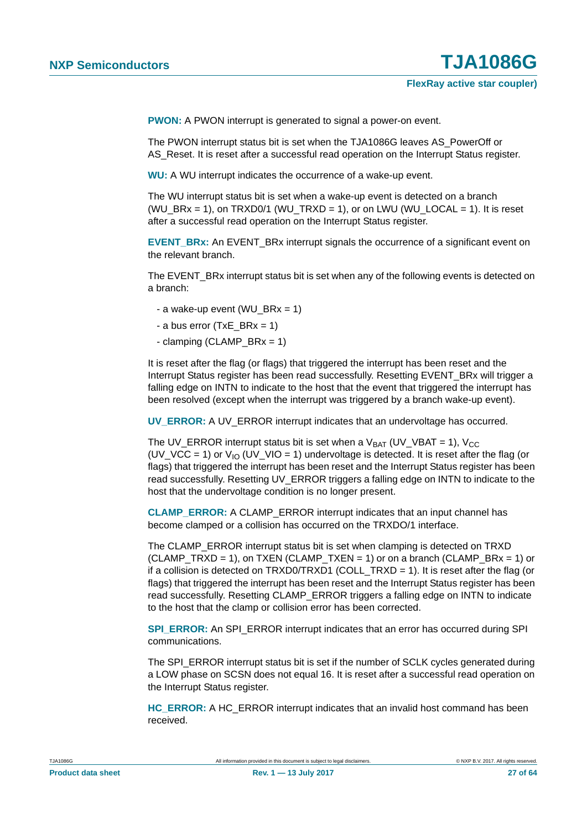**PWON:** A PWON interrupt is generated to signal a power-on event.

The PWON interrupt status bit is set when the TJA1086G leaves AS\_PowerOff or AS Reset. It is reset after a successful read operation on the Interrupt Status register.

**WU:** A WU interrupt indicates the occurrence of a wake-up event.

The WU interrupt status bit is set when a wake-up event is detected on a branch  $(WU_BRx = 1)$ , on TRXD0/1  $(WU_TRXD = 1)$ , or on LWU  $(WU_LOCAL = 1)$ . It is reset after a successful read operation on the Interrupt Status register.

**EVENT\_BRx:** An EVENT\_BRx interrupt signals the occurrence of a significant event on the relevant branch.

The EVENT BRx interrupt status bit is set when any of the following events is detected on a branch:

- a wake-up event (WU  $BRx = 1$ )
- a bus error (TxE  $BRx = 1$ )
- clamping (CLAMP\_BR $x = 1$ )

It is reset after the flag (or flags) that triggered the interrupt has been reset and the Interrupt Status register has been read successfully. Resetting EVENT\_BRx will trigger a falling edge on INTN to indicate to the host that the event that triggered the interrupt has been resolved (except when the interrupt was triggered by a branch wake-up event).

**UV\_ERROR:** A UV\_ERROR interrupt indicates that an undervoltage has occurred.

The UV\_ERROR interrupt status bit is set when a  $V_{BAT}$  (UV\_VBAT = 1),  $V_{CC}$ (UV\_VCC = 1) or  $V_{10}$  (UV\_VIO = 1) undervoltage is detected. It is reset after the flag (or flags) that triggered the interrupt has been reset and the Interrupt Status register has been read successfully. Resetting UV\_ERROR triggers a falling edge on INTN to indicate to the host that the undervoltage condition is no longer present.

**CLAMP\_ERROR:** A CLAMP\_ERROR interrupt indicates that an input channel has become clamped or a collision has occurred on the TRXDO/1 interface.

The CLAMP\_ERROR interrupt status bit is set when clamping is detected on TRXD  $(CLAMP_TRXD = 1)$ , on TXEN  $(CLAMP_TXEN = 1)$  or on a branch  $(CLAMP_BRx = 1)$  or if a collision is detected on TRXD0/TRXD1 (COLL\_TRXD = 1). It is reset after the flag (or flags) that triggered the interrupt has been reset and the Interrupt Status register has been read successfully. Resetting CLAMP\_ERROR triggers a falling edge on INTN to indicate to the host that the clamp or collision error has been corrected.

**SPI\_ERROR:** An SPI\_ERROR interrupt indicates that an error has occurred during SPI communications.

The SPI\_ERROR interrupt status bit is set if the number of SCLK cycles generated during a LOW phase on SCSN does not equal 16. It is reset after a successful read operation on the Interrupt Status register.

**HC\_ERROR:** A HC\_ERROR interrupt indicates that an invalid host command has been received.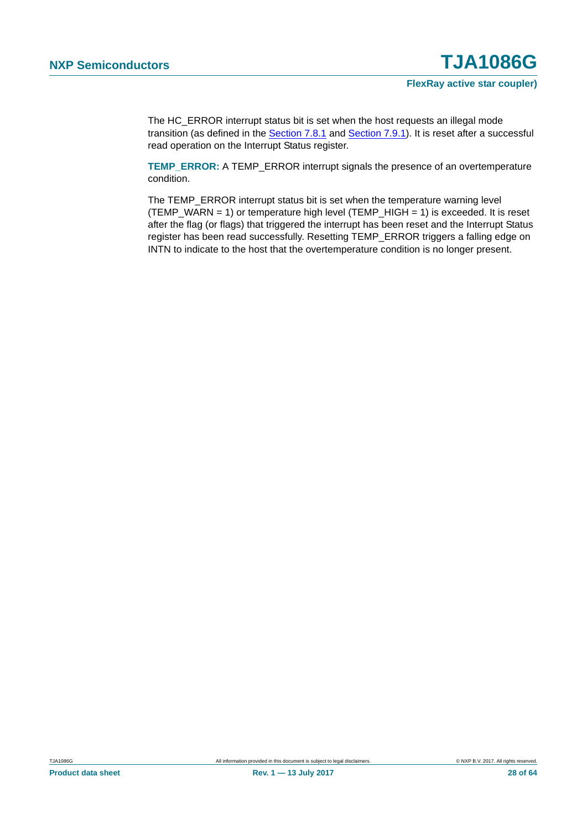The HC\_ERROR interrupt status bit is set when the host requests an illegal mode transition (as defined in the [Section 7.8.1](#page-12-0) and [Section 7.9.1\)](#page-16-0). It is reset after a successful read operation on the Interrupt Status register.

**TEMP\_ERROR:** A TEMP\_ERROR interrupt signals the presence of an overtemperature condition.

The TEMP\_ERROR interrupt status bit is set when the temperature warning level (TEMP\_WARN = 1) or temperature high level (TEMP\_HIGH = 1) is exceeded. It is reset after the flag (or flags) that triggered the interrupt has been reset and the Interrupt Status register has been read successfully. Resetting TEMP\_ERROR triggers a falling edge on INTN to indicate to the host that the overtemperature condition is no longer present.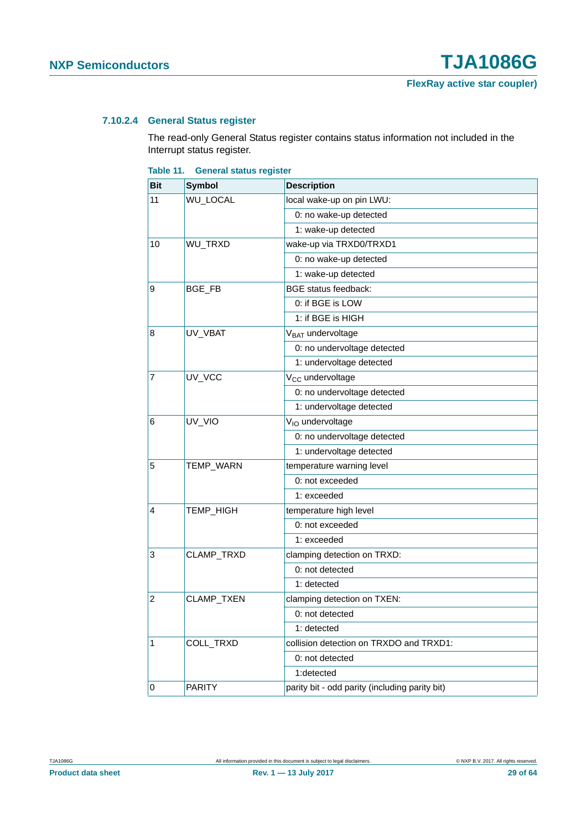#### <span id="page-28-1"></span>**7.10.2.4 General Status register**

The read-only General Status register contains status information not included in the Interrupt status register.

<span id="page-28-0"></span>

| <b>Bit</b> | <b>Symbol</b> | <b>Description</b>                             |
|------------|---------------|------------------------------------------------|
| 11         | WU_LOCAL      | local wake-up on pin LWU:                      |
|            |               | 0: no wake-up detected                         |
|            |               | 1: wake-up detected                            |
| 10         | WU_TRXD       | wake-up via TRXD0/TRXD1                        |
|            |               | 0: no wake-up detected                         |
|            |               | 1: wake-up detected                            |
| 9          | BGE_FB        | <b>BGE</b> status feedback:                    |
|            |               | 0: if BGE is LOW                               |
|            |               | 1: if BGE is HIGH                              |
| 8          | UV_VBAT       | V <sub>BAT</sub> undervoltage                  |
|            |               | 0: no undervoltage detected                    |
|            |               | 1: undervoltage detected                       |
| 7          | UV_VCC        | V <sub>CC</sub> undervoltage                   |
|            |               | 0: no undervoltage detected                    |
|            |               | 1: undervoltage detected                       |
| 6          | UV_VIO        | V <sub>IO</sub> undervoltage                   |
|            |               | 0: no undervoltage detected                    |
|            |               | 1: undervoltage detected                       |
| 5          | TEMP_WARN     | temperature warning level                      |
|            |               | 0: not exceeded                                |
|            |               | 1: exceeded                                    |
| 4          | TEMP_HIGH     | temperature high level                         |
|            |               | 0: not exceeded                                |
|            |               | 1: exceeded                                    |
| 3          | CLAMP_TRXD    | clamping detection on TRXD:                    |
|            |               | 0: not detected                                |
|            |               | 1: detected                                    |
| 2          | CLAMP_TXEN    | clamping detection on TXEN:                    |
|            |               | 0: not detected                                |
|            |               | 1: detected                                    |
| 1          | COLL_TRXD     | collision detection on TRXDO and TRXD1:        |
|            |               | 0: not detected                                |
|            |               | 1:detected                                     |
| 0          | <b>PARITY</b> | parity bit - odd parity (including parity bit) |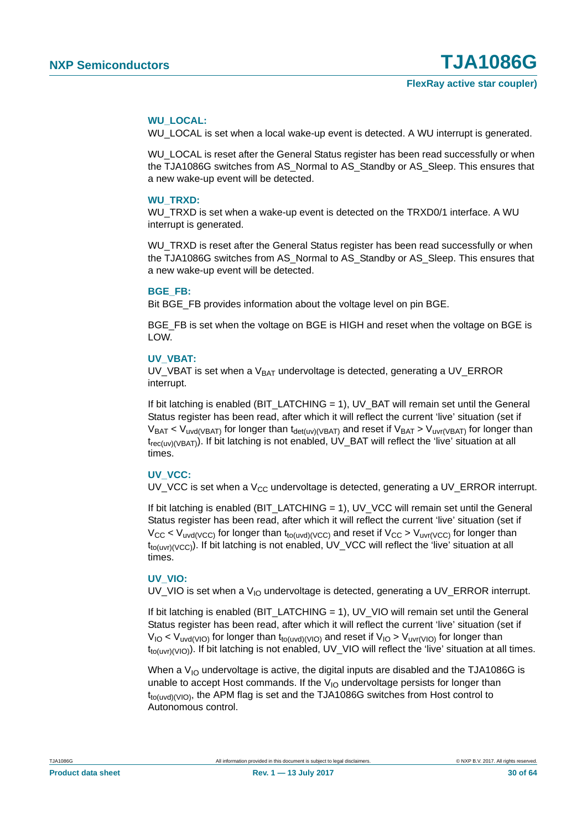#### **WU\_LOCAL:**

WU\_LOCAL is set when a local wake-up event is detected. A WU interrupt is generated.

WU\_LOCAL is reset after the General Status register has been read successfully or when the TJA1086G switches from AS\_Normal to AS\_Standby or AS\_Sleep. This ensures that a new wake-up event will be detected.

#### **WU\_TRXD:**

WU TRXD is set when a wake-up event is detected on the TRXD0/1 interface. A WU interrupt is generated.

WU TRXD is reset after the General Status register has been read successfully or when the TJA1086G switches from AS\_Normal to AS\_Standby or AS\_Sleep. This ensures that a new wake-up event will be detected.

#### **BGE\_FB:**

Bit BGE\_FB provides information about the voltage level on pin BGE.

BGE\_FB is set when the voltage on BGE is HIGH and reset when the voltage on BGE is LOW.

#### **UV\_VBAT:**

UV\_VBAT is set when a  $V<sub>BAT</sub>$  undervoltage is detected, generating a UV\_ERROR interrupt.

If bit latching is enabled (BIT\_LATCHING = 1), UV\_BAT will remain set until the General Status register has been read, after which it will reflect the current 'live' situation (set if  $V_{BAT} < V_{uvd(VBAT)}$  for longer than  $t_{det(uv)(VBAT)}$  and reset if  $V_{BAT} > V_{uvr(VBAT)}$  for longer than trec(uv)(VBAT)). If bit latching is not enabled, UV\_BAT will reflect the 'live' situation at all times.

#### **UV\_VCC:**

UV VCC is set when a  $V_{CC}$  undervoltage is detected, generating a UV ERROR interrupt.

If bit latching is enabled (BIT\_LATCHING = 1), UV\_VCC will remain set until the General Status register has been read, after which it will reflect the current 'live' situation (set if  $V_{CC}$  <  $V_{uvd(VCC)}$  for longer than t<sub>to(uvd)</sub>( $V_{CC}$ ) and reset if  $V_{CC}$  >  $V_{uvd(VCC)}$  for longer than  $t_{tot(uv)(VCC)}$ ). If bit latching is not enabled, UV\_VCC will reflect the 'live' situation at all times.

#### **UV\_VIO:**

UV\_VIO is set when a  $V_{10}$  undervoltage is detected, generating a UV\_ERROR interrupt.

If bit latching is enabled (BIT\_LATCHING = 1), UV\_VIO will remain set until the General Status register has been read, after which it will reflect the current 'live' situation (set if  $V_{IO}$  <  $V_{uvd(VIO)}$  for longer than t<sub>to(uvd)</sub>( $V_{IO}$ ) and reset if  $V_{IO}$  >  $V_{uvt(VIO)}$  for longer than t<sub>to(uvr)</sub>(v<sub>IO</sub>). If bit latching is not enabled, UV\_VIO will reflect the 'live' situation at all times.

When a  $V_{10}$  undervoltage is active, the digital inputs are disabled and the TJA1086G is unable to accept Host commands. If the  $V_{1O}$  undervoltage persists for longer than  $t_{tot(uvd)(VIO)}$ , the APM flag is set and the TJA1086G switches from Host control to Autonomous control.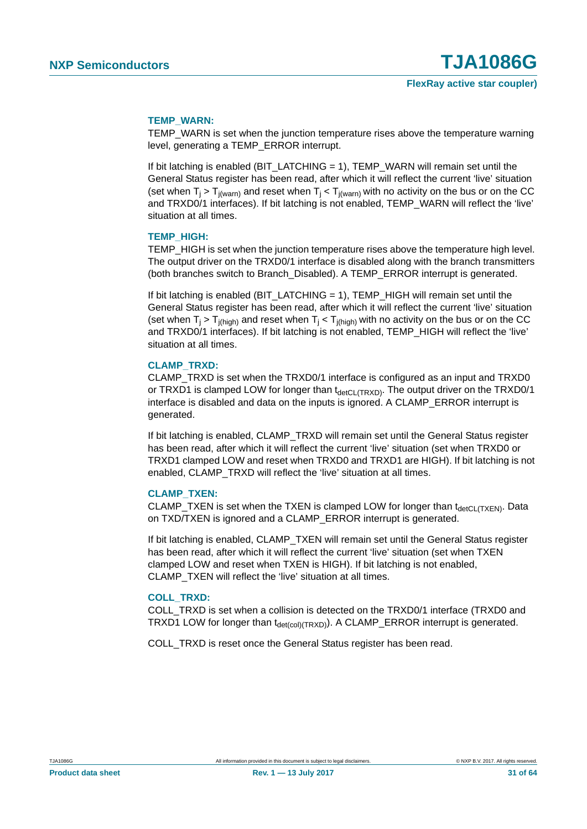#### **TEMP\_WARN:**

TEMP\_WARN is set when the junction temperature rises above the temperature warning level, generating a TEMP\_ERROR interrupt.

If bit latching is enabled (BIT\_LATCHING = 1), TEMP\_WARN will remain set until the General Status register has been read, after which it will reflect the current 'live' situation (set when  $T_i > T_{i(warn)}$  and reset when  $T_i < T_{i(warn)}$  with no activity on the bus or on the CC and TRXD0/1 interfaces). If bit latching is not enabled, TEMP\_WARN will reflect the 'live' situation at all times.

#### **TEMP\_HIGH:**

TEMP\_HIGH is set when the junction temperature rises above the temperature high level. The output driver on the TRXD0/1 interface is disabled along with the branch transmitters (both branches switch to Branch\_Disabled). A TEMP\_ERROR interrupt is generated.

If bit latching is enabled (BIT\_LATCHING = 1), TEMP\_HIGH will remain set until the General Status register has been read, after which it will reflect the current 'live' situation (set when  $T_i > T_{i(hich)}$  and reset when  $T_i < T_{i(hich)}$  with no activity on the bus or on the CC and TRXD0/1 interfaces). If bit latching is not enabled, TEMP\_HIGH will reflect the 'live' situation at all times.

#### **CLAMP\_TRXD:**

CLAMP\_TRXD is set when the TRXD0/1 interface is configured as an input and TRXD0 or TRXD1 is clamped LOW for longer than  $t_{\text{detCL(TRXD)}}$ . The output driver on the TRXD0/1 interface is disabled and data on the inputs is ignored. A CLAMP\_ERROR interrupt is generated.

If bit latching is enabled, CLAMP\_TRXD will remain set until the General Status register has been read, after which it will reflect the current 'live' situation (set when TRXD0 or TRXD1 clamped LOW and reset when TRXD0 and TRXD1 are HIGH). If bit latching is not enabled, CLAMP\_TRXD will reflect the 'live' situation at all times.

#### **CLAMP\_TXEN:**

CLAMP TXEN is set when the TXEN is clamped LOW for longer than  $t_{\text{detCL(TXEN)}}$ . Data on TXD/TXEN is ignored and a CLAMP\_ERROR interrupt is generated.

If bit latching is enabled, CLAMP\_TXEN will remain set until the General Status register has been read, after which it will reflect the current 'live' situation (set when TXEN clamped LOW and reset when TXEN is HIGH). If bit latching is not enabled, CLAMP\_TXEN will reflect the 'live' situation at all times.

#### **COLL\_TRXD:**

COLL\_TRXD is set when a collision is detected on the TRXD0/1 interface (TRXD0 and TRXD1 LOW for longer than  $t_{\text{det(col(TRXD))}}$ . A CLAMP\_ERROR interrupt is generated.

COLL\_TRXD is reset once the General Status register has been read.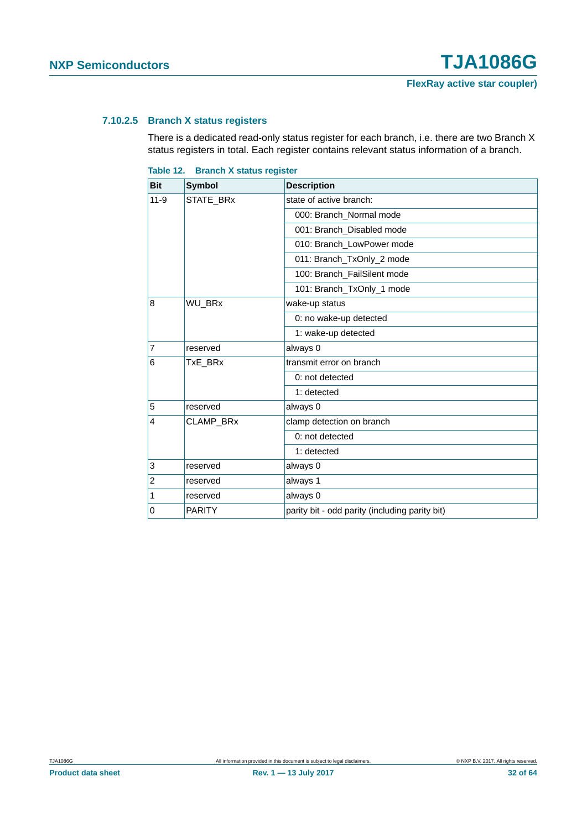#### <span id="page-31-1"></span>**7.10.2.5 Branch X status registers**

There is a dedicated read-only status register for each branch, i.e. there are two Branch X status registers in total. Each register contains relevant status information of a branch.

<span id="page-31-0"></span>

|  | Table 12. Branch X status register |  |  |
|--|------------------------------------|--|--|
|--|------------------------------------|--|--|

| <b>Bit</b>                         | <b>Symbol</b> | <b>Description</b>                             |
|------------------------------------|---------------|------------------------------------------------|
| $11 - 9$                           | STATE_BRx     | state of active branch:                        |
| 8<br>$\overline{7}$<br>6<br>5<br>4 |               | 000: Branch_Normal mode                        |
|                                    |               | 001: Branch_Disabled mode                      |
|                                    |               | 010: Branch_LowPower mode                      |
|                                    |               | 011: Branch_TxOnly_2 mode                      |
|                                    |               | 100: Branch_FailSilent mode                    |
|                                    |               | 101: Branch_TxOnly_1 mode                      |
|                                    | WU_BRx        | wake-up status                                 |
|                                    |               | 0: no wake-up detected                         |
|                                    |               | 1: wake-up detected                            |
|                                    | reserved      | always 0                                       |
|                                    | TxE BRx       | transmit error on branch                       |
|                                    |               | 0: not detected                                |
|                                    |               | 1: detected                                    |
|                                    | reserved      | always 0                                       |
|                                    | CLAMP_BRx     | clamp detection on branch                      |
|                                    |               | 0: not detected                                |
|                                    |               | 1: detected                                    |
| 3                                  | reserved      | always 0                                       |
| $\overline{2}$                     | reserved      | always 1                                       |
| 1                                  | reserved      | always 0                                       |
| 0                                  | <b>PARITY</b> | parity bit - odd parity (including parity bit) |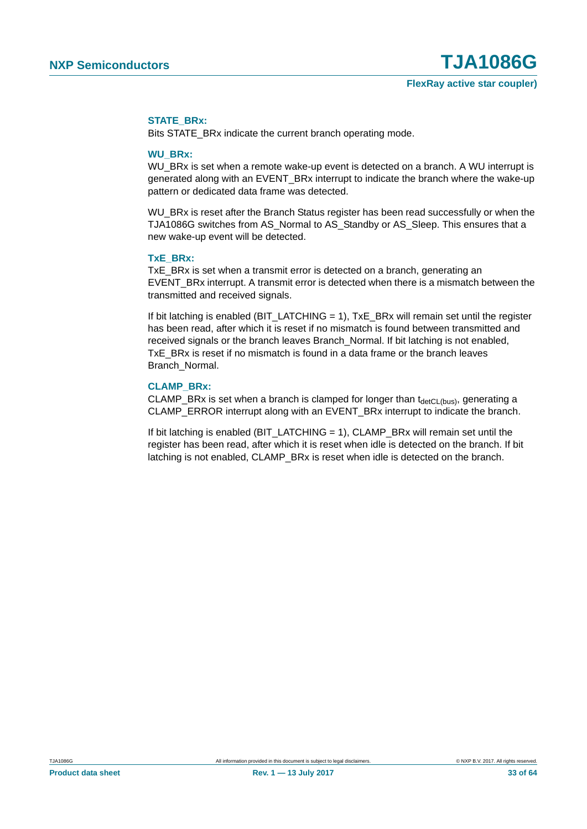#### **STATE\_BRx:**

Bits STATE\_BRx indicate the current branch operating mode.

#### **WU\_BRx:**

WU\_BRx is set when a remote wake-up event is detected on a branch. A WU interrupt is generated along with an EVENT\_BRx interrupt to indicate the branch where the wake-up pattern or dedicated data frame was detected.

WU\_BRx is reset after the Branch Status register has been read successfully or when the TJA1086G switches from AS\_Normal to AS\_Standby or AS\_Sleep. This ensures that a new wake-up event will be detected.

#### **TxE\_BRx:**

TxE BRx is set when a transmit error is detected on a branch, generating an EVENT\_BRx interrupt. A transmit error is detected when there is a mismatch between the transmitted and received signals.

If bit latching is enabled ( $BIT$ <sub>LATCHING</sub> = 1),  $TxE$ <sub>\_BRx</sub> will remain set until the register has been read, after which it is reset if no mismatch is found between transmitted and received signals or the branch leaves Branch\_Normal. If bit latching is not enabled, TxE BRx is reset if no mismatch is found in a data frame or the branch leaves Branch\_Normal.

#### **CLAMP\_BRx:**

CLAMP\_BRx is set when a branch is clamped for longer than  $t_{\text{detCL(bus)}}$ , generating a CLAMP\_ERROR interrupt along with an EVENT\_BRx interrupt to indicate the branch.

If bit latching is enabled (BIT\_LATCHING  $= 1$ ), CLAMP\_BRx will remain set until the register has been read, after which it is reset when idle is detected on the branch. If bit latching is not enabled, CLAMP\_BRx is reset when idle is detected on the branch.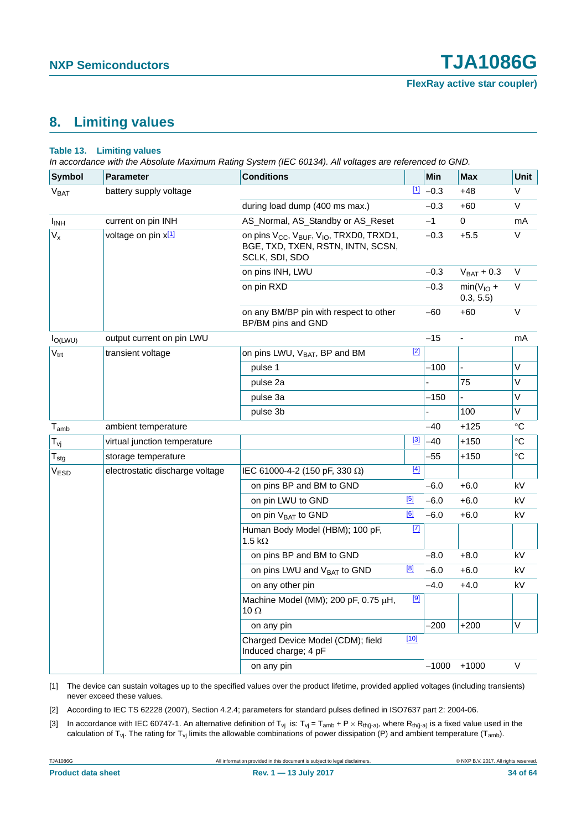### <span id="page-33-3"></span>**8. Limiting values**

#### **Table 13. Limiting values**

*In accordance with the Absolute Maximum Rating System (IEC 60134). All voltages are referenced to GND.*

| <b>Symbol</b>           | <b>Parameter</b>                | <b>Conditions</b>                                                                                                                   |             | Min        | <b>Max</b>               | Unit      |
|-------------------------|---------------------------------|-------------------------------------------------------------------------------------------------------------------------------------|-------------|------------|--------------------------|-----------|
| V <sub>BAT</sub>        | battery supply voltage          |                                                                                                                                     |             | $11 - 0.3$ | $+48$                    | V         |
|                         |                                 | during load dump (400 ms max.)                                                                                                      |             | $-0.3$     | +60                      | V         |
| <b>I</b> <sub>INH</sub> | current on pin INH              | AS_Normal, AS_Standby or AS_Reset                                                                                                   |             | $-1$       | 0                        | mA        |
| $V_{x}$                 | voltage on pin x <sup>[1]</sup> | on pins V <sub>CC</sub> , V <sub>BUF</sub> , V <sub>IO</sub> , TRXD0, TRXD1,<br>BGE, TXD, TXEN, RSTN, INTN, SCSN,<br>SCLK, SDI, SDO |             | $-0.3$     | $+5.5$                   | V         |
|                         |                                 | on pins INH, LWU                                                                                                                    |             | $-0.3$     | $V_{BAT} + 0.3$          | V         |
|                         |                                 | on pin RXD                                                                                                                          |             | $-0.3$     | $min(V10 +$<br>0.3, 5.5) | V         |
|                         |                                 | on any BM/BP pin with respect to other<br>BP/BM pins and GND                                                                        |             | $-60$      | $+60$                    | V         |
| $I_{O(LWU)}$            | output current on pin LWU       |                                                                                                                                     |             | $-15$      |                          | mA        |
| $V_{\text{trt}}$        | transient voltage               | on pins LWU, V <sub>BAT</sub> , BP and BM                                                                                           | $[2]$       |            |                          |           |
|                         |                                 | pulse 1                                                                                                                             |             | $-100$     |                          | V         |
|                         |                                 | pulse 2a                                                                                                                            |             |            | 75                       | V         |
|                         |                                 | pulse 3a                                                                                                                            |             | -150       |                          | $\vee$    |
|                         |                                 | pulse 3b                                                                                                                            |             |            | 100                      | V         |
| $T_{\mathsf{amb}}$      | ambient temperature             |                                                                                                                                     |             | $-40$      | $+125$                   | °C        |
| $T_{\mathsf{vj}}$       | virtual junction temperature    |                                                                                                                                     | $\boxed{3}$ | -40        | $+150$                   | $\circ$ C |
| $T_{\text{stg}}$        | storage temperature             |                                                                                                                                     |             | -55        | $+150$                   | $\circ$ C |
| V <sub>ESD</sub>        | electrostatic discharge voltage | IEC 61000-4-2 (150 pF, 330 $\Omega$ )                                                                                               | $[4]$       |            |                          |           |
|                         |                                 | on pins BP and BM to GND                                                                                                            |             | $-6.0$     | $+6.0$                   | kV        |
|                         |                                 | on pin LWU to GND                                                                                                                   | [5]         | $-6.0$     | $+6.0$                   | kV        |
|                         |                                 | on pin V <sub>BAT</sub> to GND                                                                                                      | [6]         | $-6.0$     | $+6.0$                   | kV        |
|                         |                                 | Human Body Model (HBM); 100 pF,<br>1.5 k $\Omega$                                                                                   | $\boxed{7}$ |            |                          |           |
|                         |                                 | on pins BP and BM to GND                                                                                                            |             | $-8.0$     | $+8.0$                   | kV        |
|                         |                                 | on pins LWU and V <sub>BAT</sub> to GND                                                                                             | [8]         | $-6.0$     | $+6.0$                   | kV        |
|                         |                                 | on any other pin                                                                                                                    |             | $-4.0$     | $+4.0$                   | kV        |
|                         |                                 | Machine Model (MM); 200 pF, 0.75 μH,<br>10 $\Omega$                                                                                 | [9]         |            |                          |           |
|                         |                                 | on any pin                                                                                                                          |             | -200       | $+200$                   | $\vee$    |
|                         |                                 | Charged Device Model (CDM); field<br>Induced charge; 4 pF                                                                           | $[10]$      |            |                          |           |
|                         |                                 | on any pin                                                                                                                          |             | $-1000$    | $+1000$                  | V         |

<span id="page-33-2"></span>[1] The device can sustain voltages up to the specified values over the product lifetime, provided applied voltages (including transients) never exceed these values.

<span id="page-33-0"></span>[2] According to IEC TS 62228 (2007), Section 4.2.4; parameters for standard pulses defined in ISO7637 part 2: 2004-06.

<span id="page-33-1"></span>[3] In accordance with IEC 60747-1. An alternative definition of T<sub>vj</sub> is: T<sub>vj</sub> = T<sub>amb</sub> + P × R<sub>th(j-a)</sub>, where R<sub>th(j-a)</sub> is a fixed value used in the calculation of T<sub>vj</sub>. The rating for T<sub>vj</sub> limits the allowable combinations of power dissipation (P) and ambient temperature (T<sub>amb</sub>).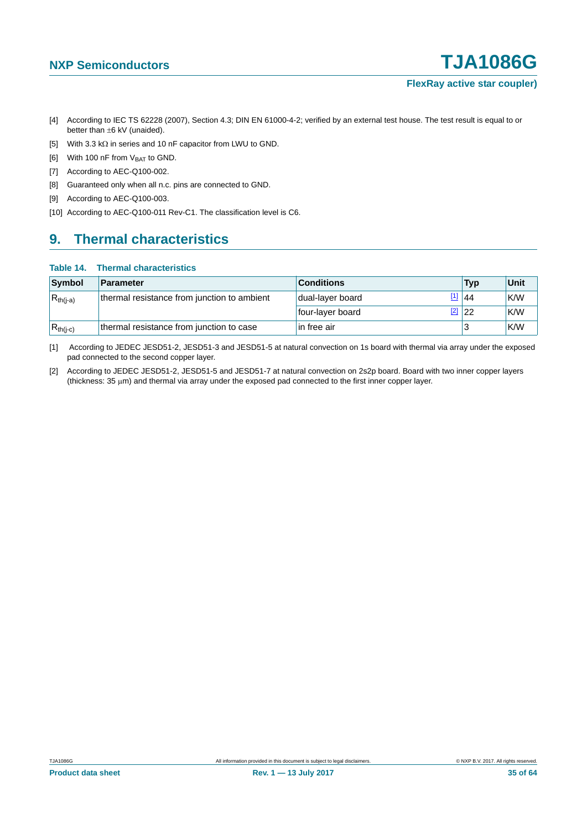- <span id="page-34-0"></span>[4] According to IEC TS 62228 (2007), Section 4.3; DIN EN 61000-4-2; verified by an external test house. The test result is equal to or better than  $\pm 6$  kV (unaided).
- <span id="page-34-1"></span>[5] With 3.3 k $\Omega$  in series and 10 nF capacitor from LWU to GND.
- <span id="page-34-2"></span>[6] With 100 nF from  $V_{\text{BAT}}$  to GND.
- <span id="page-34-3"></span>[7] According to AEC-Q100-002.
- <span id="page-34-4"></span>[8] Guaranteed only when all n.c. pins are connected to GND.
- <span id="page-34-5"></span>[9] According to AEC-Q100-003.
- <span id="page-34-6"></span>[10] According to AEC-Q100-011 Rev-C1. The classification level is C6.

## <span id="page-34-9"></span>**9. Thermal characteristics**

#### **Table 14. Thermal characteristics**

| Symbol        | Parameter                                   | <b>Conditions</b>  | Typ             | Unit |
|---------------|---------------------------------------------|--------------------|-----------------|------|
| $R_{th(i-a)}$ | thermal resistance from junction to ambient | I dual-layer board | $\frac{11}{44}$ | K/W  |
|               |                                             | four-layer board   | $\boxed{2}$ 22  | K/W  |
| $R_{th(i-c)}$ | thermal resistance from junction to case    | l in free air      |                 | K/W  |

<span id="page-34-7"></span>[1] According to JEDEC JESD51-2, JESD51-3 and JESD51-5 at natural convection on 1s board with thermal via array under the exposed pad connected to the second copper layer.

<span id="page-34-8"></span>[2] According to JEDEC JESD51-2, JESD51-5 and JESD51-7 at natural convection on 2s2p board. Board with two inner copper layers (thickness:  $35 \mu m$ ) and thermal via array under the exposed pad connected to the first inner copper layer.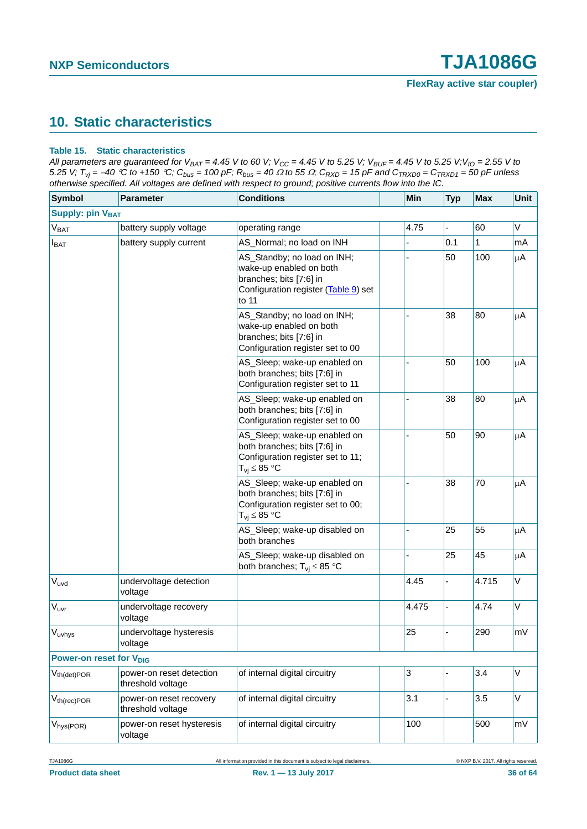## <span id="page-35-1"></span>**10. Static characteristics**

#### <span id="page-35-0"></span>**Table 15. Static characteristics**

*All parameters are guaranteed for V<sub>BAT</sub> = 4.45 V to 60 V; V<sub>CC</sub> = 4.45 V to 5.25 V; V<sub>BUF</sub> = 4.45 V to 5.25 V;V<sub>IO</sub> = 2.55 V to 5.25 V;*  $T_{vj}$  = -40 °C to +150 °C;  $C_{bus}$  = 100 pF;  $R_{bus}$  = 40  $\Omega$  to 55  $\Omega$ ;  $C_{RXD}$  = 15 pF and  $C_{TRXD0}$  =  $C_{TRXD1}$  = 50 pF unless *otherwise specified. All voltages are defined with respect to ground; positive currents flow into the IC.*

| <b>Symbol</b>                       | Parameter                                     | <b>Conditions</b>                                                                                                                  | Min   | <b>Typ</b> | Max   | Unit    |
|-------------------------------------|-----------------------------------------------|------------------------------------------------------------------------------------------------------------------------------------|-------|------------|-------|---------|
| <b>Supply: pin VBAT</b>             |                                               |                                                                                                                                    |       |            |       |         |
| V <sub>BAT</sub>                    | battery supply voltage                        | operating range                                                                                                                    | 4.75  |            | 60    | V       |
| $I_{BAT}$                           | battery supply current                        | AS_Normal; no load on INH                                                                                                          |       | 0.1        | 1     | mA      |
|                                     |                                               | AS_Standby; no load on INH;<br>wake-up enabled on both<br>branches; bits [7:6] in<br>Configuration register (Table 9) set<br>to 11 |       | 50         | 100   | μA      |
|                                     |                                               | AS_Standby; no load on INH;<br>wake-up enabled on both<br>branches; bits [7:6] in<br>Configuration register set to 00              |       | 38         | 80    | μA      |
|                                     |                                               | AS_Sleep; wake-up enabled on<br>both branches; bits [7:6] in<br>Configuration register set to 11                                   |       | 50         | 100   | μA      |
|                                     |                                               | AS_Sleep; wake-up enabled on<br>both branches; bits [7:6] in<br>Configuration register set to 00                                   |       | 38         | 80    | μA      |
|                                     |                                               | AS_Sleep; wake-up enabled on<br>both branches; bits [7:6] in<br>Configuration register set to 11;<br>$T_{vi} \leq 85 °C$           |       | 50         | 90    | μA      |
|                                     |                                               | AS_Sleep; wake-up enabled on<br>both branches; bits [7:6] in<br>Configuration register set to 00;<br>$T_{vi}$ $\leq 85$ °C         |       | 38         | 70    | $\mu$ A |
|                                     |                                               | AS_Sleep; wake-up disabled on<br>both branches                                                                                     |       | 25         | 55    | μA      |
|                                     |                                               | AS_Sleep; wake-up disabled on<br>both branches; $T_{vi} \leq 85$ °C                                                                |       | 25         | 45    | μA      |
| $V_{uvd}$                           | undervoltage detection<br>voltage             |                                                                                                                                    | 4.45  |            | 4.715 | V       |
| $V_{uvr}$                           | undervoltage recovery<br>voltage              |                                                                                                                                    | 4.475 |            | 4.74  | V       |
| $V_{uvhys}$                         | undervoltage hysteresis<br>voltage            |                                                                                                                                    | 25    |            | 290   | mV      |
| Power-on reset for V <sub>DIG</sub> |                                               |                                                                                                                                    |       |            |       |         |
| $V_{th(det) POR}$                   | power-on reset detection<br>threshold voltage | of internal digital circuitry                                                                                                      | 3     |            | 3.4   | $\vee$  |
| $V_{th(rec)POR}$                    | power-on reset recovery<br>threshold voltage  | of internal digital circuitry                                                                                                      | 3.1   |            | 3.5   | V       |
| V <sub>hys</sub> (POR)              | power-on reset hysteresis<br>voltage          | of internal digital circuitry                                                                                                      | 100   |            | 500   | mV      |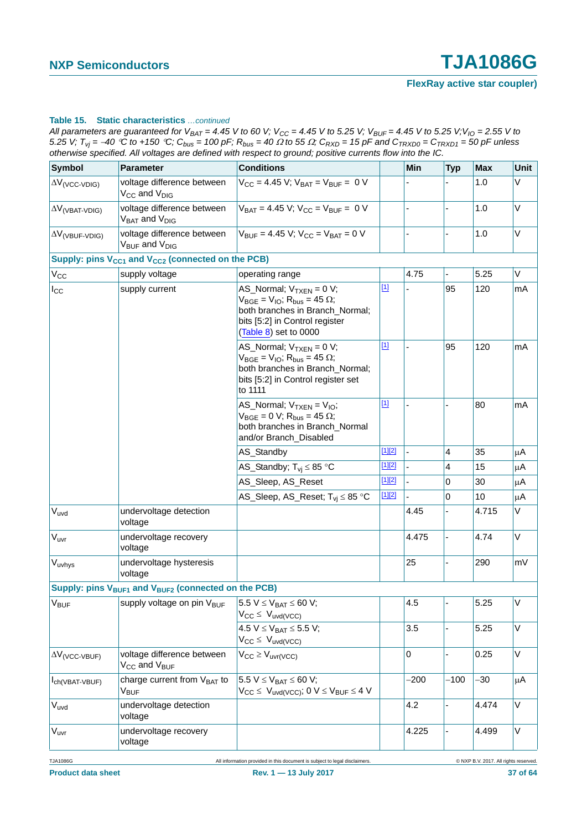| All parameters are guaranteed for $V_{BAT} = 4.45$ V to 60 V; V <sub>CC</sub> = 4.45 V to 5.25 V; V <sub>BUF</sub> = 4.45 V to 5.25 V; V <sub>IO</sub> = 2.55 V to |
|--------------------------------------------------------------------------------------------------------------------------------------------------------------------|
| 5.25 V; $T_{vi}$ = -40 °C to +150 °C; $C_{bus}$ = 100 pF; $R_{bus}$ = 40 $\Omega$ to 55 $\Omega$ ; $C_{RXD}$ = 15 pF and $C_{TRXD0}$ = $C_{TRXD1}$ = 50 pF unless  |
| otherwise specified. All voltages are defined with respect to ground; positive currents flow into the IC.                                                          |

| <b>Symbol</b>                     | <b>Parameter</b>                                                            | <b>Conditions</b>                                                                                                                                                                    |          | Min    | <b>Typ</b> | <b>Max</b> | Unit |
|-----------------------------------|-----------------------------------------------------------------------------|--------------------------------------------------------------------------------------------------------------------------------------------------------------------------------------|----------|--------|------------|------------|------|
| $\Delta V$ (VCC-VDIG)             | voltage difference between<br>V <sub>CC</sub> and V <sub>DIG</sub>          | $V_{CC}$ = 4.45 V; $V_{BAT}$ = $V_{BUF}$ = 0 V                                                                                                                                       |          |        |            | 1.0        | V    |
| $\Delta V$ (VBAT-VDIG)            | voltage difference between<br>V <sub>BAT</sub> and V <sub>DIG</sub>         | $V_{BAT} = 4.45 V$ ; $V_{CC} = V_{BUF} = 0 V$                                                                                                                                        |          |        |            | 1.0        | V    |
| $\Delta V$ <sub>(VBUF-VDIG)</sub> | voltage difference between<br>V <sub>BUF</sub> and V <sub>DIG</sub>         | $V_{\text{RUF}} = 4.45 \text{ V}; V_{\text{CC}} = V_{\text{BAT}} = 0 \text{ V}$                                                                                                      |          |        |            | 1.0        | V    |
|                                   | Supply: pins V <sub>CC1</sub> and V <sub>CC2</sub> (connected on the PCB)   |                                                                                                                                                                                      |          |        |            |            |      |
| $V_{\rm CC}$                      | supply voltage                                                              | operating range                                                                                                                                                                      |          | 4.75   |            | 5.25       | V    |
| $I_{\rm CC}$                      | supply current                                                              | AS_Normal; $V_{TXEN} = 0 V$ ;<br>$V_{BGE} = V_{IO}$ ; R <sub>bus</sub> = 45 $\Omega$ ;<br>both branches in Branch_Normal;<br>bits [5:2] in Control register<br>(Table 8) set to 0000 | $[1]$    |        | 95         | 120        | mA   |
|                                   |                                                                             | AS_Normal; $V_{TXEN} = 0 V$ ;<br>$V_{BGE} = V_{IO}$ ; R <sub>bus</sub> = 45 $\Omega$ ;<br>both branches in Branch_Normal;<br>bits [5:2] in Control register set<br>to 1111           | $[1]$    |        | 95         | 120        | mA   |
|                                   |                                                                             | AS_Normal; $V_{TXEN} = V_{IO}$ ;<br>$V_{BGE} = 0 V$ ; R <sub>bus</sub> = 45 $\Omega$ ;<br>both branches in Branch_Normal<br>and/or Branch_Disabled                                   | $[1]$    |        |            | 80         | mA   |
|                                   |                                                                             | AS_Standby                                                                                                                                                                           | $[1][2]$ |        | 4          | 35         | μA   |
|                                   |                                                                             | AS_Standby; $T_{vi} \leq 85$ °C                                                                                                                                                      | $[1][2]$ |        | 4          | 15         | μA   |
|                                   |                                                                             | AS_Sleep, AS_Reset                                                                                                                                                                   | $[1][2]$ |        | 0          | 30         | μA   |
|                                   |                                                                             | AS_Sleep, AS_Reset; $T_{vi} \leq 85$ °C                                                                                                                                              | $[1][2]$ |        | 0          | 10         | μA   |
| $V_{uvd}$                         | undervoltage detection<br>voltage                                           |                                                                                                                                                                                      |          | 4.45   |            | 4.715      | V    |
| V <sub>uvr</sub>                  | undervoltage recovery<br>voltage                                            |                                                                                                                                                                                      |          | 4.475  |            | 4.74       | V    |
| Vuvhys                            | undervoltage hysteresis<br>voltage                                          |                                                                                                                                                                                      |          | 25     |            | 290        | mV   |
|                                   | Supply: pins V <sub>BUF1</sub> and V <sub>BUF2</sub> (connected on the PCB) |                                                                                                                                                                                      |          |        |            |            |      |
| V <sub>BUF</sub>                  | supply voltage on pin V <sub>BUF</sub>                                      | $5.5 V \leq V_{BAT} \leq 60 V;$<br>$V_{CC} \leq V_{uvd(VCC)}$                                                                                                                        |          | 4.5    |            | 5.25       | V    |
|                                   |                                                                             | 4.5 $V \le V_{BAT} \le 5.5 V$ ;<br>$V_{CC} \leq V_{uvd(VCC)}$                                                                                                                        |          | 3.5    |            | 5.25       | V    |
| $\Delta V$ <sub>(VCC-VBUF)</sub>  | voltage difference between<br>V <sub>CC</sub> and V <sub>BUF</sub>          | $V_{CC} \geq V_{uvr(VCC)}$                                                                                                                                                           |          | 0      |            | 0.25       | V    |
| $I_{ch(VBAT-VBUF)}$               | charge current from V <sub>BAT</sub> to<br>$V_{\text{BUF}}$                 | 5.5 $V \leq V_{BAT} \leq 60 V$ ;<br>$V_{CC} \leq V_{uvd(VCC)}$ ; 0 $V \leq V_{BUF} \leq 4$ V                                                                                         |          | $-200$ | $-100$     | -30        | μA   |
| V <sub>uvd</sub>                  | undervoltage detection<br>voltage                                           |                                                                                                                                                                                      |          | 4.2    |            | 4.474      | V    |
| Vuvr                              | undervoltage recovery<br>voltage                                            |                                                                                                                                                                                      |          | 4.225  |            | 4.499      | V    |

TJA1086G **All information provided in this document is subject to legal disclaimers.** © NXP B.V. 2017. All rights reserved.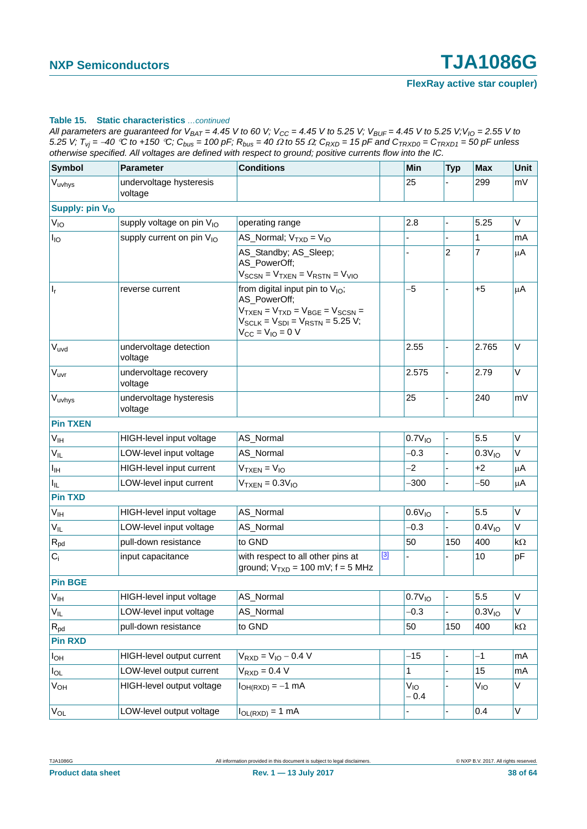*All parameters are guaranteed for V<sub>BAT</sub> = 4.45 V to 60 V; V<sub>CC</sub> = 4.45 V to 5.25 V; V<sub>BUF</sub> = 4.45 V to 5.25 V; V<sub>IO</sub> = 2.55 V to* 5.25 V;  $T_{vi} = -40$  °C to +150 °C;  $C_{bus} = 100$  pF;  $R_{bus} = 40 \Omega$  to 55  $\Omega$ ;  $C_{RXD} = 15$  pF and  $C_{TRXD0} = C_{TRXD1} = 50$  pF unless *otherwise specified. All voltages are defined with respect to ground; positive currents flow into the IC.*

| <b>Symbol</b>               | <b>Parameter</b>                      | <b>Conditions</b>                                                                                                                                                           |       | Min                       | <b>Typ</b> | <b>Max</b>         | Unit    |
|-----------------------------|---------------------------------------|-----------------------------------------------------------------------------------------------------------------------------------------------------------------------------|-------|---------------------------|------------|--------------------|---------|
| $V_{uvhys}$                 | undervoltage hysteresis<br>voltage    |                                                                                                                                                                             |       | 25                        |            | 299                | mV      |
| Supply: pin V <sub>IO</sub> |                                       |                                                                                                                                                                             |       |                           |            |                    |         |
| $V_{10}$                    | supply voltage on pin V <sub>IO</sub> | operating range                                                                                                                                                             |       | 2.8                       |            | 5.25               | V       |
| $I_{IO}$                    | supply current on pin V <sub>IO</sub> | AS_Normal; $VTXD = VIO$                                                                                                                                                     |       |                           |            | 1                  | mA      |
|                             |                                       | AS_Standby; AS_Sleep;<br>AS_PowerOff;<br>$V_{SCSN} = V_{TXEN} = V_{RSTN} = V_{VIO}$                                                                                         |       |                           | 2          | 7                  | μA      |
| $ I_r $                     | reverse current                       | from digital input pin to $V_{IO}$ ;<br>AS_PowerOff;<br>$V_{TXEN} = V_{TXD} = V_{BGE} = V_{SCSN} =$<br>$V_{SCLK} = V_{SDI} = V_{RSTN} = 5.25 V;$<br>$V_{CC} = V_{IO} = 0 V$ |       | $-5$                      |            | $+5$               | μA      |
| $V_{uvd}$                   | undervoltage detection<br>voltage     |                                                                                                                                                                             |       | 2.55                      |            | 2.765              | V       |
| V <sub>uvr</sub>            | undervoltage recovery<br>voltage      |                                                                                                                                                                             |       | 2.575                     |            | 2.79               | V       |
| Vuvhys                      | undervoltage hysteresis<br>voltage    |                                                                                                                                                                             |       | 25                        |            | 240                | mV      |
| <b>Pin TXEN</b>             |                                       |                                                                                                                                                                             |       |                           |            |                    |         |
| $V_{\text{IH}}$             | HIGH-level input voltage              | AS_Normal                                                                                                                                                                   |       | 0.7V <sub>10</sub>        |            | 5.5                | V       |
| $V_{IL}$                    | LOW-level input voltage               | AS_Normal                                                                                                                                                                   |       | $-0.3$                    |            | 0.3V <sub>10</sub> | V       |
| $I_{\text{IH}}$             | HIGH-level input current              | $VTXEN = VIO$                                                                                                                                                               |       | $-2$                      |            | $+2$               | μA      |
| $I_{IL}$                    | LOW-level input current               | $VTXEN = 0.3VIO$                                                                                                                                                            |       | $-300$                    |            | -50                | μA      |
| <b>Pin TXD</b>              |                                       |                                                                                                                                                                             |       |                           |            |                    |         |
| $V_{\text{IH}}$             | HIGH-level input voltage              | AS_Normal                                                                                                                                                                   |       | 0.6V <sub>10</sub>        |            | 5.5                | V       |
| $V_{IL}$                    | LOW-level input voltage               | AS_Normal                                                                                                                                                                   |       | $-0.3$                    |            | 0.4V <sub>10</sub> | V       |
| $R_{pd}$                    | pull-down resistance                  | to GND                                                                                                                                                                      |       | 50                        | 150        | 400                | kΩ      |
| $C_i$                       | input capacitance                     | with respect to all other pins at<br>ground; $V_{TXD} = 100$ mV; $f = 5$ MHz                                                                                                | $[3]$ |                           |            | 10                 | pF      |
| <b>Pin BGE</b>              |                                       |                                                                                                                                                                             |       |                           |            |                    |         |
| $V_{\mathsf{IH}}$           | HIGH-level input voltage              | AS Normal                                                                                                                                                                   |       | $0.7V_{10}$               |            | 5.5                | $\sf V$ |
| $V_{IL}$                    | LOW-level input voltage               | AS_Normal                                                                                                                                                                   |       | $-0.3$                    |            | 0.3V <sub>10</sub> | V       |
| $R_{\text{pd}}$             | pull-down resistance                  | to GND                                                                                                                                                                      |       | 50                        | 150        | 400                | kΩ      |
| <b>Pin RXD</b>              |                                       |                                                                                                                                                                             |       |                           |            |                    |         |
| $I_{OH}$                    | HIGH-level output current             | $V_{RXD} = V_{IO} - 0.4 V$                                                                                                                                                  |       | $-15$                     |            | $-1$               | mA      |
| $I_{OL}$                    | LOW-level output current              | $VRXD = 0.4 V$                                                                                                                                                              |       | 1                         |            | 15                 | mA      |
| $V_{OH}$                    | HIGH-level output voltage             | $I_{OH(RXD)} = -1$ mA                                                                                                                                                       |       | V <sub>IO</sub><br>$-0.4$ |            | $V_{IO}$           | V       |
| $V_{OL}$                    | LOW-level output voltage              | $I_{OL(RXD)} = 1$ mA                                                                                                                                                        |       |                           |            | 0.4                | V       |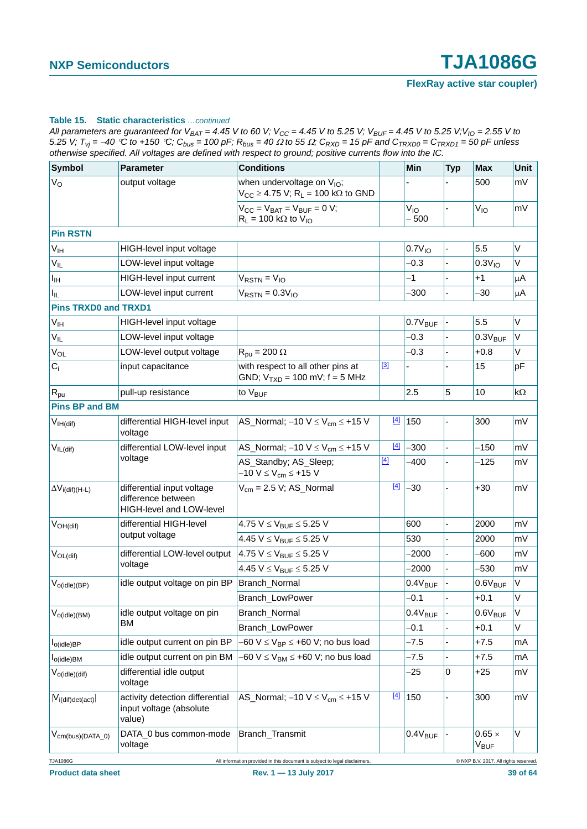| All parameters are guaranteed for V <sub>BAT</sub> = 4.45 V to 60 V; V <sub>CC</sub> = 4.45 V to 5.25 V; V <sub>BUF</sub> = 4.45 V to 5.25 V;V <sub>IO</sub> = 2.55 V to |
|--------------------------------------------------------------------------------------------------------------------------------------------------------------------------|
| 5.25 V; $T_{vi}$ = -40 °C to +150 °C; $C_{bus}$ = 100 pF; $R_{bus}$ = 40 $\Omega$ to 55 $\Omega$ ; $C_{RXD}$ = 15 pF and $C_{TRXDO}$ = $C_{TRXD1}$ = 50 pF unless        |
| otherwise specified. All voltages are defined with respect to ground; positive currents flow into the IC.                                                                |

| <b>Symbol</b>                   | <b>Parameter</b>                                                             | <b>Conditions</b>                                                                                     |       | Min                 | <b>Typ</b> | <b>Max</b>                           | <b>Unit</b> |
|---------------------------------|------------------------------------------------------------------------------|-------------------------------------------------------------------------------------------------------|-------|---------------------|------------|--------------------------------------|-------------|
| $V_{\rm O}$                     | output voltage                                                               | when undervoltage on V <sub>IO</sub> ;<br>$V_{CC} \ge 4.75$ V; R <sub>L</sub> = 100 k $\Omega$ to GND |       |                     |            | 500                                  | mV          |
|                                 |                                                                              | $V_{CC} = V_{BAT} = V_{BUF} = 0 V;$<br>$R_L$ = 100 kΩ to V <sub>IO</sub>                              |       | $V_{10}$<br>$-500$  |            | $V_{10}$                             | mV          |
| <b>Pin RSTN</b>                 |                                                                              |                                                                                                       |       |                     |            |                                      |             |
| V <sub>IH</sub>                 | HIGH-level input voltage                                                     |                                                                                                       |       | 0.7V <sub>10</sub>  |            | 5.5                                  | $\vee$      |
| $V_{IL}$                        | LOW-level input voltage                                                      |                                                                                                       |       | $-0.3$              |            | 0.3V <sub>10</sub>                   | $\vee$      |
| $I_{\text{IH}}$                 | HIGH-level input current                                                     | $V_{RSTN} = V_{IO}$                                                                                   |       | -1                  |            | +1                                   | μA          |
| $I_{IL}$                        | LOW-level input current                                                      | $V_{RSTN} = 0.3 V_{10}$                                                                               |       | $-300$              |            | $-30$                                | $\mu$ A     |
| <b>Pins TRXD0 and TRXD1</b>     |                                                                              |                                                                                                       |       |                     |            |                                      |             |
| V <sub>IH</sub>                 | HIGH-level input voltage                                                     |                                                                                                       |       | $0.7V_{\text{BUF}}$ |            | 5.5                                  | $\vee$      |
| $V_{IL}$                        | LOW-level input voltage                                                      |                                                                                                       |       | $-0.3$              |            | $0.3V_{BUF}$                         | V           |
| $V_{OL}$                        | LOW-level output voltage                                                     | $R_{\text{pu}} = 200 \Omega$                                                                          |       | $-0.3$              |            | $+0.8$                               | $\vee$      |
| $C_i$                           | input capacitance                                                            | with respect to all other pins at<br>GND; $V_{TXD} = 100$ mV; $f = 5$ MHz                             | $[3]$ |                     |            | 15                                   | pF          |
| $R_{\text{pu}}$                 | pull-up resistance                                                           | to V <sub>BUF</sub>                                                                                   |       | 2.5                 | 5          | 10                                   | $k\Omega$   |
| <b>Pins BP and BM</b>           |                                                                              |                                                                                                       |       |                     |            |                                      |             |
| V <sub>IH</sub> (diff)          | differential HIGH-level input<br>voltage                                     | AS_Normal; $-10 V \leq V_{cm} \leq +15 V$                                                             | $[4]$ | 150                 |            | 300                                  | mV          |
| $V_{IL(dif)}$                   | differential LOW-level input                                                 | AS_Normal; $-10 V \leq V_{cm} \leq +15 V$                                                             | $[4]$ | $-300$              |            | $-150$                               | mV          |
|                                 | voltage                                                                      | AS_Standby; AS_Sleep;<br>$-10 V \le V_{cm} \le +15 V$                                                 | $[4]$ | -400                |            | $-125$                               | mV          |
| $\Delta V_{i\text{(dif)(H-L)}}$ | differential input voltage<br>difference between<br>HIGH-level and LOW-level | $V_{cm} = 2.5 V$ ; AS_Normal                                                                          | $[4]$ | $-30$               |            | $+30$                                | mV          |
| $V_{OH(dif)}$                   | differential HIGH-level                                                      | 4.75 $V \leq V_{BUF} \leq 5.25$ V                                                                     |       | 600                 |            | 2000                                 | mV          |
|                                 | output voltage                                                               | 4.45 $V \leq V_{BUF} \leq 5.25$ V                                                                     |       | 530                 |            | 2000                                 | mV          |
| $V_{OL(dif)}$                   | differential LOW-level output                                                | 4.75 $V \leq V_{BUF} \leq 5.25$ V                                                                     |       | $-2000$             |            | $-600$                               | mV          |
|                                 | voltage                                                                      | 4.45 $V \leq V_{\text{RUF}} \leq 5.25$ V                                                              |       | $-2000$             |            | -530                                 | mV          |
| $V_{o(idle)(BP)}$               | idle output voltage on pin BP                                                | Branch_Normal                                                                                         |       | $0.4V_{\text{BUF}}$ |            | $0.6V_{\text{BUF}}$                  | V           |
|                                 |                                                                              | Branch LowPower                                                                                       |       | $-0.1$              |            | $+0.1$                               | V           |
| $V_{o(idle)(BM)}$               | idle output voltage on pin                                                   | Branch_Normal                                                                                         |       | $0.4V_{\text{BUF}}$ |            | $0.6V_{BUF}$                         | $\vee$      |
|                                 | ВM                                                                           | <b>Branch LowPower</b>                                                                                |       | $-0.1$              |            | $+0.1$                               | V           |
| l <sub>o(idle)BP</sub>          | idle output current on pin BP                                                | $-60$ V $\leq$ V <sub>BP</sub> $\leq$ +60 V; no bus load                                              |       | $-7.5$              |            | $+7.5$                               | mA          |
| $I_{o(idle)BM}$                 | idle output current on pin BM                                                | $-60$ V $\leq$ V <sub>BM</sub> $\leq$ +60 V; no bus load                                              |       | -7.5                |            | $+7.5$                               | mA          |
| $V_{o(idle)(dif)}$              | differential idle output<br>voltage                                          |                                                                                                       |       | $-25$               | 0          | $+25$                                | mV          |
| $ V_{i(dt)det(act)} $           | activity detection differential<br>input voltage (absolute<br>value)         | AS_Normal; $-10 V \leq V_{cm} \leq +15 V$                                                             | $[4]$ | 150                 |            | 300                                  | mV          |
| $V_{cm(bus)(DATA_0)}$           | DATA_0 bus common-mode<br>voltage                                            | Branch_Transmit                                                                                       |       | $0.4V_{\text{BUF}}$ |            | $0.65 \times$<br>V <sub>BUF</sub>    | V           |
| <b>TJA1086G</b>                 |                                                                              | All information provided in this document is subject to legal disclaimers.                            |       |                     |            | @ NXP B.V. 2017. All rights reserved |             |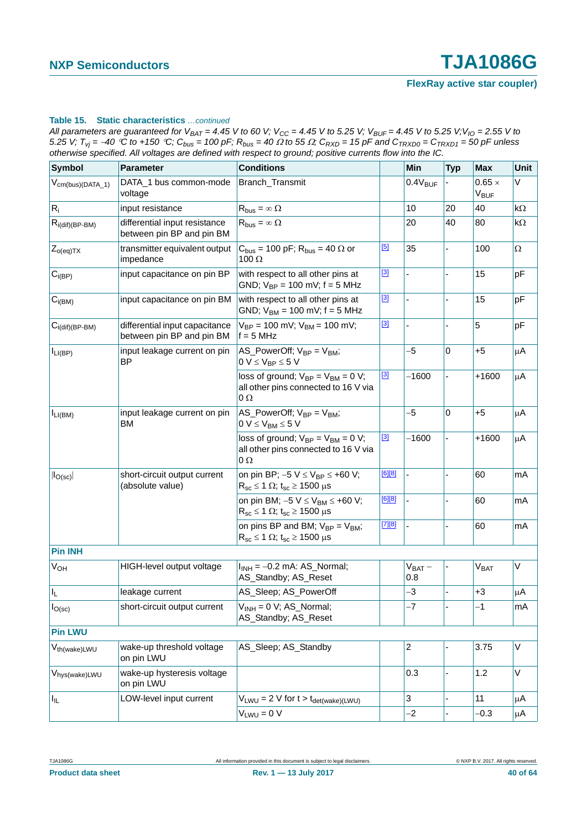| All parameters are guaranteed for $V_{BAT} = 4.45$ V to 60 V; $V_{CC} = 4.45$ V to 5.25 V; $V_{BUF} = 4.45$ V to 5.25 V; $V_{IO} = 2.55$ V to                     |
|-------------------------------------------------------------------------------------------------------------------------------------------------------------------|
| 5.25 V; $T_{vi}$ = -40 °C to +150 °C; $C_{bus}$ = 100 pF; $R_{bus}$ = 40 $\Omega$ to 55 $\Omega$ ; $C_{RXD}$ = 15 pF and $C_{TRXD0}$ = $C_{TRXD1}$ = 50 pF unless |
| otherwise specified. All voltages are defined with respect to ground; positive currents flow into the IC.                                                         |

| <b>Symbol</b>             | <b>Parameter</b>                                            | <b>Conditions</b>                                                                                                  |          | Min                 | <b>Typ</b>               | <b>Max</b>                          | Unit     |
|---------------------------|-------------------------------------------------------------|--------------------------------------------------------------------------------------------------------------------|----------|---------------------|--------------------------|-------------------------------------|----------|
| $V_{cm(bus)(DATA_1)}$     | DATA_1 bus common-mode<br>voltage                           | Branch_Transmit                                                                                                    |          | $0.4V_{\text{BUF}}$ |                          | $0.65 \times$<br>$V_{\mathsf{BUF}}$ | V        |
| $R_i$                     | input resistance                                            | $R_{bus} = \infty \Omega$                                                                                          |          | 10                  | 20                       | 40                                  | kΩ       |
| $R_{i(dif)(BP-BM)}$       | differential input resistance<br>between pin BP and pin BM  | $R_{bus} = \infty \Omega$                                                                                          |          | 20                  | 40                       | 80                                  | kΩ       |
| $Z_{o(eq)TX}$             | transmitter equivalent output<br>impedance                  | $C_{bus}$ = 100 pF; R <sub>bus</sub> = 40 $\Omega$ or<br>$100 \Omega$                                              | [5]      | 35                  |                          | 100                                 | $\Omega$ |
| $C_{i(BP)}$               | input capacitance on pin BP                                 | with respect to all other pins at<br>GND; $V_{BP} = 100$ mV; $f = 5$ MHz                                           | $[3]$    |                     | L,                       | 15                                  | pF       |
| $C_{i(BM)}$               | input capacitance on pin BM                                 | with respect to all other pins at<br>GND; $V_{BM} = 100$ mV; $f = 5$ MHz                                           | $[3]$    |                     |                          | 15                                  | pF       |
| $C_{i(di)(BP-BM)}$        | differential input capacitance<br>between pin BP and pin BM | $V_{BP} = 100$ mV; $V_{BM} = 100$ mV;<br>$f = 5 MHz$                                                               | $[3]$    |                     |                          | 5                                   | pF       |
| $I_{LI(BP)}$              | input leakage current on pin<br><b>BP</b>                   | AS_PowerOff; $V_{BP} = V_{BM}$ ;<br>$0 V \leq V_{BP} \leq 5 V$                                                     |          | -5                  | 0                        | $+5$                                | μA       |
|                           |                                                             | loss of ground; $V_{BP} = V_{BM} = 0 V$ ;<br>all other pins connected to 16 V via<br>$0\,\Omega$                   | $[3]$    | $-1600$             |                          | $+1600$                             | μA       |
| I <sub>LI(BM)</sub>       | input leakage current on pin<br>BM                          | AS_PowerOff; $V_{BP} = V_{BM}$ ;<br>$0 V \leq V_{BM} \leq 5 V$                                                     |          | $-5$                | $\mathbf 0$              | $+5$                                | μA       |
|                           |                                                             | loss of ground; $V_{BP} = V_{BM} = 0 V$ ;<br>all other pins connected to 16 V via<br>$0\Omega$                     | $[3]$    | $-1600$             |                          | $+1600$                             | μA       |
| $ I_{O(sc)} $             | short-circuit output current<br>(absolute value)            | on pin BP; $-5 V \le V_{BP} \le +60 V$ ;<br>$R_{sc} \le 1 \Omega$ ; t <sub>sc</sub> $\ge 1500 \mu s$               | [6][8]   |                     | $\overline{\phantom{0}}$ | 60                                  | mA       |
|                           |                                                             | on pin BM; $-5$ V $\leq$ V <sub>BM</sub> $\leq$ +60 V;<br>$R_{sc} \le 1 \Omega$ ; t <sub>sc</sub> $\ge 1500 \mu s$ | [6][8]   |                     | ÷.                       | 60                                  | mA       |
|                           |                                                             | on pins BP and BM; $V_{BP} = V_{BM}$ ;<br>$R_{sc} \le 1 \Omega$ ; t <sub>sc</sub> $\ge 1500 \mu s$                 | $[7][8]$ |                     |                          | 60                                  | mA       |
| <b>Pin INH</b>            |                                                             |                                                                                                                    |          |                     |                          |                                     |          |
| <b>V<sub>OH</sub></b>     | HIGH-level output voltage                                   | $I_{INH} = -0.2$ mA: AS_Normal;<br>AS_Standby; AS_Reset                                                            |          | $V_{BAT}$ –<br>0.8  |                          | V <sub>BAT</sub>                    | V        |
| $I_{L}$                   | leakage current                                             | AS_Sleep; AS_PowerOff                                                                                              |          | -3                  |                          | $+3$                                | μA       |
| $I_{O(\mathrm{sc})}$      | short-circuit output current                                | $V_{INH} = 0 V$ ; AS_Normal;<br>AS_Standby; AS_Reset                                                               |          | $-7$                |                          | $-1$                                | mA       |
| <b>Pin LWU</b>            |                                                             |                                                                                                                    |          |                     |                          |                                     |          |
| V <sub>th(wake)LWU</sub>  | wake-up threshold voltage<br>on pin LWU                     | AS_Sleep; AS_Standby                                                                                               |          | $\overline{c}$      |                          | 3.75                                | V        |
| V <sub>hys(wake)LWU</sub> | wake-up hysteresis voltage<br>on pin LWU                    |                                                                                                                    |          | 0.3                 |                          | 1.2                                 | V        |
| Iщ.                       | LOW-level input current                                     | $V_{LWU} = 2 V$ for $t > t_{det(wake)(LWU)}$                                                                       |          | 3                   |                          | 11                                  | μA       |
|                           |                                                             | $V_{LWU} = 0 V$                                                                                                    |          | $-2$                |                          | $-0.3$                              | μA       |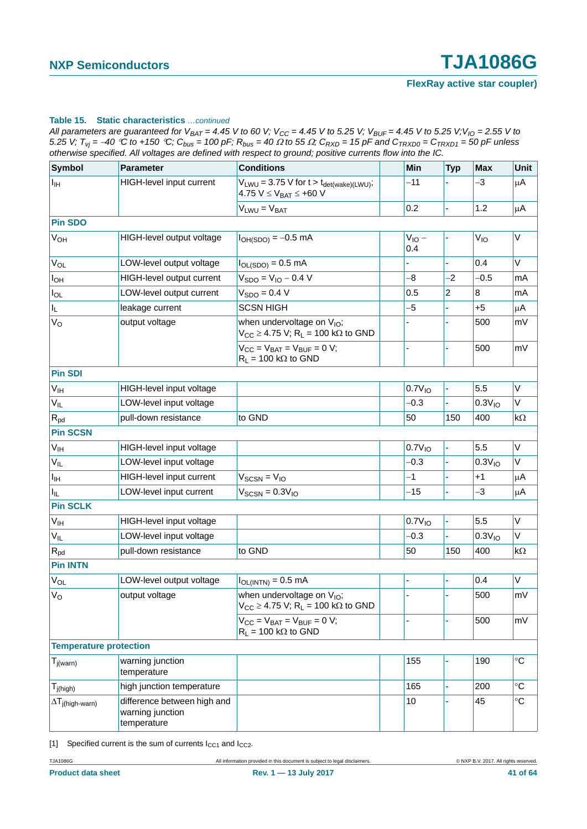| All parameters are guaranteed for $V_{BAT} = 4.45$ V to 60 V; V <sub>CC</sub> = 4.45 V to 5.25 V; V <sub>BUF</sub> = 4.45 V to 5.25 V; V <sub>IO</sub> = 2.55 V to |
|--------------------------------------------------------------------------------------------------------------------------------------------------------------------|
| 5.25 V; $T_{vi}$ = -40 °C to +150 °C; $C_{bus}$ = 100 pF; $R_{bus}$ = 40 $\Omega$ to 55 $\Omega$ ; $C_{RXD}$ = 15 pF and $C_{TRXD0}$ = $C_{TRXD1}$ = 50 pF unless  |
| otherwise specified. All voltages are defined with respect to ground; positive currents flow into the IC.                                                          |

| <b>Symbol</b>                    | <b>Parameter</b>                                               | <b>Conditions</b>                                                                                      | Min                | <b>Typ</b> | <b>Max</b>         | Unit              |
|----------------------------------|----------------------------------------------------------------|--------------------------------------------------------------------------------------------------------|--------------------|------------|--------------------|-------------------|
| $I_{\mathbb{H}}$                 | <b>HIGH-level input current</b>                                | $V_{LWU} = 3.75$ V for $t > t_{\text{det}(\text{wake})(LWU)}$ ;<br>4.75 $V \le V_{BAT} \le +60 V$      | $-11$              |            | -3                 | μA                |
|                                  |                                                                | $V_{LWU} = V_{BAT}$                                                                                    | 0.2                |            | 1.2                | μA                |
| <b>Pin SDO</b>                   |                                                                |                                                                                                        |                    |            |                    |                   |
| $V_{OH}$                         | HIGH-level output voltage                                      | $I_{OH(SDO)} = -0.5$ mA                                                                                | $V_{10}$ –<br>0.4  |            | $V_{IO}$           | V                 |
| <b>V<sub>OL</sub></b>            | LOW-level output voltage                                       | $I_{OL(SDO)} = 0.5$ mA                                                                                 |                    |            | 0.4                | $\vee$            |
| I <sub>OH</sub>                  | HIGH-level output current                                      | $V_{SDO} = V_{IO} - 0.4 V$                                                                             | -8                 | $-2$       | $-0.5$             | mA                |
| $I_{OL}$                         | LOW-level output current                                       | $VSDO = 0.4 V$                                                                                         | 0.5                | 2          | 8                  | mA                |
| IL.                              | leakage current                                                | <b>SCSN HIGH</b>                                                                                       | -5                 |            | $+5$               | μA                |
| V <sub>o</sub>                   | output voltage                                                 | when undervoltage on V <sub>IO</sub> ;<br>$V_{CC} \geq 4.75$ V; R <sub>L</sub> = 100 k $\Omega$ to GND |                    |            | 500                | mV                |
|                                  |                                                                | $V_{CC} = V_{BAT} = V_{BUF} = 0 V;$<br>$R_L$ = 100 k $\Omega$ to GND                                   |                    |            | 500                | mV                |
| <b>Pin SDI</b>                   |                                                                |                                                                                                        |                    |            |                    |                   |
| $V_{\text{IH}}$                  | HIGH-level input voltage                                       |                                                                                                        | $0.7V_{10}$        |            | 5.5                | V                 |
| $V_{IL}$                         | LOW-level input voltage                                        |                                                                                                        | $-0.3$             |            | 0.3V <sub>10</sub> | V                 |
| $R_{pd}$                         | pull-down resistance                                           | to GND                                                                                                 | 50                 | 150        | 400                | kΩ                |
| <b>Pin SCSN</b>                  |                                                                |                                                                                                        |                    |            |                    |                   |
| $V_{\text{IH}}$                  | HIGH-level input voltage                                       |                                                                                                        | $0.7V_{10}$        |            | 5.5                | V                 |
| $V_{IL}$                         | LOW-level input voltage                                        |                                                                                                        | $-0.3$             |            | 0.3V <sub>10</sub> | V                 |
| $I_{\text{IH}}$                  | <b>HIGH-level input current</b>                                | $V_{SCSN} = V_{IO}$                                                                                    | $-1$               |            | $+1$               | μA                |
| I <sub>IL</sub>                  | LOW-level input current                                        | $V_{SCSN} = 0.3 V_{10}$                                                                                | -15                |            | -3                 | μA                |
| <b>Pin SCLK</b>                  |                                                                |                                                                                                        |                    |            |                    |                   |
| $V_{\text{IH}}$                  | HIGH-level input voltage                                       |                                                                                                        | 0.7V <sub>10</sub> |            | 5.5                | V                 |
| $V_{IL}$                         | LOW-level input voltage                                        |                                                                                                        | $-0.3$             |            | 0.3V <sub>10</sub> | V                 |
| $R_{pd}$                         | pull-down resistance                                           | to GND                                                                                                 | 50                 | 150        | 400                | kΩ                |
| <b>Pin INTN</b>                  |                                                                |                                                                                                        |                    |            |                    |                   |
| $V_{OL}$                         | LOW-level output voltage                                       | $I_{OL(INTN)} = 0.5 \text{ mA}$                                                                        |                    |            | 0.4                | V                 |
| $V_{\rm O}$                      | output voltage                                                 | when undervoltage on V <sub>IO</sub> ;<br>$V_{CC} \geq 4.75$ V; R <sub>L</sub> = 100 kΩ to GND         |                    |            | 500                | mV                |
|                                  |                                                                | $V_{CC} = V_{BAT} = V_{BUF} = 0 V;$<br>$R_1 = 100 \text{ k}\Omega$ to GND                              |                    |            | 500                | mV                |
| <b>Temperature protection</b>    |                                                                |                                                                                                        |                    |            |                    |                   |
| $T_{j(warn)}$                    | warning junction<br>temperature                                |                                                                                                        | 155                |            | 190                | $\mathrm{C}$      |
| $T_{j(high)}$                    | high junction temperature                                      |                                                                                                        | 165                |            | 200                | $^{\circ}C$       |
| $\Delta T_{\text{j(high-warn)}}$ | difference between high and<br>warning junction<br>temperature |                                                                                                        | 10                 |            | 45                 | $^\circ \text{C}$ |

<span id="page-40-0"></span>[1] Specified current is the sum of currents  $I_{CC1}$  and  $I_{CC2}$ .

TJA1086G All information provided in this document is subject to legal disclaimers. © NXP B.V. 2017. All rights reserved.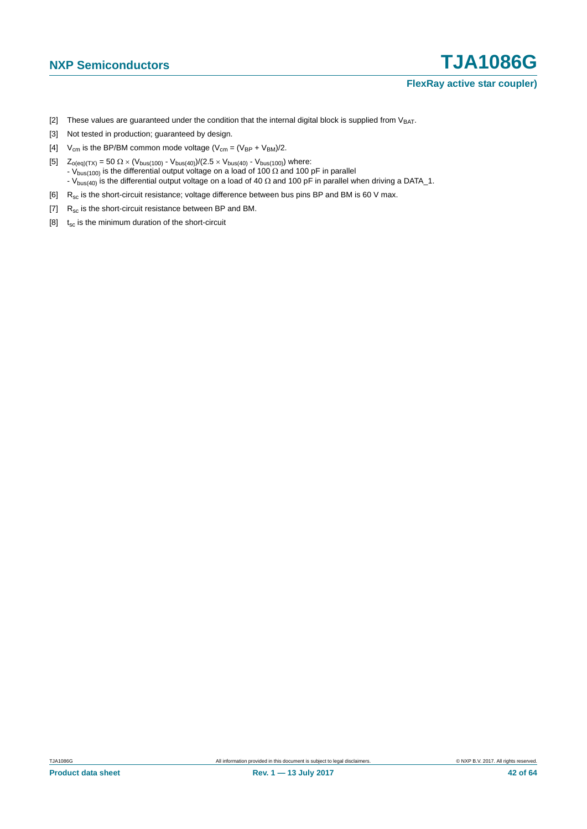- <span id="page-41-0"></span>[2] These values are guaranteed under the condition that the internal digital block is supplied from  $V_{BAT}$ .
- <span id="page-41-1"></span>[3] Not tested in production; guaranteed by design.
- <span id="page-41-2"></span>[4]  $V_{cm}$  is the BP/BM common mode voltage ( $V_{cm} = (V_{BP} + V_{BM})/2$ .
- <span id="page-41-3"></span>[5]  $Z_{o(eq)(TX)} = 50 \Omega \times (V_{bus(100)} - V_{bus(40)})/(2.5 \times V_{bus(40)} - V_{bus(100)})$  where: - V<sub>bus(100)</sub> is the differential output voltage on a load of 100  $\Omega$  and 100 pF in parallel - V<sub>bus(40)</sub> is the differential output voltage on a load of 40  $\Omega$  and 100 pF in parallel when driving a DATA\_1.
- <span id="page-41-4"></span>[6]  $R_{sc}$  is the short-circuit resistance; voltage difference between bus pins BP and BM is 60 V max.
- <span id="page-41-6"></span>[7]  $R_{sc}$  is the short-circuit resistance between BP and BM.
- <span id="page-41-5"></span>[8]  $t_{sc}$  is the minimum duration of the short-circuit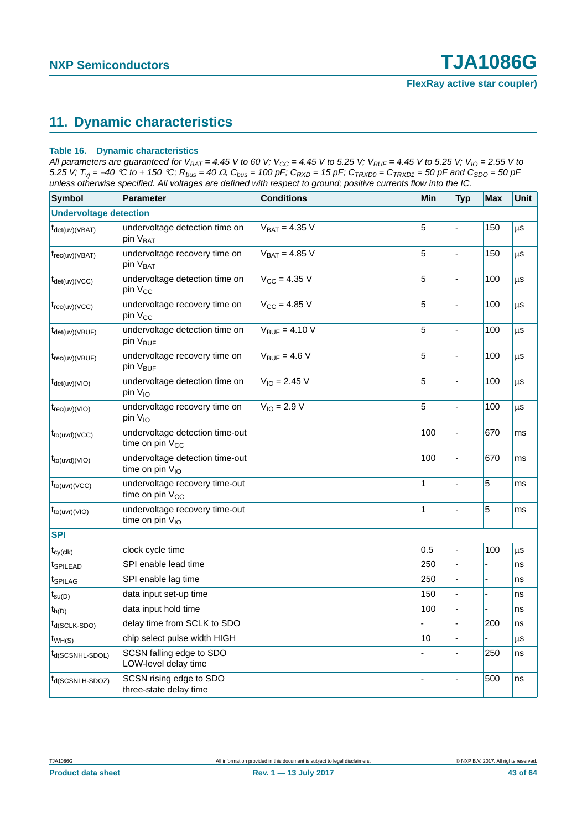## <span id="page-42-0"></span>**11. Dynamic characteristics**

#### **Table 16. Dynamic characteristics**

*All parameters are guaranteed for V<sub>BAT</sub> = 4.45 V to 60 V; V<sub>CC</sub> = 4.45 V to 5.25 V; V<sub>BUF</sub> = 4.45 V to 5.25 V; V<sub>IO</sub> = 2.55 V to 5.25 V;*  $T_{vj}$  =  $-40$  °C to + 150 °C;  $R_{bus}$  = 40  $\Omega$ ,  $C_{bus}$  = 100 pF;  $C_{RXD}$  = 15 pF;  $C_{TRXD0}$  =  $C_{TRXD1}$  = 50 pF and  $C_{SDO}$  = 50 pF *unless otherwise specified. All voltages are defined with respect to ground; positive currents flow into the IC.*

| <b>Symbol</b>                           | <b>Parameter</b>                                               | <b>Conditions</b>        | Min          | <b>Typ</b>     | <b>Max</b>     | <b>Unit</b>   |
|-----------------------------------------|----------------------------------------------------------------|--------------------------|--------------|----------------|----------------|---------------|
| <b>Undervoltage detection</b>           |                                                                |                          |              |                |                |               |
| $t_{\text{det(uv)(VBAT)}}$              | undervoltage detection time on<br>pin V <sub>BAT</sub>         | $V_{BAT} = 4.35 V$       | 5            |                | 150            | μS            |
| $t_{rec(uv)(VBAT)}$                     | undervoltage recovery time on<br>pin V <sub>BAT</sub>          | $V_{BAT} = 4.85 V$       | 5            | ÷.             | 150            | μS            |
| $t_{\text{det(uv)}(VCC)}$               | undervoltage detection time on<br>pin V <sub>CC</sub>          | $V_{CC} = 4.35 V$        | 5            |                | 100            | μS            |
| $t_{rec(uv)(VCC)}$                      | undervoltage recovery time on<br>pin V <sub>CC</sub>           | $V_{CC} = 4.85 V$        | 5            |                | 100            | μS            |
| $t_{\text{det}(uv)(VBUF)}$              | undervoltage detection time on<br>pin V <sub>BUF</sub>         | $V_{BUF} = 4.10 V$       | 5            |                | 100            | $\mu$ S       |
| $t_{rec(uv)(VBUF)}$                     | undervoltage recovery time on<br>pin V <sub>BUF</sub>          | $V_{\text{BUF}} = 4.6 V$ | 5            | $\overline{a}$ | 100            | $\mu$ s       |
| $t_{\text{det}(uv)(VIO)}$               | undervoltage detection time on<br>pin V <sub>IO</sub>          | $V_{10} = 2.45 V$        | 5            | $\overline{a}$ | 100            | μs            |
| $t_{rec(uv)(VIO)}$                      | undervoltage recovery time on<br>pin $V_{10}$                  | $V_{IO} = 2.9 V$         | 5            | ÷,             | 100            | $\mu\text{s}$ |
| $t_{\text{to}(\text{uvd})(\text{VCC})}$ | undervoltage detection time-out<br>time on pin V <sub>CC</sub> |                          | 100          | $\overline{a}$ | 670            | ms            |
| $t_{\text{to}(\text{uvd})(\text{VIO})}$ | undervoltage detection time-out<br>time on pin $V_{10}$        |                          | 100          | $\overline{a}$ | 670            | ms            |
| $t_{to(uvr)(VCC)}$                      | undervoltage recovery time-out<br>time on pin $V_{CC}$         |                          | $\mathbf 1$  | $\overline{a}$ | 5              | ms            |
| $t_{to(uvr)(VIO)}$                      | undervoltage recovery time-out<br>time on pin V <sub>IO</sub>  |                          | $\mathbf{1}$ |                | 5              | ms            |
| <b>SPI</b>                              |                                                                |                          |              |                |                |               |
| $t_{cy(clk)}$                           | clock cycle time                                               |                          | 0.5          | ä,             | 100            | μS            |
| t <sub>SPILEAD</sub>                    | SPI enable lead time                                           |                          | 250          |                |                | ns            |
| t <sub>SPILAG</sub>                     | SPI enable lag time                                            |                          | 250          |                |                | ns            |
| $t_{\text{su}(D)}$                      | data input set-up time                                         |                          | 150          | $\overline{a}$ | $\overline{a}$ | ns            |
| $t_{h(D)}$                              | data input hold time                                           |                          | 100          |                |                | ns            |
| t <sub>d</sub> (SCLK-SDO)               | delay time from SCLK to SDO                                    |                          |              | $\overline{a}$ | 200            | ns            |
| $t_{WH(S)}$                             | chip select pulse width HIGH                                   |                          | 10           | $\overline{a}$ |                | $\mu$ s       |
| t <sub>d</sub> (SCSNHL-SDOL)            | SCSN falling edge to SDO<br>LOW-level delay time               |                          |              |                | 250            | ns            |
| Id(SCSNLH-SDOZ)                         | SCSN rising edge to SDO<br>three-state delay time              |                          |              |                | 500            | ns            |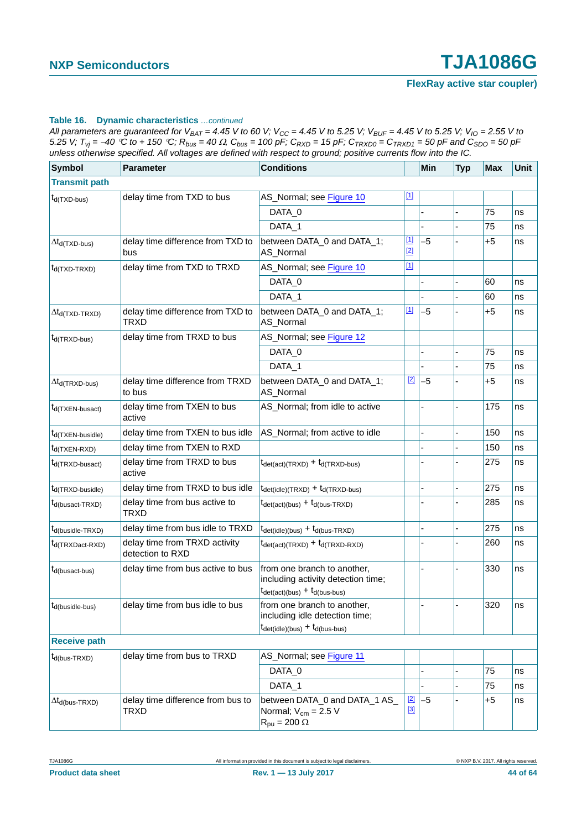All parameters are guaranteed for  $V_{BAT} = 4.45$  V to 60 V;  $V_{CC} = 4.45$  V to 5.25 V;  $V_{BUF} = 4.45$  V to 5.25 V;  $V_{IO} = 2.55$  V to 5.25 V;  $T_{vj} = -40$  °C to + 150 °C;  $R_{bus} = 40 \Omega$ ,  $C_{bus} = 100$  pF;  $C_{RXD} = 15$  pF;  $C_{TRXDO} = C_{TRXD1} = 50$  pF and  $C_{SDO} = 50$  pF *unless otherwise specified. All voltages are defined with respect to ground; positive currents flow into the IC.*

| <b>Symbol</b>                   | Parameter                                         | <b>Conditions</b>                                                                                                                            |                      | Min  | <b>Typ</b> | <b>Max</b> | Unit |
|---------------------------------|---------------------------------------------------|----------------------------------------------------------------------------------------------------------------------------------------------|----------------------|------|------------|------------|------|
| <b>Transmit path</b>            |                                                   |                                                                                                                                              |                      |      |            |            |      |
| $t_{d(TXD-bus)}$                | delay time from TXD to bus                        | AS_Normal; see Figure 10                                                                                                                     | $\boxed{1}$          |      |            |            |      |
|                                 |                                                   | DATA_0                                                                                                                                       |                      |      |            | 75         | ns   |
|                                 |                                                   | DATA 1                                                                                                                                       |                      |      |            | 75         | ns   |
| $\Delta t_{\sf d(TXD-bus)}$     | delay time difference from TXD to<br>bus          | between DATA_0 and DATA_1;<br>AS_Normal                                                                                                      | $\boxed{1}$<br>$[2]$ | $-5$ |            | $+5$       | ns   |
| $t_{d(TXD-TRXD)}$               | delay time from TXD to TRXD                       | AS_Normal; see Figure 10                                                                                                                     | $\boxed{1}$          |      |            |            |      |
|                                 |                                                   | DATA_0                                                                                                                                       |                      |      |            | 60         | ns   |
|                                 |                                                   | DATA_1                                                                                                                                       |                      |      |            | 60         | ns   |
| $\Delta t_{d(TXD-TRXD)}$        | delay time difference from TXD to<br><b>TRXD</b>  | between DATA_0 and DATA_1;<br>AS_Normal                                                                                                      | $\boxed{1}$          | $-5$ |            | $+5$       | ns   |
| $t_{d(TRXD-bus)}$               | delay time from TRXD to bus                       | AS_Normal; see Figure 12                                                                                                                     |                      |      |            |            |      |
|                                 |                                                   | DATA_0                                                                                                                                       |                      |      |            | 75         | ns   |
|                                 |                                                   | DATA_1                                                                                                                                       |                      |      |            | 75         | ns   |
| $\Delta t_{\text{d(TRXD-bus)}}$ | delay time difference from TRXD<br>to bus         | between DATA_0 and DATA_1;<br>AS_Normal                                                                                                      | $[2]$                | $-5$ |            | $+5$       | ns   |
| $t_{d(TXEN-busact)}$            | delay time from TXEN to bus<br>active             | AS_Normal; from idle to active                                                                                                               |                      |      |            | 175        | ns   |
| t <sub>d</sub> (TXEN-busidle)   | delay time from TXEN to bus idle                  | AS_Normal; from active to idle                                                                                                               |                      |      |            | 150        | ns   |
| $t_{d(TXEN-RXD)}$               | delay time from TXEN to RXD                       |                                                                                                                                              |                      |      |            | 150        | ns   |
| $t_{d(TRXD-busact)}$            | delay time from TRXD to bus<br>active             | $t_{\text{det}(\text{act})(\text{TRXD})} + t_{\text{d}(\text{TRXD-bus})}$                                                                    |                      |      |            | 275        | ns   |
| t <sub>d</sub> (TRXD-busidle)   | delay time from TRXD to bus idle                  | $t_{\text{det(idle)}(\text{TRXD})} + t_{\text{d}(\text{TRXD-bus})}$                                                                          |                      |      |            | 275        | ns   |
| t <sub>d</sub> (busact-TRXD)    | delay time from bus active to<br><b>TRXD</b>      | $t_{\text{det}(\text{act})(\text{bus})} + t_{\text{d}(\text{bus-TRXD})}$                                                                     |                      |      |            | 285        | ns   |
| $t_{d(busidle-TRXD)}$           | delay time from bus idle to TRXD                  | $t_{\text{det(idle)}(bus)} + t_{\text{d(bus-TRXD)}}$                                                                                         |                      |      |            | 275        | ns   |
| t <sub>d(TRXDact-RXD)</sub>     | delay time from TRXD activity<br>detection to RXD | $t_{\text{det}(\text{act})(\text{TRXD})} + t_{\text{d}(\text{TRXD-RXD})}$                                                                    |                      |      |            | 260        | ns   |
| $t_{d(busact-bus)}$             | delay time from bus active to bus                 | from one branch to another,<br>including activity detection time;<br>$t_{\text{det}(\text{act})(\text{bus})} + t_{\text{d}(\text{bus-bus})}$ |                      |      |            | 330        | ns   |
| $t_{d(busidle-bus)}$            | delay time from bus idle to bus                   | from one branch to another,<br>including idle detection time;<br>$t_{\text{det(idle)}(bus)} + t_{\text{d(bus-bus)}}$                         |                      |      |            | 320        | ns   |
| <b>Receive path</b>             |                                                   |                                                                                                                                              |                      |      |            |            |      |
| $t_{d(bus-TRXD)}$               | delay time from bus to TRXD                       | AS_Normal; see Figure 11                                                                                                                     |                      |      |            |            |      |
|                                 |                                                   | DATA_0                                                                                                                                       |                      |      |            | 75         | ns   |
|                                 |                                                   | DATA_1                                                                                                                                       |                      |      |            | 75         | ns   |
| $\Delta t_{\text{d(bus-TRXD)}}$ | delay time difference from bus to<br><b>TRXD</b>  | between DATA_0 and DATA_1 AS_<br>Normal; $V_{cm} = 2.5 V$<br>$R_{pu} = 200 \Omega$                                                           | $[2]$<br>$[3]$       | $-5$ |            | $+5$       | ns   |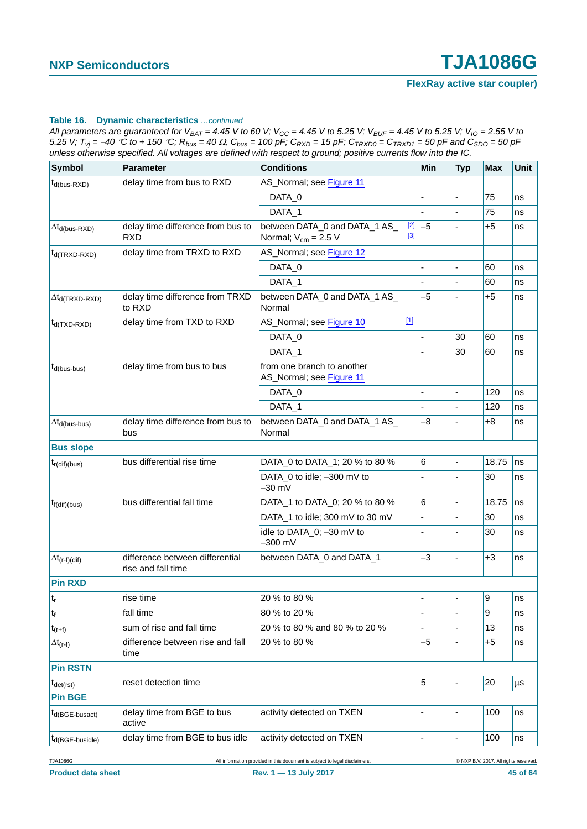All parameters are guaranteed for  $V_{BAT} = 4.45$  V to 60 V;  $V_{CC} = 4.45$  V to 5.25 V;  $V_{BUF} = 4.45$  V to 5.25 V;  $V_{IO} = 2.55$  V to 5.25 V;  $T_{vi} = -40$  °C to + 150 °C;  $R_{bus} = 40 \Omega$ ,  $C_{bus} = 100$  pF;  $C_{RXD} = 15$  pF;  $C_{TRXD0} = C_{TRXD1} = 50$  pF and  $C_{SDO} = 50$  pF *unless otherwise specified. All voltages are defined with respect to ground; positive currents flow into the IC.*

| <b>Symbol</b>            | <b>Parameter</b>                                      | <b>Conditions</b>                                         |                | <b>Min</b> | <b>Typ</b>     | <b>Max</b>     | Unit    |
|--------------------------|-------------------------------------------------------|-----------------------------------------------------------|----------------|------------|----------------|----------------|---------|
| $t_{d(bus-RXD)}$         | delay time from bus to RXD                            | AS_Normal; see Figure 11                                  |                |            |                |                |         |
|                          |                                                       | DATA_0                                                    |                |            |                | 75             | ns      |
|                          |                                                       | DATA_1                                                    |                |            |                | 75             | ns      |
| $\Delta t_{d(bus-RXD)}$  | delay time difference from bus to<br>RXD              | between DATA_0 and DATA_1 AS_<br>Normal; $V_{cm} = 2.5 V$ | $[2]$<br>$[3]$ | $-5$       |                | +5             | ns      |
| $t_{d(TRXD-RXD)}$        | delay time from TRXD to RXD                           | AS_Normal; see Figure 12                                  |                |            |                |                |         |
|                          |                                                       | DATA_0                                                    |                |            |                | 60             | ns      |
|                          |                                                       | DATA_1                                                    |                |            |                | 60             | ns      |
| $\Delta t_{d(TRXD-RXD)}$ | delay time difference from TRXD<br>to RXD             | between DATA_0 and DATA_1 AS_<br>Normal                   |                | -5         |                | $+5$           | ns      |
| $t_{d(TXD-RXD)}$         | delay time from TXD to RXD                            | AS_Normal; see Figure 10                                  | $[1]$          |            |                |                |         |
|                          |                                                       | DATA_0                                                    |                |            | 30             | 60             | ns      |
|                          |                                                       | DATA 1                                                    |                |            | 30             | 60             | ns      |
| $t_{d(bus-bus)}$         | delay time from bus to bus                            | from one branch to another<br>AS_Normal; see Figure 11    |                |            |                |                |         |
|                          |                                                       | DATA_0                                                    |                |            | $\overline{a}$ | 120            | ns      |
|                          |                                                       | DATA_1                                                    |                |            |                | 120            | ns      |
| $\Delta t_{d(bus-bus)}$  | delay time difference from bus to<br>bus              | between DATA_0 and DATA_1 AS_<br>Normal                   |                | -8         | ÷              | +8             | ns      |
| <b>Bus slope</b>         |                                                       |                                                           |                |            |                |                |         |
| $t_{r(\text{dif})(bus)}$ | bus differential rise time                            | DATA_0 to DATA_1; 20 % to 80 %                            |                | 6          |                | 18.75          | ns      |
|                          |                                                       | DATA_0 to idle; -300 mV to<br>-30 mV                      |                |            |                | 30             | ns      |
| $t_{f(di)(bus)}$         | bus differential fall time                            | DATA_1 to DATA_0; 20 % to 80 %                            |                | 6          |                | 18.75          | ns      |
|                          |                                                       | DATA_1 to idle; 300 mV to 30 mV                           |                |            |                | 30             | ns      |
|                          |                                                       | idle to DATA_0; -30 mV to<br>$-300$ mV                    |                |            |                | 30             | ns      |
| $\Delta t_{(r-f)(dif)}$  | difference between differential<br>rise and fall time | between DATA_0 and DATA_1                                 |                | -3         | L,             | $+3$           | ns      |
| <b>Pin RXD</b>           |                                                       |                                                           |                |            |                |                |         |
| $ t_r $                  | rise time                                             | 20 % to 80 %                                              |                |            |                | $\overline{9}$ | ns      |
| $t_f$                    | fall time                                             | 80 % to 20 %                                              |                |            |                | 9              | ns      |
| $t_{(r+f)}$              | sum of rise and fall time                             | 20 % to 80 % and 80 % to 20 %                             |                |            |                | 13             | ns      |
| $\Delta t_{(r-f)}$       | difference between rise and fall<br>time              | 20 % to 80 %                                              |                | $-5$       |                | $+5$           | ns      |
| <b>Pin RSTN</b>          |                                                       |                                                           |                |            |                |                |         |
| $t_{\text{det(rst)}}$    | reset detection time                                  |                                                           |                | 5          |                | 20             | $\mu$ s |
| <b>Pin BGE</b>           |                                                       |                                                           |                |            |                |                |         |
| $t_{d(BGE-busact)}$      | delay time from BGE to bus<br>active                  | activity detected on TXEN                                 |                |            |                | 100            | ns      |
| $t_{d(BGE-busidle)}$     | delay time from BGE to bus idle                       | activity detected on TXEN                                 |                |            |                | 100            | ns      |

TJA1086G All information provided in this document is subject to legal disclaimers. © NXP B.V. 2017. All rights reserved.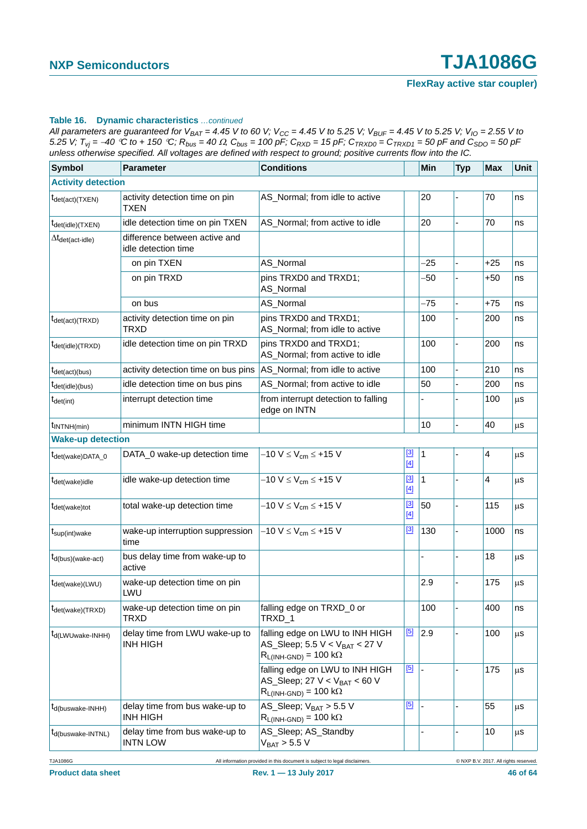All parameters are guaranteed for  $V_{BAT} = 4.45$  V to 60 V;  $V_{CC} = 4.45$  V to 5.25 V;  $V_{BUF} = 4.45$  V to 5.25 V;  $V_{IO} = 2.55$  V to 5.25 V;  $T_{vi} = -40$  °C to + 150 °C;  $R_{bus} = 40 \Omega$ ,  $C_{bus} = 100$  pF;  $C_{RXD} = 15$  pF;  $C_{TRXD0} = C_{TRXD1} = 50$  pF and  $C_{SDO} = 50$  pF *unless otherwise specified. All voltages are defined with respect to ground; positive currents flow into the IC.*

| <b>Symbol</b>                              | <b>Parameter</b>                                     | <b>Conditions</b>                                                                                                            |                      | Min   | <b>Typ</b> | <b>Max</b> | Unit    |
|--------------------------------------------|------------------------------------------------------|------------------------------------------------------------------------------------------------------------------------------|----------------------|-------|------------|------------|---------|
| <b>Activity detection</b>                  |                                                      |                                                                                                                              |                      |       |            |            |         |
| $t_{\text{det}(\text{act})(\text{TXEN})}$  | activity detection time on pin<br><b>TXEN</b>        | AS_Normal; from idle to active                                                                                               |                      | 20    |            | 70         | ns      |
| <sup>t</sup> det(idle)(TXEN)               | idle detection time on pin TXEN                      | AS_Normal; from active to idle                                                                                               |                      | 20    |            | 70         | ns      |
| $\Delta t_{\text{det}(\text{act-idle})}$   | difference between active and<br>idle detection time |                                                                                                                              |                      |       |            |            |         |
|                                            | on pin TXEN                                          | AS_Normal                                                                                                                    |                      | $-25$ |            | $+25$      | ns      |
|                                            | on pin TRXD                                          | pins TRXD0 and TRXD1;<br>AS_Normal                                                                                           |                      | -50   |            | $+50$      | ns      |
|                                            | on bus                                               | AS_Normal                                                                                                                    |                      | $-75$ |            | $+75$      | ns      |
| $t_{\text{det}(\text{act})(\text{TRXD})}$  | activity detection time on pin<br>TRXD               | pins TRXD0 and TRXD1;<br>AS_Normal; from idle to active                                                                      |                      | 100   |            | 200        | ns      |
| $t_{\text{det(idle)}}$ (TRXD)              | idle detection time on pin TRXD                      | pins TRXD0 and TRXD1;<br>AS_Normal; from active to idle                                                                      |                      | 100   |            | 200        | ns      |
| $t_{\text{det}(\text{act})(\text{bus})}$   | activity detection time on bus pins                  | AS_Normal; from idle to active                                                                                               |                      | 100   |            | 210        | ns      |
| $t_{\text{det}(idle)(bus)}$                | idle detection time on bus pins                      | AS_Normal; from active to idle                                                                                               |                      | 50    |            | 200        | ns      |
| $t_{\text{det(int)}}$                      | interrupt detection time                             | from interrupt detection to falling<br>edge on INTN                                                                          |                      |       |            | 100        | μS      |
| $t_{\text{INTNH}(min)}$                    | minimum INTN HIGH time                               |                                                                                                                              |                      | 10    |            | 40         | $\mu$ s |
| <b>Wake-up detection</b>                   |                                                      |                                                                                                                              |                      |       |            |            |         |
| t <sub>det(wake)</sub> DATA_0              | DATA_0 wake-up detection time                        | $-10 V \le V_{cm} \le +15 V$                                                                                                 | $^{[3]}$<br>$[4]$    | 1     |            | 4          | $\mu$ s |
| tdet(wake)idle                             | idle wake-up detection time                          | $-10 V \le V_{cm} \le +15 V$                                                                                                 | $\boxed{3}$<br>$[4]$ | 1     |            | 4          | $\mu$ s |
| $t_{\text{det}(\text{wake})\text{tot}}$    | total wake-up detection time                         | $-10 V \le V_{cm} \le +15 V$                                                                                                 | $^{[3]}$<br>$[4]$    | 50    |            | 115        | $\mu$ s |
| $t_{\text{sup(int)wake}}$                  | wake-up interruption suppression<br>time             | $-10 V \le V_{cm} \le +15 V$                                                                                                 | <u>[3]</u>           | 130   |            | 1000       | ns      |
| $t_{d(bus)(wake-act)}$                     | bus delay time from wake-up to<br>active             |                                                                                                                              |                      |       |            | 18         | $\mu$ s |
| <sup>T</sup> det(wake)(LWU)                | wake-up detection time on pin<br>LWU                 |                                                                                                                              |                      | 2.9   |            | 175        | μS      |
| $t_{\text{det}(\text{wake})(\text{TRXD})}$ | wake-up detection time on pin<br><b>TRXD</b>         | falling edge on TRXD_0 or<br>TRXD_1                                                                                          |                      | 100   |            | 400        | ns      |
| $t_{d(LWU wake-INHH)}$                     | delay time from LWU wake-up to<br><b>INH HIGH</b>    | falling edge on LWU to INH HIGH<br>AS_Sleep; $5.5 V < V_{BAT} < 27 V$<br>$R_{L(INH\text{-}GND)} = 100 \text{ k}\Omega$       | [5]                  | 2.9   |            | 100        | μS      |
|                                            |                                                      | falling edge on LWU to INH HIGH<br>AS_Sleep; 27 V < V <sub>BAT</sub> < 60 V<br>$R_{L(INH\text{-}GND)} = 100 \text{ k}\Omega$ | $\boxed{5}$          | ÷,    |            | 175        | $\mu$ s |
| $t_{d(buswake-IMHH)}$                      | delay time from bus wake-up to<br><b>INH HIGH</b>    | AS_Sleep; $V_{BAT} > 5.5 V$<br>$R_{L(INH\text{-}GND)} = 100 \text{ k}\Omega$                                                 | $\boxed{5}$          |       |            | 55         | $\mu$ s |
| t <sub>d</sub> (buswake-INTNL)             | delay time from bus wake-up to<br><b>INTN LOW</b>    | AS_Sleep; AS_Standby<br>$V_{BAT}$ > 5.5 V                                                                                    |                      |       |            | 10         | μS      |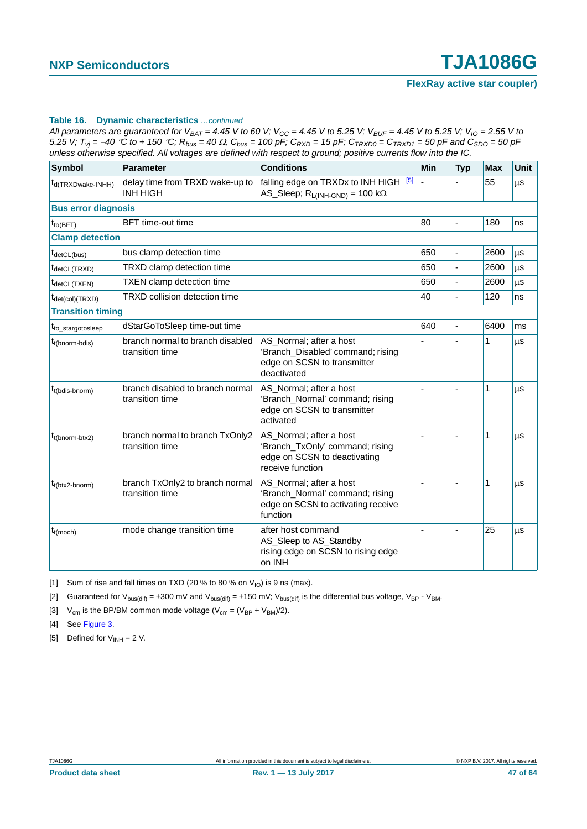All parameters are guaranteed for  $V_{BAT} = 4.45$  V to 60 V;  $V_{CC} = 4.45$  V to 5.25 V;  $V_{BUF} = 4.45$  V to 5.25 V;  $V_{IO} = 2.55$  V to 5.25 V;  $T_{vi}$  = -40 °C to + 150 °C;  $R_{bus}$  = 40  $\Omega$ ,  $C_{bus}$  = 100 pF;  $C_{RXD}$  = 15 pF;  $C_{TRXD0}$  =  $C_{TRXD1}$  = 50 pF and  $C_{SD0}$  = 50 pF *unless otherwise specified. All voltages are defined with respect to ground; positive currents flow into the IC.*

| Symbol                         | <b>Parameter</b>                                    | <b>Conditions</b>                                                                                              |       | <b>Min</b> | <b>Typ</b>     | <b>Max</b> | <b>Unit</b> |
|--------------------------------|-----------------------------------------------------|----------------------------------------------------------------------------------------------------------------|-------|------------|----------------|------------|-------------|
| t <sub>d</sub> (TRXDwake-INHH) | delay time from TRXD wake-up to<br><b>INH HIGH</b>  | falling edge on TRXDx to INH HIGH<br>AS_Sleep; $R_{L(INH\text{-GND})} = 100 k\Omega$                           | $[5]$ |            |                | 55         | μS          |
| <b>Bus error diagnosis</b>     |                                                     |                                                                                                                |       |            |                |            |             |
| $t_{\text{to(BFT)}}$           | <b>BFT</b> time-out time                            |                                                                                                                |       | 80         |                | 180        | ns          |
| <b>Clamp detection</b>         |                                                     |                                                                                                                |       |            |                |            |             |
| t <sub>detCL(bus)</sub>        | bus clamp detection time                            |                                                                                                                |       | 650        | ÷,             | 2600       | μS          |
| t <sub>detCL</sub> (TRXD)      | TRXD clamp detection time                           |                                                                                                                |       | 650        | $\overline{a}$ | 2600       | $\mu$ S     |
| t <sub>detCL(TXEN)</sub>       | TXEN clamp detection time                           |                                                                                                                |       | 650        |                | 2600       | μs          |
| t <sub>det(col)(TRXD)</sub>    | TRXD collision detection time                       |                                                                                                                |       | 40         |                | 120        | ns          |
| <b>Transition timing</b>       |                                                     |                                                                                                                |       |            |                |            |             |
| t <sub>to_stargotosleep</sub>  | dStarGoToSleep time-out time                        |                                                                                                                |       | 640        |                | 6400       | ms          |
| t <sub>t(bnorm-bdis)</sub>     | branch normal to branch disabled<br>transition time | AS_Normal; after a host<br>'Branch_Disabled' command; rising<br>edge on SCSN to transmitter<br>deactivated     |       |            |                | 1          | μS          |
| $t_{t(bdis\text{-}bnorm)}$     | branch disabled to branch normal<br>transition time | AS_Normal; after a host<br>'Branch_Normal' command; rising<br>edge on SCSN to transmitter<br>activated         |       |            |                | 1          | μS          |
| $t_{t(bnorm-btx2)}$            | branch normal to branch TxOnly2<br>transition time  | AS_Normal; after a host<br>'Branch_TxOnly' command; rising<br>edge on SCSN to deactivating<br>receive function |       |            |                | 1          | μS          |
| $t_{t(btx2-bnorm)}$            | branch TxOnly2 to branch normal<br>transition time  | AS_Normal; after a host<br>'Branch_Normal' command; rising<br>edge on SCSN to activating receive<br>function   |       |            |                | 1          | μS          |
| $t_{t(moch)}$                  | mode change transition time                         | after host command<br>AS_Sleep to AS_Standby<br>rising edge on SCSN to rising edge<br>on INH                   |       |            |                | 25         | μS          |

<span id="page-46-0"></span>[1] Sum of rise and fall times on TXD (20 % to 80 % on  $V_{10}$ ) is 9 ns (max).

<span id="page-46-1"></span>[2] Guaranteed for  $V_{bus(dif)} = \pm 300$  mV and  $V_{bus(dif)} = \pm 150$  mV;  $V_{bus(dif)}$  is the differential bus voltage,  $V_{BP}$  -  $V_{BM}$ .

<span id="page-46-2"></span>[3]  $V_{cm}$  is the BP/BM common mode voltage ( $V_{cm} = (V_{BP} + V_{BM})/2$ ).

- <span id="page-46-3"></span>[4] See [Figure 3.](#page-8-0)
- <span id="page-46-4"></span>[5] Defined for  $V_{INH} = 2 V$ .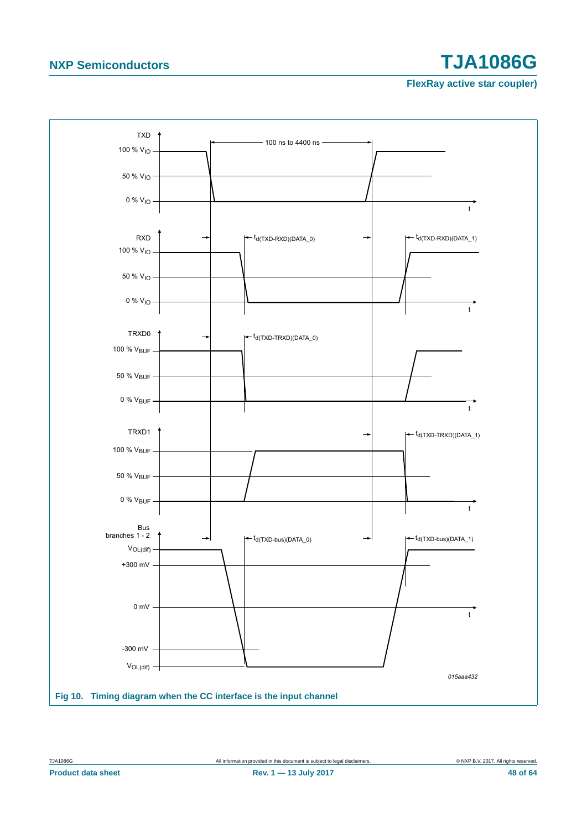

<span id="page-47-0"></span>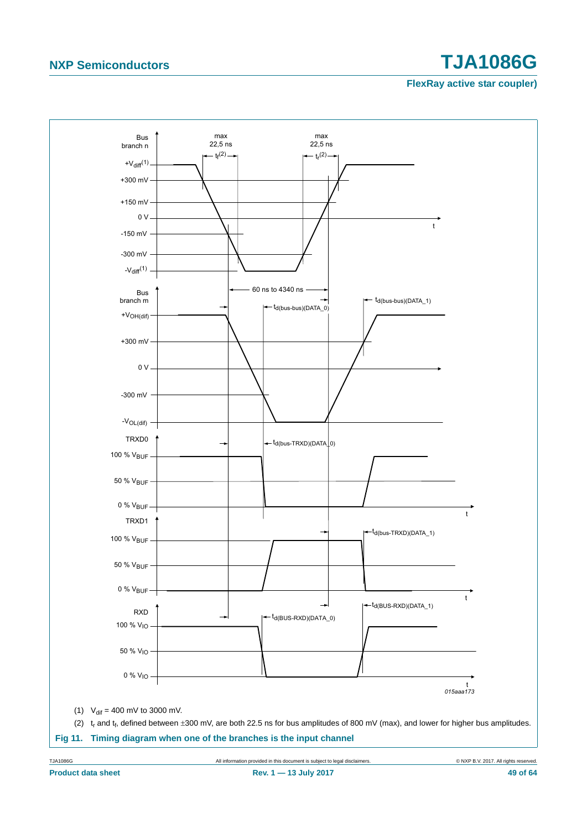<span id="page-48-0"></span>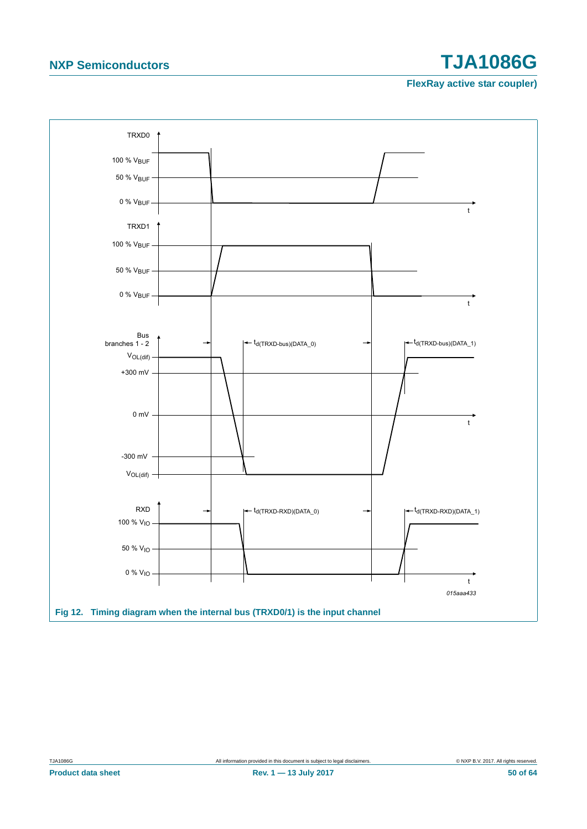<span id="page-49-0"></span>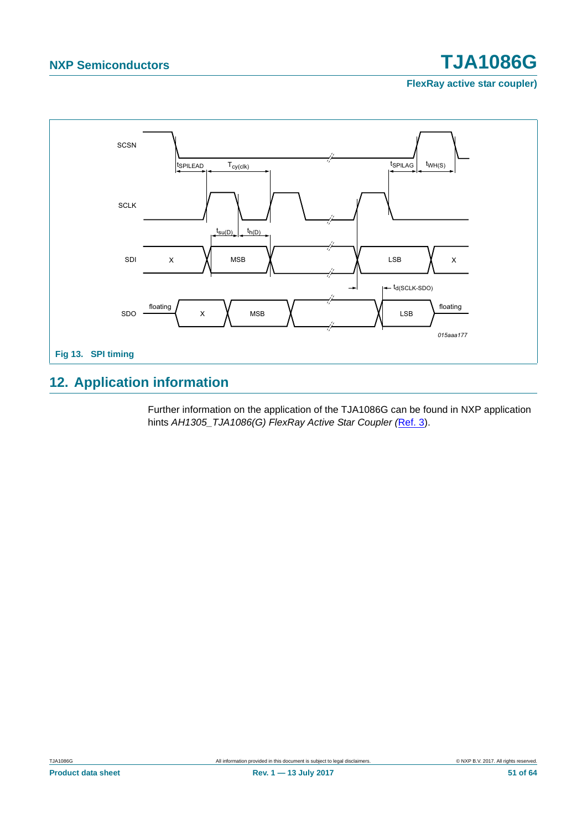**FlexRay active star coupler)**



## <span id="page-50-0"></span>**12. Application information**

Further information on the application of the TJA1086G can be found in NXP application hints *AH1305\_TJA1086(G) FlexRay Active Star Coupler (*[Ref. 3\)](#page-60-2).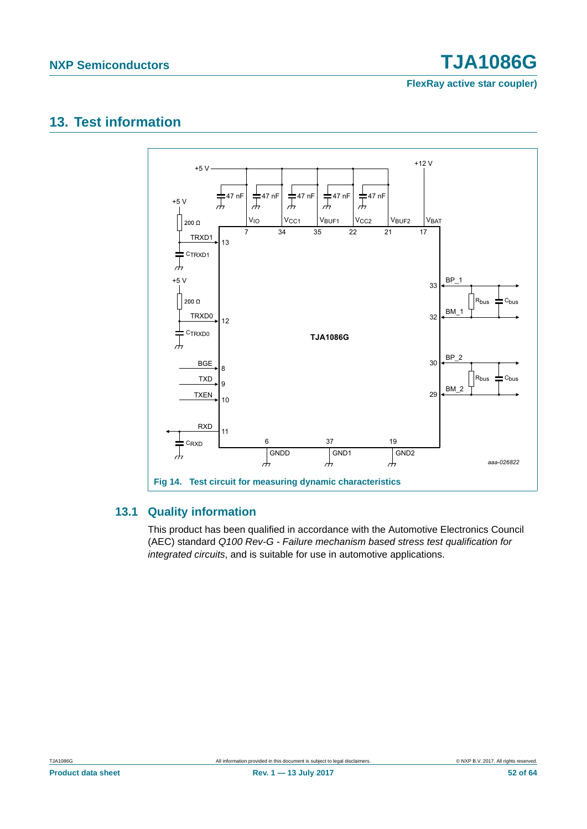**FlexRay active star coupler)**

### <span id="page-51-0"></span>**13. Test information**



#### <span id="page-51-1"></span>**13.1 Quality information**

This product has been qualified in accordance with the Automotive Electronics Council (AEC) standard *Q100 Rev-G - Failure mechanism based stress test qualification for integrated circuits*, and is suitable for use in automotive applications.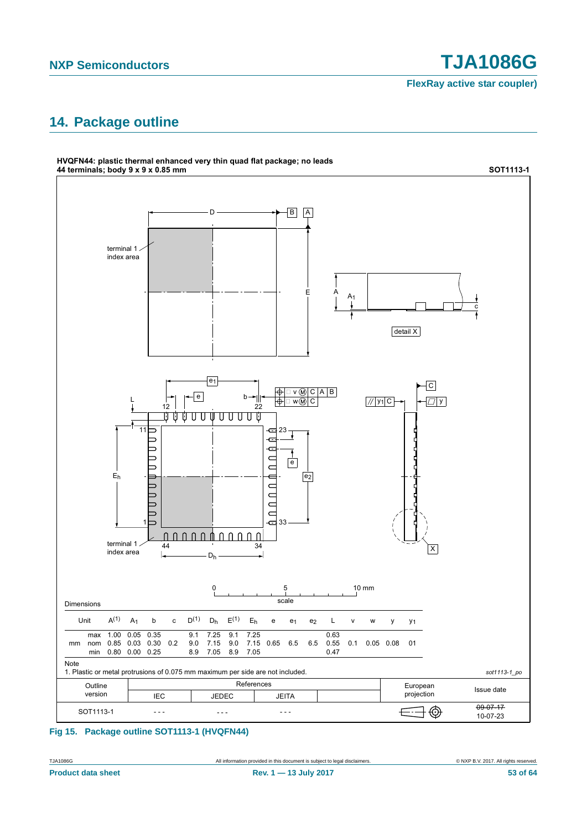**FlexRay active star coupler)**

## <span id="page-52-0"></span>**14. Package outline**



#### **Fig 15. Package outline SOT1113-1 (HVQFN44)**

**Product data sheet Rev. 1 — 13 July 2017 53 of 64**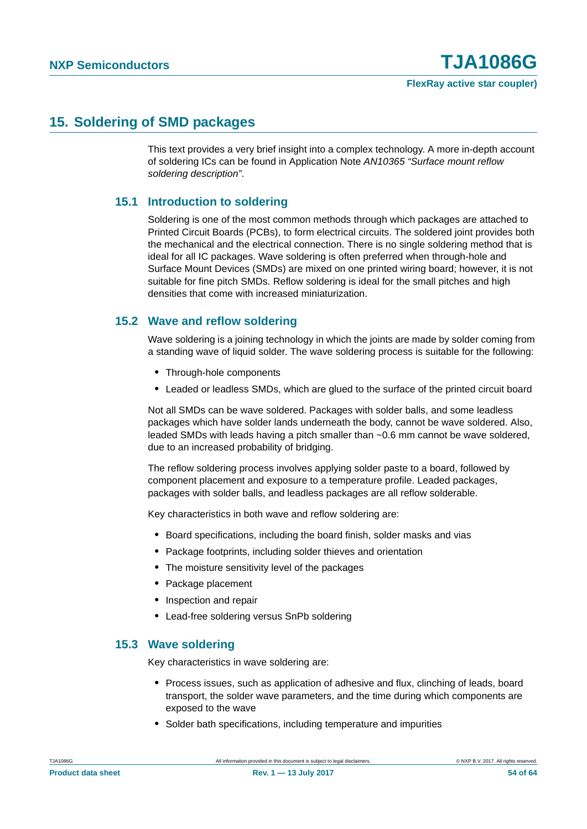### <span id="page-53-0"></span>**15. Soldering of SMD packages**

This text provides a very brief insight into a complex technology. A more in-depth account of soldering ICs can be found in Application Note *AN10365 "Surface mount reflow soldering description"*.

### <span id="page-53-1"></span>**15.1 Introduction to soldering**

Soldering is one of the most common methods through which packages are attached to Printed Circuit Boards (PCBs), to form electrical circuits. The soldered joint provides both the mechanical and the electrical connection. There is no single soldering method that is ideal for all IC packages. Wave soldering is often preferred when through-hole and Surface Mount Devices (SMDs) are mixed on one printed wiring board; however, it is not suitable for fine pitch SMDs. Reflow soldering is ideal for the small pitches and high densities that come with increased miniaturization.

### <span id="page-53-2"></span>**15.2 Wave and reflow soldering**

Wave soldering is a joining technology in which the joints are made by solder coming from a standing wave of liquid solder. The wave soldering process is suitable for the following:

- **•** Through-hole components
- **•** Leaded or leadless SMDs, which are glued to the surface of the printed circuit board

Not all SMDs can be wave soldered. Packages with solder balls, and some leadless packages which have solder lands underneath the body, cannot be wave soldered. Also, leaded SMDs with leads having a pitch smaller than ~0.6 mm cannot be wave soldered, due to an increased probability of bridging.

The reflow soldering process involves applying solder paste to a board, followed by component placement and exposure to a temperature profile. Leaded packages, packages with solder balls, and leadless packages are all reflow solderable.

Key characteristics in both wave and reflow soldering are:

- **•** Board specifications, including the board finish, solder masks and vias
- **•** Package footprints, including solder thieves and orientation
- **•** The moisture sensitivity level of the packages
- **•** Package placement
- **•** Inspection and repair
- **•** Lead-free soldering versus SnPb soldering

#### <span id="page-53-3"></span>**15.3 Wave soldering**

Key characteristics in wave soldering are:

- **•** Process issues, such as application of adhesive and flux, clinching of leads, board transport, the solder wave parameters, and the time during which components are exposed to the wave
- **•** Solder bath specifications, including temperature and impurities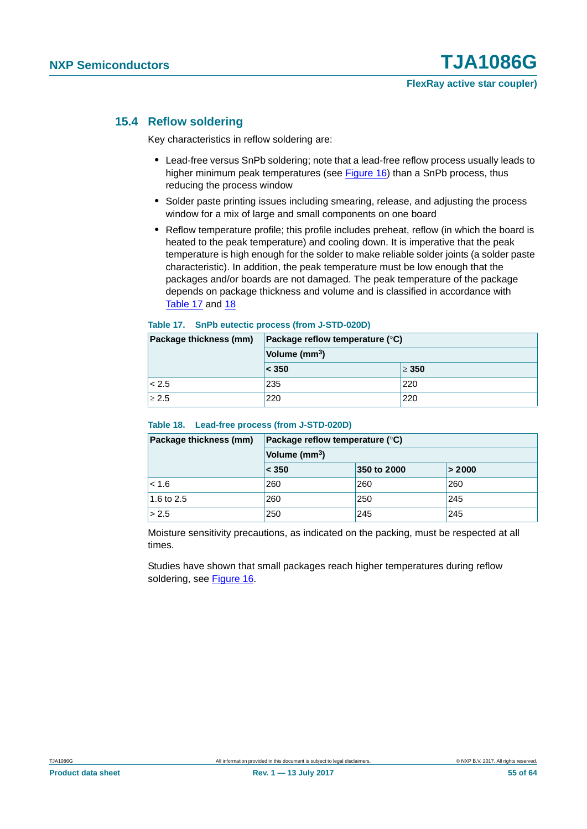#### <span id="page-54-2"></span>**15.4 Reflow soldering**

Key characteristics in reflow soldering are:

- **•** Lead-free versus SnPb soldering; note that a lead-free reflow process usually leads to higher minimum peak temperatures (see [Figure 16\)](#page-55-0) than a SnPb process, thus reducing the process window
- **•** Solder paste printing issues including smearing, release, and adjusting the process window for a mix of large and small components on one board
- **•** Reflow temperature profile; this profile includes preheat, reflow (in which the board is heated to the peak temperature) and cooling down. It is imperative that the peak temperature is high enough for the solder to make reliable solder joints (a solder paste characteristic). In addition, the peak temperature must be low enough that the packages and/or boards are not damaged. The peak temperature of the package depends on package thickness and volume and is classified in accordance with [Table 17](#page-54-0) and [18](#page-54-1)

#### <span id="page-54-0"></span>**Table 17. SnPb eutectic process (from J-STD-020D)**

| Package thickness (mm) | Package reflow temperature $(°C)$<br>Volume (mm <sup>3</sup> ) |            |  |  |  |
|------------------------|----------------------------------------------------------------|------------|--|--|--|
|                        |                                                                |            |  |  |  |
|                        | < 350                                                          | $\geq 350$ |  |  |  |
| < 2.5                  | 235                                                            | 220        |  |  |  |
| $\geq 2.5$             | 220                                                            | 220        |  |  |  |

#### <span id="page-54-1"></span>**Table 18. Lead-free process (from J-STD-020D)**

| Package thickness (mm) | Package reflow temperature $(°C)$<br>Volume (mm <sup>3</sup> ) |             |        |  |  |  |  |
|------------------------|----------------------------------------------------------------|-------------|--------|--|--|--|--|
|                        |                                                                |             |        |  |  |  |  |
|                        | < 350                                                          | 350 to 2000 | > 2000 |  |  |  |  |
| < 1.6                  | 260                                                            | 260         | 260    |  |  |  |  |
| 1.6 to 2.5             | 260                                                            | 250         | 245    |  |  |  |  |
| > 2.5                  | 250                                                            | 245         | 245    |  |  |  |  |

Moisture sensitivity precautions, as indicated on the packing, must be respected at all times.

Studies have shown that small packages reach higher temperatures during reflow soldering, see [Figure 16](#page-55-0).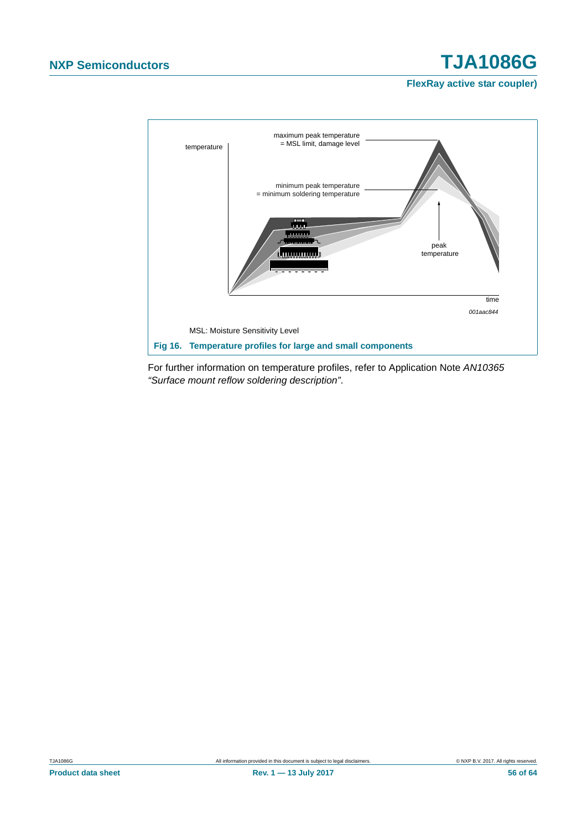**FlexRay active star coupler)**



<span id="page-55-0"></span>For further information on temperature profiles, refer to Application Note *AN10365 "Surface mount reflow soldering description"*.

**Product data sheet Rev. 1 — 13 July 2017 56 of 64**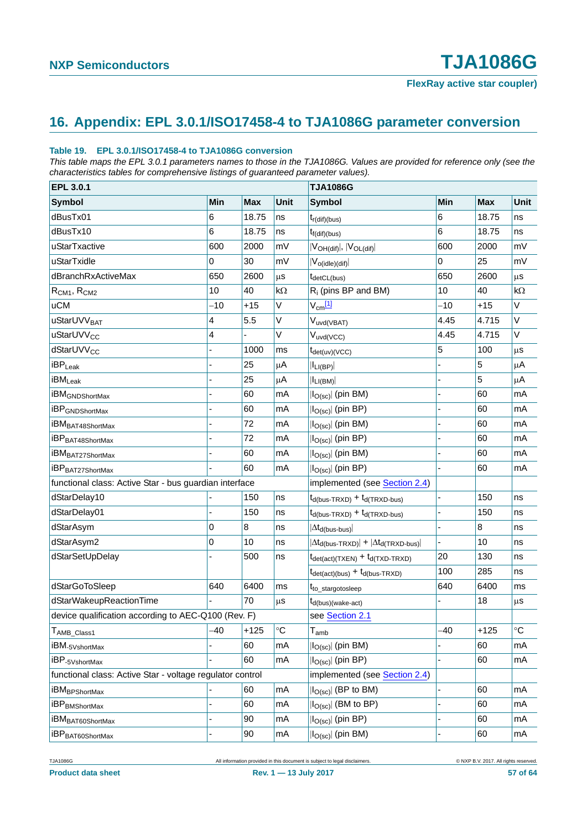## <span id="page-56-0"></span>**16. Appendix: EPL 3.0.1/ISO17458-4 to TJA1086G parameter conversion**

#### **Table 19. EPL 3.0.1/ISO17458-4 to TJA1086G conversion**

*This table maps the EPL 3.0.1 parameters names to those in the TJA1086G. Values are provided for reference only (see the characteristics tables for comprehensive listings of guaranteed parameter values).*

| EPL 3.0.1                                                 |       |            |             | <b>TJA1086G</b>                                                           |             |            |             |
|-----------------------------------------------------------|-------|------------|-------------|---------------------------------------------------------------------------|-------------|------------|-------------|
| <b>Symbol</b>                                             | Min   | <b>Max</b> | <b>Unit</b> | <b>Symbol</b>                                                             | Min         | <b>Max</b> | <b>Unit</b> |
| dBusTx01                                                  | 6     | 18.75      | ns          | $t_{r(\text{dif})(bus)}$                                                  | 6           | 18.75      | ns          |
| dBusTx10                                                  | 6     | 18.75      | ns          | $t_{f(di)(bus)}$                                                          | 6           | 18.75      | ns          |
| uStarTxactive                                             | 600   | 2000       | mV          | $ V_{OH(dif)} ,  V_{OL(dif)} $                                            | 600         | 2000       | mV          |
| uStarTxidle                                               | 0     | 30         | mV          | $ V_{o(idle)(dif)} $                                                      | $\mathbf 0$ | 25         | mV          |
| dBranchRxActiveMax                                        | 650   | 2600       | μs          | $t_{\text{detCL(bus)}}$                                                   | 650         | 2600       | μs          |
| $R_{CM1}$ , $R_{CM2}$                                     | 10    | 40         | $k\Omega$   | $R_i$ (pins BP and BM)                                                    | 10          | 40         | $k\Omega$   |
| <b>uCM</b>                                                | $-10$ | $+15$      | V           | $V_{cm}$ [1]                                                              | $-10$       | $+15$      | V           |
| uStarUVV <sub>BAT</sub>                                   | 4     | 5.5        | V           | V <sub>uvd(VBAT)</sub>                                                    | 4.45        | 4.715      | V           |
| uStarUVV <sub>CC</sub>                                    | 4     |            | V           | $V_{uvd(VCC)}$                                                            | 4.45        | 4.715      | V           |
| dStarUVV <sub>CC</sub>                                    |       | 1000       | ms          | $t_{\text{det(uv)}(VCC)}$                                                 | 5           | 100        | μS          |
| $\mathsf{iBP}_{\mathsf{Leak}}$                            |       | 25         | μA          | $ I_{LI(BP)} $                                                            |             | 5          | μA          |
| iBM <sub>Leak</sub>                                       |       | 25         | μA          | $ I_{LI(BM)} $                                                            |             | 5          | μA          |
| <b>iBM</b> GNDShortMax                                    |       | 60         | mA          | $ I_{O(sc)} $ (pin BM)                                                    | L           | 60         | mA          |
| <b>iBP</b> GNDShortMax                                    |       | 60         | mA          | $ I_{O(SC)} $ (pin BP)                                                    |             | 60         | mA          |
| iBM <sub>BAT48ShortMax</sub>                              |       | 72         | mA          | $ I_{O(SC)} $ (pin BM)                                                    |             | 60         | mA          |
| iBP <sub>BAT48ShortMax</sub>                              |       | 72         | mA          | $ I_{O(sc)} $ (pin BP)                                                    |             | 60         | mA          |
| iBM <sub>BAT27ShortMax</sub>                              |       | 60         | mA          | $ I_{O(sc)} $ (pin BM)                                                    |             | 60         | mA          |
| iBP <sub>BAT27ShortMax</sub>                              |       | 60         | mA          | $ I_{O(sc)} $ (pin BP)                                                    |             | 60         | mA          |
| functional class: Active Star - bus guardian interface    |       |            |             | implemented (see Section 2.4)                                             |             |            |             |
| dStarDelay10                                              |       | 150        | ns          | $t_{d(bus-TRXD)} + t_{d(TRXD-bus)}$                                       | L.          | 150        | ns          |
| dStarDelay01                                              |       | 150        | ns          | $t_{d(bus-TRXD)} + t_{d(TRXD-bus)}$                                       | L           | 150        | ns          |
| dStarAsym                                                 | 0     | 8          | ns          | $ \Delta t_{\sf d(bus-bus)} $                                             |             | 8          | ns          |
| dStarAsym2                                                | 0     | 10         | ns          | $ \Delta t_{d(bus-TRXD)}  +  \Delta t_{d(TRXD-bus)} $                     | ÷,          | 10         | ns          |
| dStarSetUpDelay                                           |       | 500        | ns          | $t_{\text{det}(\text{act})(\text{TXEN})} + t_{\text{d}(\text{TXD-TRXD})}$ | 20          | 130        | ns          |
|                                                           |       |            |             | $t_{\text{det}(\text{act})(\text{bus})} + t_{\text{d}(\text{bus-TRXD})}$  | 100         | 285        | ns          |
| dStarGoToSleep                                            | 640   | 6400       | ms          | t <sub>to_stargotosleep</sub>                                             | 640         | 6400       | ms          |
| dStarWakeupReactionTime                                   |       | 70         | μS          | $t_{d(bus)(wake-act)}$                                                    |             | 18         | μs          |
| device qualification according to AEC-Q100 (Rev. F)       |       |            |             | see Section 2.1                                                           |             |            |             |
| $T_{\sf AMB}$ Class1                                      | -40   | $+125$     | $^{\circ}C$ | $T_{amb}$                                                                 | $-40$       | $+125$     | °C          |
| iBM <sub>-5VshortMax</sub>                                |       | 60         | mA          | $ I_{O(sc)} $ (pin BM)                                                    |             | 60         | mA          |
| iBP <sub>-5VshortMax</sub>                                |       | 60         | mA          | $ I_{O(sc)} $ (pin BP)                                                    |             | 60         | mA          |
| functional class: Active Star - voltage regulator control |       |            |             | implemented (see Section 2.4)                                             |             |            |             |
| <b>iBM</b> BPShortMax                                     |       | 60         | mA          | $ I_{O(SC)} $ (BP to BM)                                                  |             | 60         | mA          |
| <b>iBP</b> BMShortMax                                     |       | 60         | mA          | $ I_{O(sc)} $ (BM to BP)                                                  |             | 60         | mA          |
| iBM <sub>BAT60ShortMax</sub>                              |       | 90         | mA          | $ I_{O(sc)} $ (pin BP)                                                    |             | 60         | mA          |
| iBP <sub>BAT60ShortMax</sub>                              |       | 90         | mA          | $ I_{O(SC)} $ (pin BM)                                                    |             | 60         | mA          |

TJA1086G **All information provided in this document** is subject to legal disclaimers. © NXP B.V. 2017. All rights reserved.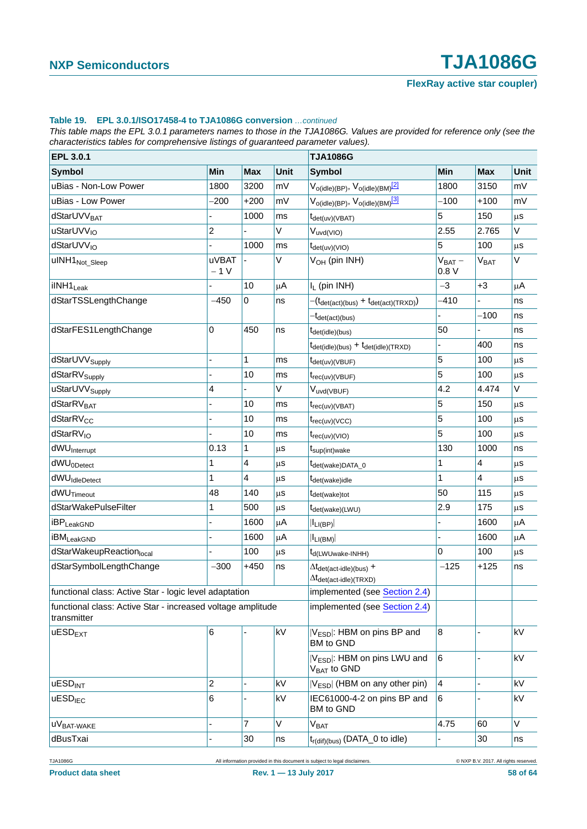#### **Table 19. EPL 3.0.1/ISO17458-4 to TJA1086G conversion** *…continued*

*This table maps the EPL 3.0.1 parameters names to those in the TJA1086G. Values are provided for reference only (see the characteristics tables for comprehensive listings of guaranteed parameter values).*

| EPL 3.0.1                                                                  |                         |                         |             | <b>TJA1086G</b>                                                                                                 |                     |                  |             |
|----------------------------------------------------------------------------|-------------------------|-------------------------|-------------|-----------------------------------------------------------------------------------------------------------------|---------------------|------------------|-------------|
| <b>Symbol</b>                                                              | Min                     | <b>Max</b>              | <b>Unit</b> | <b>Symbol</b>                                                                                                   | Min                 | <b>Max</b>       | <b>Unit</b> |
| uBias - Non-Low Power                                                      | 1800                    | 3200                    | mV          | $V_{o(idle)(BP)}, V_{o(idle)(BM)}$ <sup>[2]</sup>                                                               | 1800                | 3150             | mV          |
| uBias - Low Power                                                          | $-200$                  | $+200$                  | mV          | $V_{o(idle)(BP)}, V_{o(idle)(BM)}$ <sup>[3]</sup>                                                               | $-100$              | $+100$           | mV          |
| dStarUVV <sub>BAT</sub>                                                    |                         | 1000                    | ms          | t <sub>det(uv)</sub> (VBAT)                                                                                     | 5                   | 150              | $\mu$ s     |
| uStarUVV <sub>IO</sub>                                                     | $\overline{a}$          |                         | $\vee$      | $V_{uvd(VIO)}$                                                                                                  | 2.55                | 2.765            | $\vee$      |
| dStarUVV <sub>IO</sub>                                                     |                         | 1000                    | ms          | $t_{\text{det(uv)}(VIO)}$                                                                                       | 5                   | 100              | μs          |
| uINH1 <sub>Not_Sleep</sub>                                                 | <b>uVBAT</b><br>$-1V$   |                         | V           | V <sub>OH</sub> (pin INH)                                                                                       | $V_{BAT}$ –<br>0.8V | $V_{\text{BAT}}$ | V           |
| ilNH1 <sub>Leak</sub>                                                      |                         | 10                      | μA          | I <sub>L</sub> (pin INH)                                                                                        | $-3$                | $+3$             | μA          |
| dStarTSSLengthChange                                                       | $-450$                  | $\mathbf 0$             | ns          | $-(t_{\text{det}(\text{act})(\text{bus})} + t_{\text{det}(\text{act})(\text{TRXD})})$                           | $-410$              |                  | ns          |
|                                                                            |                         |                         |             | <sup>-t</sup> det(act)(bus)                                                                                     |                     | $-100$           | ns          |
| dStarFES1LengthChange                                                      | 0                       | 450                     | ns          | t <sub>det(idle)</sub> (bus)                                                                                    | 50                  |                  | ns          |
|                                                                            |                         |                         |             | $t_{\text{det(idle)}(bus)} + t_{\text{det(idle)}(TRXD)}$                                                        |                     | 400              | ns          |
| dStarUVV <sub>Supply</sub>                                                 |                         | $\mathbf{1}$            | ms          | t <sub>det(uv)</sub> (VBUF)                                                                                     | 5                   | 100              | μS          |
| dStarRV <sub>Supply</sub>                                                  |                         | 10                      | ms          | $t_{rec(uv)(VBUF)}$                                                                                             | 5                   | 100              | μs          |
| uStarUVV <sub>Supply</sub>                                                 | $\overline{\mathbf{4}}$ |                         | V           | Vuvd(VBUF)                                                                                                      | 4.2                 | 4.474            | $\vee$      |
| dStarRV <sub>BAT</sub>                                                     |                         | 10                      | ms          | $t_{rec(uv)(VBAT)}$                                                                                             | 5                   | 150              | μs          |
| dStarRV <sub>CC</sub>                                                      |                         | 10                      | ms          | $t_{rec(uv)(VCC)}$                                                                                              | 5                   | 100              | μs          |
| dStarRV <sub>IO</sub>                                                      |                         | 10                      | ms          | $t_{rec(uv)(VIO)}$                                                                                              | 5                   | 100              | μs          |
| dWU <sub>Interrupt</sub>                                                   | 0.13                    | $\mathbf{1}$            | $\mu$ s     | t <sub>sup(int)wake</sub>                                                                                       | 130                 | 1000             | ns          |
| dWU <sub>0Detect</sub>                                                     | 1                       | $\overline{\mathbf{4}}$ | $\mu$ s     | t <sub>det(wake)DATA_0</sub>                                                                                    | 1                   | 4                | $\mu$ s     |
| dWU <sub>IdleDetect</sub>                                                  | $\mathbf{1}$            | $\overline{4}$          | μS          | t <sub>det(wake)idle</sub>                                                                                      | 1                   | 4                | μs          |
| dWU <sub>Timeout</sub>                                                     | 48                      | 140                     | $\mu$ s     | t <sub>det(wake)tot</sub>                                                                                       | 50                  | 115              | μs          |
| dStarWakePulseFilter                                                       | 1                       | 500                     | $\mu$ S     | t <sub>det(wake)</sub> (LWU)                                                                                    | 2.9                 | 175              | μs          |
| <b>iBPLeakGND</b>                                                          |                         | 1600                    | μA          | $ I_{LI(BP)} $                                                                                                  |                     | 1600             | μA          |
| <b>iBM</b> LeakGND                                                         |                         | 1600                    | μA          | $ I_{LI(BM)} $                                                                                                  | $\blacksquare$      | 1600             | μA          |
| dStarWakeupReactionlocal                                                   |                         | 100                     | $\mu$ s     | t <sub>d</sub> (LWUwake-INHH)                                                                                   | $\mathbf 0$         | 100              | $\mu$ s     |
| dStarSymbolLengthChange                                                    | $-300$                  | $+450$                  | ns          | $\Delta t_{\text{det}(\text{act-idle})(\text{bus})}$ +<br>$\Delta t_{\text{det}(\text{act-idle})(\text{TRXD})}$ | $-125$              | $+125$           | ns          |
| functional class: Active Star - logic level adaptation                     |                         |                         |             | implemented (see Section 2.4)                                                                                   |                     |                  |             |
| functional class: Active Star - increased voltage amplitude<br>transmitter |                         |                         |             | implemented (see Section 2.4)                                                                                   |                     |                  |             |
| $u$ ESD <sub>EXT</sub>                                                     | 6                       |                         | kV          | V <sub>ESD</sub> : HBM on pins BP and<br>BM to GND                                                              | 8                   |                  | kV          |
|                                                                            |                         |                         |             | V <sub>ESD</sub> : HBM on pins LWU and<br>V <sub>BAT</sub> to GND                                               | 6                   |                  | kV          |
| <b>uESD<sub>INT</sub></b>                                                  | 2                       |                         | kV          | $ V_{ESD} $ (HBM on any other pin)                                                                              | $\overline{4}$      |                  | kV          |
| uESD <sub>IEC</sub>                                                        | 6                       |                         | kV          | IEC61000-4-2 on pins BP and<br>BM to GND                                                                        | 6                   |                  | kV          |
| UVBAT-WAKE                                                                 | $\overline{a}$          | $\overline{7}$          | V           | <b>VBAT</b>                                                                                                     | 4.75                | 60               | V           |
| dBusTxai                                                                   |                         | $30\,$                  | ns          | t <sub>r(dif)(bus)</sub> (DATA_0 to idle)                                                                       |                     | 30               | ns          |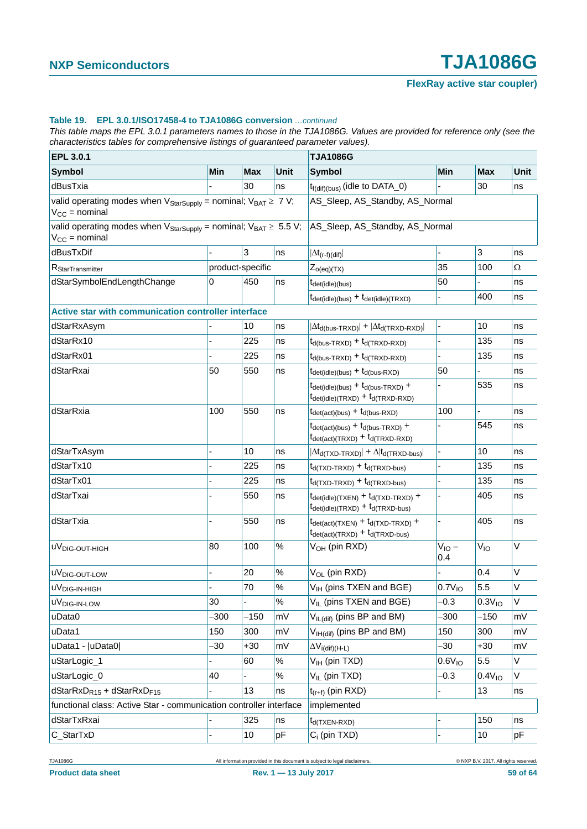#### **Table 19. EPL 3.0.1/ISO17458-4 to TJA1086G conversion** *…continued*

*This table maps the EPL 3.0.1 parameters names to those in the TJA1086G. Values are provided for reference only (see the characteristics tables for comprehensive listings of guaranteed parameter values).*

| EPL 3.0.1                                                                                                         |      |                  |             | <b>TJA1086G</b>                                                                                                                                          |                    |                    |      |
|-------------------------------------------------------------------------------------------------------------------|------|------------------|-------------|----------------------------------------------------------------------------------------------------------------------------------------------------------|--------------------|--------------------|------|
| <b>Symbol</b>                                                                                                     | Min  | <b>Max</b>       | <b>Unit</b> | <b>Symbol</b>                                                                                                                                            | Min                | <b>Max</b>         | Unit |
| dBusTxia                                                                                                          |      | 30               | ns          | $t_{f(di)(bus)}$ (idle to DATA_0)                                                                                                                        |                    | 30                 | ns   |
| valid operating modes when $V_{\text{StarSupply}} =$ nominal; $V_{\text{BAT}} \geq 7 V$ ;<br>$V_{CC}$ = nominal   |      |                  |             | AS_Sleep, AS_Standby, AS_Normal                                                                                                                          |                    |                    |      |
| valid operating modes when $V_{\text{StarSupply}} =$ nominal; $V_{\text{BAT}} \geq 5.5 V$ ;<br>$V_{CC}$ = nominal |      |                  |             | AS_Sleep, AS_Standby, AS_Normal                                                                                                                          |                    |                    |      |
| dBusTxDif                                                                                                         |      | 3                | ns          | $ \Delta t_{(r-f)(dif)} $                                                                                                                                |                    | 3                  | ns   |
| R <sub>StarTransmitter</sub>                                                                                      |      | product-specific |             | $Z_{o(eq)(TX)}$                                                                                                                                          | 35                 | 100                | Ω    |
| dStarSymbolEndLengthChange                                                                                        | 0    | 450              | ns          | t <sub>det(idle)</sub> (bus)                                                                                                                             | 50                 |                    | ns   |
|                                                                                                                   |      |                  |             | $t_{\text{det(idle)}(bus)} + t_{\text{det(idle)}(TRXD)}$                                                                                                 |                    | 400                | ns   |
| Active star with communication controller interface                                                               |      |                  |             |                                                                                                                                                          |                    |                    |      |
| dStarRxAsym                                                                                                       |      | 10               | ns          | $ \Delta t_{d(bus-TRXD)}  +  \Delta t_{d(TRXD-RXD)} $                                                                                                    |                    | 10                 | ns   |
| dStarRx10                                                                                                         |      | 225              | ns          | $t_{d(bus-TRXD)} + t_{d(TRXD-RXD)}$                                                                                                                      |                    | 135                | ns   |
| dStarRx01                                                                                                         |      | 225              | ns          | $t_{d(bus-TRXD)} + t_{d(TRXD-RXD)}$                                                                                                                      |                    | 135                | ns   |
| dStarRxai                                                                                                         | 50   | 550              | ns          | $t_{\text{det(idle)}(bus)} + t_{\text{d(bus-RXD)}}$                                                                                                      | 50                 |                    | ns   |
|                                                                                                                   |      |                  |             | $t_{\text{det(idle)(bus)}} + t_{\text{d(bus-TRXD)}} +$<br>$t_{\text{det(idle)}(\text{TRXD})} + t_{\text{d}(\text{TRXD-RXD})}$                            |                    | 535                | ns   |
| dStarRxia                                                                                                         | 100  | 550              | ns          | $t_{\text{det}(\text{act})(\text{bus})} + t_{\text{d}(\text{bus-RXD})}$                                                                                  | 100                | $\overline{a}$     | ns   |
|                                                                                                                   |      |                  |             | $t_{\text{det}(\text{act})(\text{bus})} + t_{\text{d}(\text{bus-TRXD})} +$<br>$t_{\text{det}(\text{act})(\text{TRXD})} + t_{\text{d}(\text{TRXD-RXD})}$  |                    | 545                | ns   |
| dStarTxAsym                                                                                                       |      | 10               | ns          | $ \Delta t_{d(TXD-TRXD)} $ + $\Delta  t_{d(TRXD-bus)} $                                                                                                  |                    | 10                 | ns   |
| dStarTx10                                                                                                         |      | 225              | ns          | $t_{d(TXD-TRXD)} + t_{d(TRXD-bus)}$                                                                                                                      |                    | 135                | ns   |
| dStarTx01                                                                                                         |      | 225              | ns          | $t_{d(TXD-TRXD)} + t_{d(TRXD-bus)}$                                                                                                                      |                    | 135                | ns   |
| dStarTxai                                                                                                         |      | 550              | ns          | $t_{\text{det(idle)}(TXEN)} + t_{\text{d}(TXD-TRXD)} +$<br>$t_{\text{det(idle)(TRXD)}} + t_{\text{d(TRXD-bus)}}$                                         |                    | 405                | ns   |
| dStarTxia                                                                                                         |      | 550              | ns          | $t_{\text{det}(\text{act})(\text{TXEN})} + t_{\text{d}(\text{TXD-TRXD})} +$<br>$t_{\text{det}(\text{act})(\text{TRXD})} + t_{\text{d}(\text{TRXD-bus})}$ |                    | 405                | ns   |
| uV <sub>DIG-OUT-HIGH</sub>                                                                                        | 80   | 100              | $\%$        | V <sub>OH</sub> (pin RXD)                                                                                                                                | $V_{IO}$ –<br>0.4  | V <sub>IO</sub>    | V    |
| uV <sub>DIG-OUT-LOW</sub>                                                                                         |      | 20               | $\%$        | V <sub>OL</sub> (pin RXD)                                                                                                                                |                    | 0.4                | V    |
| uV <sub>DIG-IN-HIGH</sub>                                                                                         |      | 70               | $\%$        | V <sub>IH</sub> (pins TXEN and BGE)                                                                                                                      | $0.7V_{IO}$        | 5.5                | V    |
| uV <sub>DIG-IN-LOW</sub>                                                                                          | 30   |                  | $\%$        | V <sub>II</sub> (pins TXEN and BGE)                                                                                                                      | $-0.3$             | 0.3V <sub>10</sub> | V    |
| uData0                                                                                                            | -300 | $-150$           | mV          | V <sub>IL(dif)</sub> (pins BP and BM)                                                                                                                    | -300               | $-150$             | mV   |
| uData1                                                                                                            | 150  | 300              | mV          | V <sub>IH(dif)</sub> (pins BP and BM)                                                                                                                    | 150                | 300                | mV   |
| uData1 -  uData0                                                                                                  | -30  | $+30$            | mV          | $\Delta V_{i(dif)(H-L)}$                                                                                                                                 | -30                | $+30$              | mV   |
| uStarLogic_1                                                                                                      |      | 60               | $\%$        | V <sub>IH</sub> (pin TXD)                                                                                                                                | 0.6V <sub>10</sub> | 5.5                | V    |
| uStarLogic_0                                                                                                      | 40   |                  | $\%$        | $V_{IL}$ (pin TXD)                                                                                                                                       | $-0.3$             | 0.4V <sub>10</sub> | V    |
| dStarRxD <sub>R15</sub> + dStarRxD <sub>F15</sub>                                                                 |      | 13               | ns          | $t_{(r+f)}$ (pin RXD)                                                                                                                                    |                    | 13                 | ns   |
| functional class: Active Star - communication controller interface                                                |      |                  |             | implemented                                                                                                                                              |                    |                    |      |
| dStarTxRxai                                                                                                       |      | 325              | ns          | t <sub>d(TXEN-RXD)</sub>                                                                                                                                 |                    | 150                | ns   |
| C_StarTxD                                                                                                         |      | 10               | pF          | $C_i$ (pin TXD)                                                                                                                                          | $\blacksquare$     | 10                 | pF   |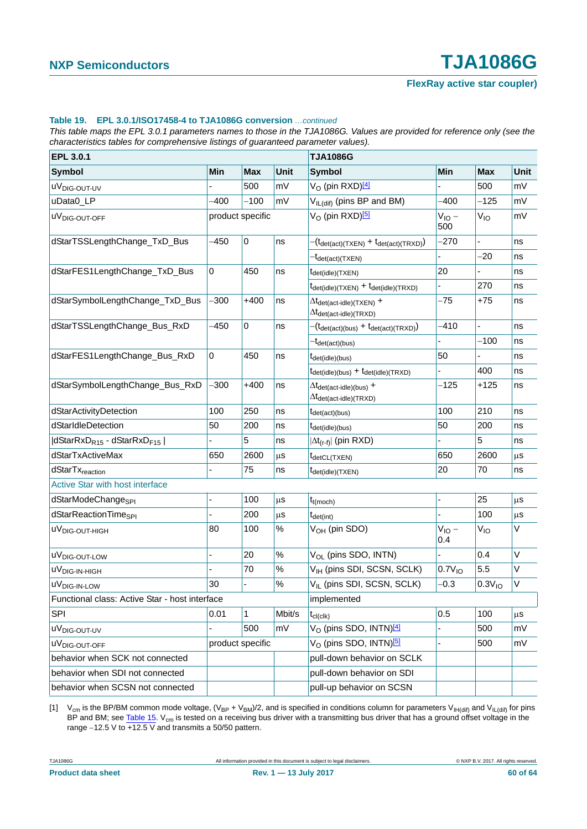#### **Table 19. EPL 3.0.1/ISO17458-4 to TJA1086G conversion** *…continued*

*This table maps the EPL 3.0.1 parameters names to those in the TJA1086G. Values are provided for reference only (see the characteristics tables for comprehensive listings of guaranteed parameter values).*

| EPL 3.0.1                                         |             |                  | <b>TJA1086G</b> |                                                                                                                  |                    |                    |             |
|---------------------------------------------------|-------------|------------------|-----------------|------------------------------------------------------------------------------------------------------------------|--------------------|--------------------|-------------|
| <b>Symbol</b>                                     | Min         | <b>Max</b>       | Unit            | <b>Symbol</b>                                                                                                    | Min                | <b>Max</b>         | <b>Unit</b> |
| uV <sub>DIG-OUT-UV</sub>                          |             | 500              | mV              | V <sub>O</sub> (pin RXD) <sup>[4]</sup>                                                                          |                    | 500                | mV          |
| uData0_LP                                         | $-400$      | $-100$           | mV              | V <sub>IL(dif)</sub> (pins BP and BM)                                                                            | $-400$             | $-125$             | ∣mV         |
| uV <sub>DIG-OUT-OFF</sub>                         |             | product specific |                 | V <sub>O</sub> (pin RXD) <sup>[5]</sup>                                                                          | $V_{IO}$ –<br>500  | $V_{IO}$           | mV          |
| dStarTSSLengthChange_TxD_Bus                      | -450        | $\pmb{0}$        | ns              | $-(t_{\text{det}(\text{act})(\text{TXEN})} + t_{\text{det}(\text{act})(\text{TRXD})})$                           | $-270$             |                    | ns          |
|                                                   |             |                  |                 | <sup>-t</sup> det(act)(TXEN)                                                                                     |                    | $-20$              | ns          |
| dStarFES1LengthChange_TxD_Bus                     | $\mathbf 0$ | 450              | ns              | t <sub>det(idle)</sub> (TXEN)                                                                                    | 20                 |                    | ns          |
|                                                   |             |                  |                 | $t_{\text{det(idle)}(\text{TXEN})} + t_{\text{det(idle)}(\text{TRXD})}$                                          |                    | 270                | ns          |
| dStarSymbolLengthChange_TxD_Bus                   | $-300$      | $+400$           | ns              | $\Delta t_{\text{det}(\text{act-idle})(\text{TXEN})}$ +<br>$\Delta t_{\text{det}(\text{act-idle})(\text{TRXD})}$ | $-75$              | $+75$              | ns          |
| dStarTSSLengthChange_Bus_RxD                      | -450        | $\pmb{0}$        | ns              | $-(t_{\text{det}(\text{act})(\text{bus})} + t_{\text{det}(\text{act})(\text{TRXD})})$                            | $-410$             |                    | ns          |
|                                                   |             |                  |                 | <sup>-t</sup> det(act)(bus)                                                                                      |                    | $-100$             | ns          |
| dStarFES1LengthChange_Bus_RxD                     | $\mathbf 0$ | 450              | ns              | t <sub>det(idle)(bus)</sub>                                                                                      | 50                 |                    | ns          |
|                                                   |             |                  |                 | $t_{\text{det(idle)}(bus)} + t_{\text{det(idle)}(TRXD)}$                                                         |                    | 400                | ns          |
| dStarSymbolLengthChange_Bus_RxD                   | -300        | $+400$           | ns              | $\Delta t_{\text{det}(\text{act-idle})(\text{bus})}$ +<br>$\Delta t_{\text{det}(\text{act-idle})(\text{TRXD})}$  | $-125$             | +125               | ns          |
| dStarActivityDetection                            | 100         | 250              | ns              | $t_{\text{det}(\text{act})(\text{bus})}$                                                                         | 100                | 210                | ns          |
| dStarIdleDetection                                | 50          | 200              | ns              | t <sub>det(idle)</sub> (bus)                                                                                     | 50                 | 200                | ns          |
| dStarRxD <sub>R15</sub> - dStarRxD <sub>F15</sub> |             | 5                | ns              | $ \Delta t_{(r-f)} $ (pin RXD)                                                                                   |                    | 5                  | ns          |
| dStarTxActiveMax                                  | 650         | 2600             | $\mu$ s         | t <sub>detCL(TXEN)</sub>                                                                                         | 650                | 2600               | μS          |
| dStarTx <sub>reaction</sub>                       |             | 75               | ns              | t <sub>det(idle)</sub> (TXEN)                                                                                    | 20                 | 70                 | ns          |
| Active Star with host interface                   |             |                  |                 |                                                                                                                  |                    |                    |             |
| dStarModeChange <sub>SPI</sub>                    |             | 100              | μS              | $t_{t(moch)}$                                                                                                    |                    | 25                 | μs          |
| dStarReactionTime <sub>SPI</sub>                  |             | 200              | μs              | $t_{\text{det(int)}}$                                                                                            |                    | 100                | $\mu$ s     |
| uV <sub>DIG-OUT-HIGH</sub>                        | 80          | 100              | $\%$            | V <sub>OH</sub> (pin SDO)                                                                                        | $V_{IO}$ –<br>0.4  | V <sub>IO</sub>    | V           |
| uV <sub>DIG-OUT-LOW</sub>                         |             | 20               | $\%$            | V <sub>OL</sub> (pins SDO, INTN)                                                                                 | $\blacksquare$     | 0.4                | V           |
| uV <sub>DIG-IN-HIGH</sub>                         |             | 70               | $\%$            | V <sub>IH</sub> (pins SDI, SCSN, SCLK)                                                                           | 0.7V <sub>10</sub> | 5.5                | $\vee$      |
| uV <sub>DIG-IN-LOW</sub>                          | 30          | L                | $\%$            | V <sub>IL</sub> (pins SDI, SCSN, SCLK)                                                                           | $-0.3$             | 0.3V <sub>10</sub> | V           |
| Functional class: Active Star - host interface    |             | implemented      |                 |                                                                                                                  |                    |                    |             |
| <b>SPI</b>                                        | 0.01        | 1                | Mbit/s          | $\rm t_{\rm cl (clk)}$                                                                                           | 0.5                | 100                | μS          |
| uV <sub>DIG-OUT-UV</sub>                          |             | 500              | mV              | V <sub>O</sub> (pins SDO, INTN) <sup>[4]</sup>                                                                   |                    | 500                | mV          |
| uV <sub>DIG-OUT-OFF</sub>                         |             | product specific |                 | V <sub>O</sub> (pins SDO, INTN) <sup>[5]</sup>                                                                   | $\blacksquare$     | 500                | ∣mV         |
| behavior when SCK not connected                   |             |                  |                 | pull-down behavior on SCLK                                                                                       |                    |                    |             |
| behavior when SDI not connected                   |             |                  |                 | pull-down behavior on SDI                                                                                        |                    |                    |             |
| behavior when SCSN not connected                  |             |                  |                 | pull-up behavior on SCSN                                                                                         |                    |                    |             |

<span id="page-59-0"></span>[1] V<sub>cm</sub> is the BP/BM common mode voltage, (V<sub>BP</sub> + V<sub>BM</sub>)/2, and is specified in conditions column for parameters V<sub>IH(dif)</sub> and V<sub>IL(dif)</sub> for pins BP and BM; see [Table 15](#page-35-0). V<sub>cm</sub> is tested on a receiving bus driver with a transmitting bus driver that has a ground offset voltage in the range  $-12.5$  V to  $\overline{+12.5}$  V and transmits a 50/50 pattern.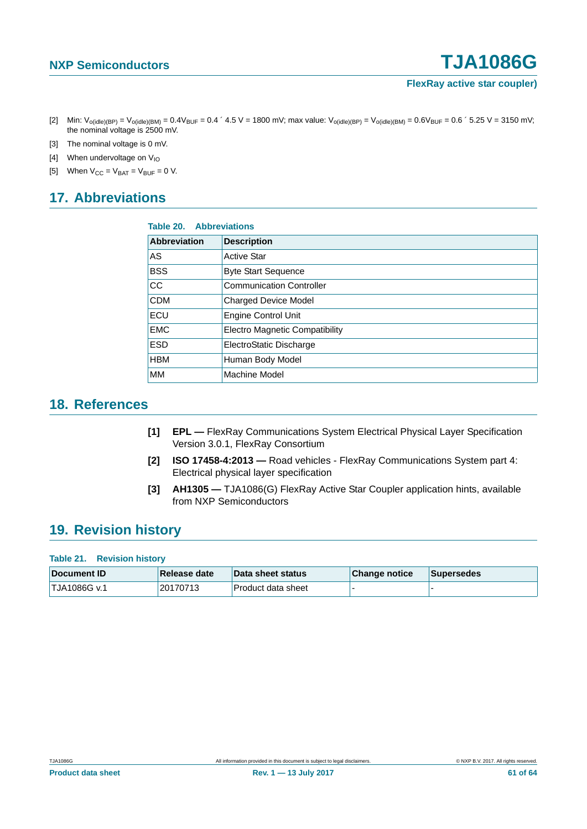- <span id="page-60-3"></span>[2] Min:  $V_{o(idle)(BP)} = V_{o(idle)(BM)} = 0.4V_{BUF} = 0.4$  ' 4.5 V = 1800 mV; max value:  $V_{o(idle)(BP)} = V_{o(idle)(BM)} = 0.6V_{BUF} = 0.6$  ' 5.25 V = 3150 mV; the nominal voltage is 2500 mV.
- <span id="page-60-4"></span>[3] The nominal voltage is 0 mV.
- <span id="page-60-5"></span>[4] When undervoltage on  $V_{10}$
- <span id="page-60-6"></span>[5] When  $V_{CC} = V_{BAT} = V_{BUF} = 0 V$ .

## <span id="page-60-7"></span>**17. Abbreviations**

|                     | <b>Table 20. Abbreviations</b>        |  |  |  |  |  |
|---------------------|---------------------------------------|--|--|--|--|--|
| <b>Abbreviation</b> | <b>Description</b>                    |  |  |  |  |  |
| AS                  | <b>Active Star</b>                    |  |  |  |  |  |
| <b>BSS</b>          | <b>Byte Start Sequence</b>            |  |  |  |  |  |
| CC                  | <b>Communication Controller</b>       |  |  |  |  |  |
| <b>CDM</b>          | <b>Charged Device Model</b>           |  |  |  |  |  |
| ECU                 | <b>Engine Control Unit</b>            |  |  |  |  |  |
| <b>EMC</b>          | <b>Electro Magnetic Compatibility</b> |  |  |  |  |  |
| <b>ESD</b>          | ElectroStatic Discharge               |  |  |  |  |  |
| <b>HBM</b>          | Human Body Model                      |  |  |  |  |  |
| MМ                  | Machine Model                         |  |  |  |  |  |

### <span id="page-60-8"></span>**18. References**

- <span id="page-60-0"></span>**[1] EPL —** FlexRay Communications System Electrical Physical Layer Specification Version 3.0.1, FlexRay Consortium
- <span id="page-60-1"></span>**[2] ISO 17458-4:2013 —** Road vehicles - FlexRay Communications System part 4: Electrical physical layer specification
- <span id="page-60-2"></span>**[3] AH1305 —** TJA1086(G) FlexRay Active Star Coupler application hints, available from NXP Semiconductors

### <span id="page-60-9"></span>**19. Revision history**

**Table 21. Revision history**

| <b>⊺Document ID</b>       | Release date | <b>Data sheet status</b> | Change notice | <b>Supersedes</b> |
|---------------------------|--------------|--------------------------|---------------|-------------------|
| <sup>1</sup> TJA1086G v.1 | 20170713     | Product data sheet       |               |                   |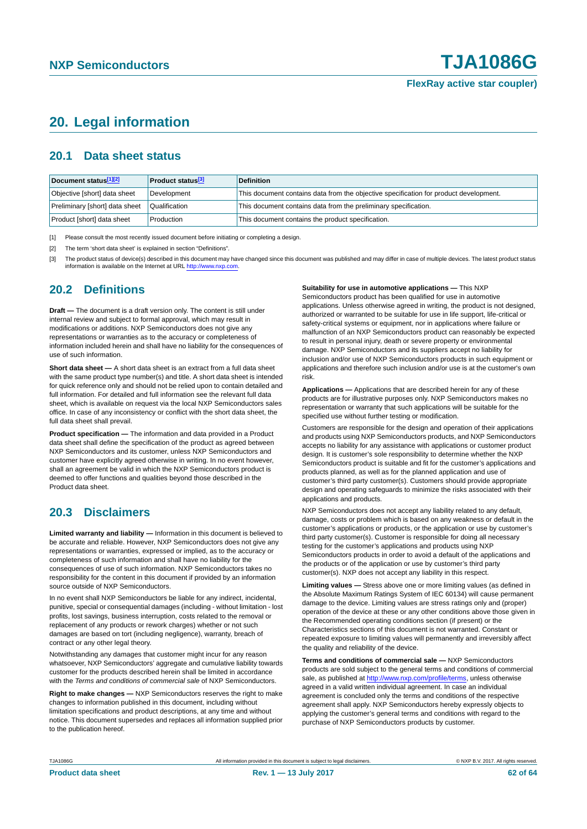## <span id="page-61-3"></span>**20. Legal information**

### <span id="page-61-4"></span>**20.1 Data sheet status**

| Document status[1][2]          | <b>Product status</b> <sup>[3]</sup> | <b>Definition</b>                                                                     |
|--------------------------------|--------------------------------------|---------------------------------------------------------------------------------------|
| Objective [short] data sheet   | Development                          | This document contains data from the objective specification for product development. |
| Preliminary [short] data sheet | Qualification                        | This document contains data from the preliminary specification.                       |
| Product [short] data sheet     | Production                           | This document contains the product specification.                                     |

<span id="page-61-0"></span>[1] Please consult the most recently issued document before initiating or completing a design.

<span id="page-61-1"></span>[2] The term 'short data sheet' is explained in section "Definitions".

<span id="page-61-2"></span>[3] The product status of device(s) described in this document may have changed since this document was published and may differ in case of multiple devices. The latest product status<br>information is available on the Intern

#### <span id="page-61-5"></span>**20.2 Definitions**

**Draft —** The document is a draft version only. The content is still under internal review and subject to formal approval, which may result in modifications or additions. NXP Semiconductors does not give any representations or warranties as to the accuracy or completeness of information included herein and shall have no liability for the consequences of use of such information.

**Short data sheet —** A short data sheet is an extract from a full data sheet with the same product type number(s) and title. A short data sheet is intended for quick reference only and should not be relied upon to contain detailed and full information. For detailed and full information see the relevant full data sheet, which is available on request via the local NXP Semiconductors sales office. In case of any inconsistency or conflict with the short data sheet, the full data sheet shall prevail.

**Product specification —** The information and data provided in a Product data sheet shall define the specification of the product as agreed between NXP Semiconductors and its customer, unless NXP Semiconductors and customer have explicitly agreed otherwise in writing. In no event however, shall an agreement be valid in which the NXP Semiconductors product is deemed to offer functions and qualities beyond those described in the Product data sheet.

### <span id="page-61-6"></span>**20.3 Disclaimers**

**Limited warranty and liability —** Information in this document is believed to be accurate and reliable. However, NXP Semiconductors does not give any representations or warranties, expressed or implied, as to the accuracy or completeness of such information and shall have no liability for the consequences of use of such information. NXP Semiconductors takes no responsibility for the content in this document if provided by an information source outside of NXP Semiconductors.

In no event shall NXP Semiconductors be liable for any indirect, incidental, punitive, special or consequential damages (including - without limitation - lost profits, lost savings, business interruption, costs related to the removal or replacement of any products or rework charges) whether or not such damages are based on tort (including negligence), warranty, breach of contract or any other legal theory.

Notwithstanding any damages that customer might incur for any reason whatsoever, NXP Semiconductors' aggregate and cumulative liability towards customer for the products described herein shall be limited in accordance with the *Terms and conditions of commercial sale* of NXP Semiconductors.

**Right to make changes —** NXP Semiconductors reserves the right to make changes to information published in this document, including without limitation specifications and product descriptions, at any time and without notice. This document supersedes and replaces all information supplied prior to the publication hereof.

#### **Suitability for use in automotive applications —** This NXP

Semiconductors product has been qualified for use in automotive applications. Unless otherwise agreed in writing, the product is not designed, authorized or warranted to be suitable for use in life support, life-critical or safety-critical systems or equipment, nor in applications where failure or malfunction of an NXP Semiconductors product can reasonably be expected to result in personal injury, death or severe property or environmental damage. NXP Semiconductors and its suppliers accept no liability for inclusion and/or use of NXP Semiconductors products in such equipment or applications and therefore such inclusion and/or use is at the customer's own risk.

**Applications —** Applications that are described herein for any of these products are for illustrative purposes only. NXP Semiconductors makes no representation or warranty that such applications will be suitable for the specified use without further testing or modification.

Customers are responsible for the design and operation of their applications and products using NXP Semiconductors products, and NXP Semiconductors accepts no liability for any assistance with applications or customer product design. It is customer's sole responsibility to determine whether the NXP Semiconductors product is suitable and fit for the customer's applications and products planned, as well as for the planned application and use of customer's third party customer(s). Customers should provide appropriate design and operating safeguards to minimize the risks associated with their applications and products.

NXP Semiconductors does not accept any liability related to any default, damage, costs or problem which is based on any weakness or default in the customer's applications or products, or the application or use by customer's third party customer(s). Customer is responsible for doing all necessary testing for the customer's applications and products using NXP Semiconductors products in order to avoid a default of the applications and the products or of the application or use by customer's third party customer(s). NXP does not accept any liability in this respect.

**Limiting values —** Stress above one or more limiting values (as defined in the Absolute Maximum Ratings System of IEC 60134) will cause permanent damage to the device. Limiting values are stress ratings only and (proper) operation of the device at these or any other conditions above those given in the Recommended operating conditions section (if present) or the Characteristics sections of this document is not warranted. Constant or repeated exposure to limiting values will permanently and irreversibly affect the quality and reliability of the device.

**Terms and conditions of commercial sale —** NXP Semiconductors products are sold subject to the general terms and conditions of commercial sale, as published at<http://www.nxp.com/profile/terms>, unless otherwise agreed in a valid written individual agreement. In case an individual agreement is concluded only the terms and conditions of the respective agreement shall apply. NXP Semiconductors hereby expressly objects to applying the customer's general terms and conditions with regard to the purchase of NXP Semiconductors products by customer.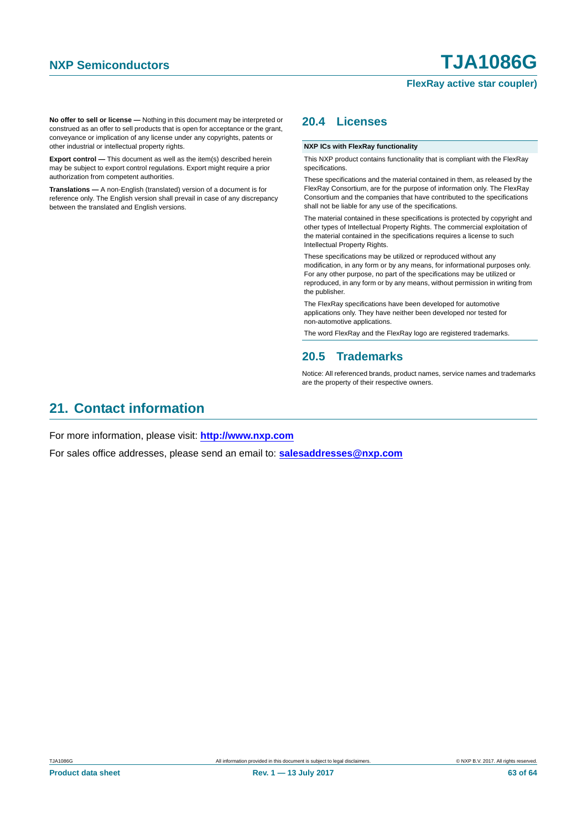**No offer to sell or license —** Nothing in this document may be interpreted or construed as an offer to sell products that is open for acceptance or the grant, conveyance or implication of any license under any copyrights, patents or other industrial or intellectual property rights.

**Export control —** This document as well as the item(s) described herein may be subject to export control regulations. Export might require a prior authorization from competent authorities.

**Translations —** A non-English (translated) version of a document is for reference only. The English version shall prevail in case of any discrepancy between the translated and English versions.

### <span id="page-62-0"></span>**20.4 Licenses**

#### **NXP ICs with FlexRay functionality**

This NXP product contains functionality that is compliant with the FlexRay specifications.

These specifications and the material contained in them, as released by the FlexRay Consortium, are for the purpose of information only. The FlexRay Consortium and the companies that have contributed to the specifications shall not be liable for any use of the specifications.

The material contained in these specifications is protected by copyright and other types of Intellectual Property Rights. The commercial exploitation of the material contained in the specifications requires a license to such Intellectual Property Rights.

These specifications may be utilized or reproduced without any modification, in any form or by any means, for informational purposes only. For any other purpose, no part of the specifications may be utilized or reproduced, in any form or by any means, without permission in writing from the publisher.

The FlexRay specifications have been developed for automotive applications only. They have neither been developed nor tested for non-automotive applications.

The word FlexRay and the FlexRay logo are registered trademarks.

#### <span id="page-62-1"></span>**20.5 Trademarks**

Notice: All referenced brands, product names, service names and trademarks are the property of their respective owners.

### <span id="page-62-2"></span>**21. Contact information**

For more information, please visit: **http://www.nxp.com**

For sales office addresses, please send an email to: **salesaddresses@nxp.com**